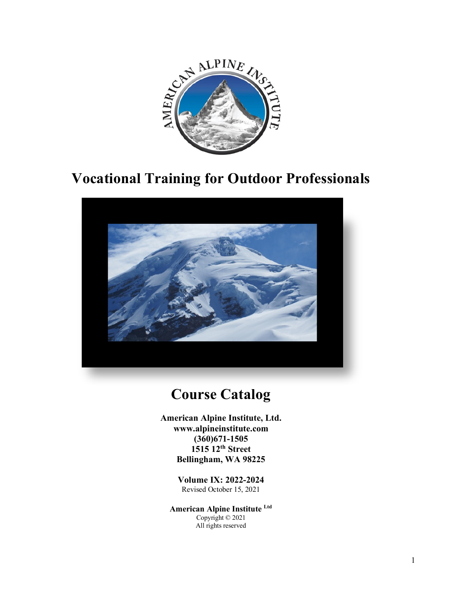

# **Vocational Training for Outdoor Professionals**



# **Course Catalog**

**American Alpine Institute, Ltd. www.alpineinstitute.com (360)671-1505 1515 12th Street Bellingham, WA 98225**

> **Volume IX: 2022-2024** Revised October 15, 2021

**American Alpine Institute Ltd** Copyright © 2021 All rights reserved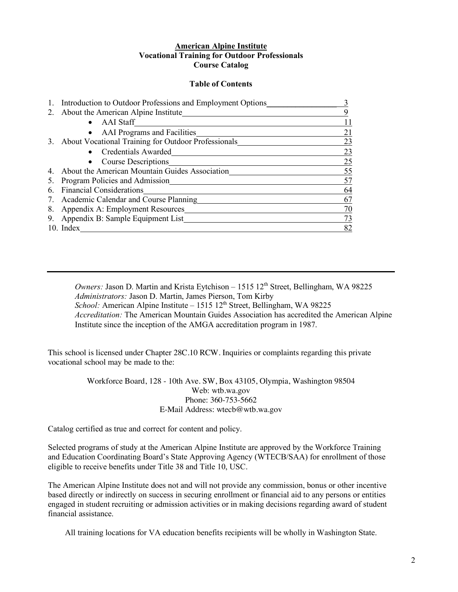#### **American Alpine Institute Vocational Training for Outdoor Professionals Course Catalog**

# **Table of Contents**

|    | Introduction to Outdoor Professions and Employment Options |    |
|----|------------------------------------------------------------|----|
|    | About the American Alpine Institute                        |    |
|    | <b>AAI</b> Staff                                           |    |
|    | • AAI Programs and Facilities                              | 21 |
| 3. | About Vocational Training for Outdoor Professionals        | 23 |
|    | Credentials Awarded                                        | 23 |
|    | • Course Descriptions                                      | 25 |
|    | About the American Mountain Guides Association             | 55 |
| 5. | Program Policies and Admission                             | 57 |
| 6. | <b>Financial Considerations</b>                            | 64 |
|    | 7. Academic Calendar and Course Planning                   | 67 |
|    | 8. Appendix A: Employment Resources                        | 70 |
| 9. | Appendix B: Sample Equipment List                          | 73 |
|    | 10. Index                                                  | 82 |

*Owners:* Jason D. Martin and Krista Eytchison –  $1515 12<sup>th</sup>$  Street, Bellingham, WA 98225 *Administrators:* Jason D. Martin, James Pierson, Tom Kirby *School:* American Alpine Institute – 1515 12<sup>th</sup> Street, Bellingham, WA 98225 *Accreditation:* The American Mountain Guides Association has accredited the American Alpine Institute since the inception of the AMGA accreditation program in 1987.

This school is licensed under Chapter 28C.10 RCW. Inquiries or complaints regarding this private vocational school may be made to the:

> Workforce Board, 128 - 10th Ave. SW, Box 43105, Olympia, Washington 98504 Web: wtb.wa.gov Phone: 360-753-5662 E-Mail Address: wtecb@wtb.wa.gov

Catalog certified as true and correct for content and policy.

Selected programs of study at the American Alpine Institute are approved by the Workforce Training and Education Coordinating Board's State Approving Agency (WTECB/SAA) for enrollment of those eligible to receive benefits under Title 38 and Title 10, USC.

The American Alpine Institute does not and will not provide any commission, bonus or other incentive based directly or indirectly on success in securing enrollment or financial aid to any persons or entities engaged in student recruiting or admission activities or in making decisions regarding award of student financial assistance.

All training locations for VA education benefits recipients will be wholly in Washington State.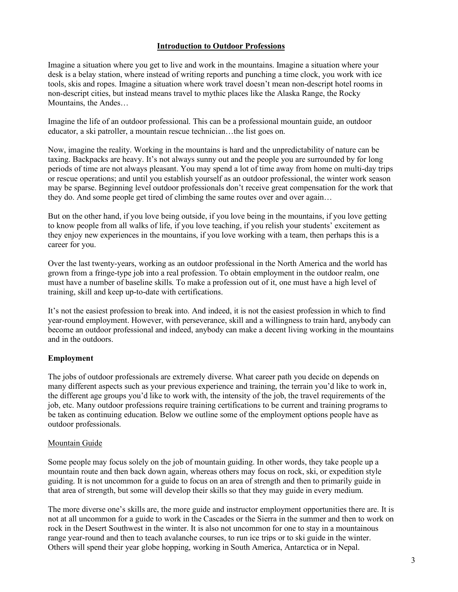#### **Introduction to Outdoor Professions**

Imagine a situation where you get to live and work in the mountains. Imagine a situation where your desk is a belay station, where instead of writing reports and punching a time clock, you work with ice tools, skis and ropes. Imagine a situation where work travel doesn't mean non-descript hotel rooms in non-descript cities, but instead means travel to mythic places like the Alaska Range, the Rocky Mountains, the Andes…

Imagine the life of an outdoor professional. This can be a professional mountain guide, an outdoor educator, a ski patroller, a mountain rescue technician…the list goes on.

Now, imagine the reality. Working in the mountains is hard and the unpredictability of nature can be taxing. Backpacks are heavy. It's not always sunny out and the people you are surrounded by for long periods of time are not always pleasant. You may spend a lot of time away from home on multi-day trips or rescue operations; and until you establish yourself as an outdoor professional, the winter work season may be sparse. Beginning level outdoor professionals don't receive great compensation for the work that they do. And some people get tired of climbing the same routes over and over again…

But on the other hand, if you love being outside, if you love being in the mountains, if you love getting to know people from all walks of life, if you love teaching, if you relish your students' excitement as they enjoy new experiences in the mountains, if you love working with a team, then perhaps this is a career for you.

Over the last twenty-years, working as an outdoor professional in the North America and the world has grown from a fringe-type job into a real profession. To obtain employment in the outdoor realm, one must have a number of baseline skills. To make a profession out of it, one must have a high level of training, skill and keep up-to-date with certifications.

It's not the easiest profession to break into. And indeed, it is not the easiest profession in which to find year-round employment. However, with perseverance, skill and a willingness to train hard, anybody can become an outdoor professional and indeed, anybody can make a decent living working in the mountains and in the outdoors.

# **Employment**

The jobs of outdoor professionals are extremely diverse. What career path you decide on depends on many different aspects such as your previous experience and training, the terrain you'd like to work in, the different age groups you'd like to work with, the intensity of the job, the travel requirements of the job, etc. Many outdoor professions require training certifications to be current and training programs to be taken as continuing education. Below we outline some of the employment options people have as outdoor professionals.

#### Mountain Guide

Some people may focus solely on the job of mountain guiding. In other words, they take people up a mountain route and then back down again, whereas others may focus on rock, ski, or expedition style guiding. It is not uncommon for a guide to focus on an area of strength and then to primarily guide in that area of strength, but some will develop their skills so that they may guide in every medium.

The more diverse one's skills are, the more guide and instructor employment opportunities there are. It is not at all uncommon for a guide to work in the Cascades or the Sierra in the summer and then to work on rock in the Desert Southwest in the winter. It is also not uncommon for one to stay in a mountainous range year-round and then to teach avalanche courses, to run ice trips or to ski guide in the winter. Others will spend their year globe hopping, working in South America, Antarctica or in Nepal.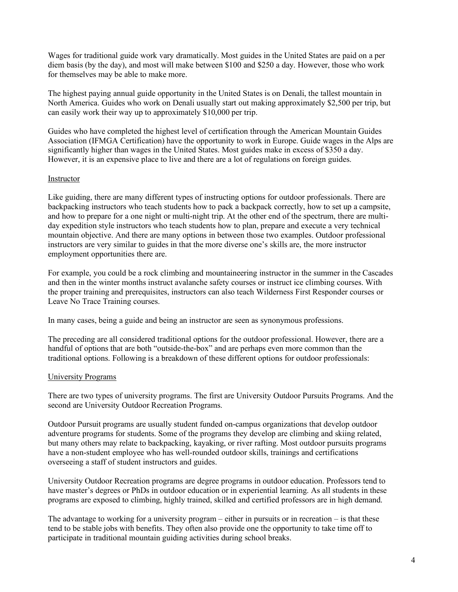Wages for traditional guide work vary dramatically. Most guides in the United States are paid on a per diem basis (by the day), and most will make between \$100 and \$250 a day. However, those who work for themselves may be able to make more.

The highest paying annual guide opportunity in the United States is on Denali, the tallest mountain in North America. Guides who work on Denali usually start out making approximately \$2,500 per trip, but can easily work their way up to approximately \$10,000 per trip.

Guides who have completed the highest level of certification through the American Mountain Guides Association (IFMGA Certification) have the opportunity to work in Europe. Guide wages in the Alps are significantly higher than wages in the United States. Most guides make in excess of \$350 a day. However, it is an expensive place to live and there are a lot of regulations on foreign guides.

#### Instructor

Like guiding, there are many different types of instructing options for outdoor professionals. There are backpacking instructors who teach students how to pack a backpack correctly, how to set up a campsite, and how to prepare for a one night or multi-night trip. At the other end of the spectrum, there are multiday expedition style instructors who teach students how to plan, prepare and execute a very technical mountain objective. And there are many options in between those two examples. Outdoor professional instructors are very similar to guides in that the more diverse one's skills are, the more instructor employment opportunities there are.

For example, you could be a rock climbing and mountaineering instructor in the summer in the Cascades and then in the winter months instruct avalanche safety courses or instruct ice climbing courses. With the proper training and prerequisites, instructors can also teach Wilderness First Responder courses or Leave No Trace Training courses.

In many cases, being a guide and being an instructor are seen as synonymous professions.

The preceding are all considered traditional options for the outdoor professional. However, there are a handful of options that are both "outside-the-box" and are perhaps even more common than the traditional options. Following is a breakdown of these different options for outdoor professionals:

#### University Programs

There are two types of university programs. The first are University Outdoor Pursuits Programs. And the second are University Outdoor Recreation Programs.

Outdoor Pursuit programs are usually student funded on-campus organizations that develop outdoor adventure programs for students. Some of the programs they develop are climbing and skiing related, but many others may relate to backpacking, kayaking, or river rafting. Most outdoor pursuits programs have a non-student employee who has well-rounded outdoor skills, trainings and certifications overseeing a staff of student instructors and guides.

University Outdoor Recreation programs are degree programs in outdoor education. Professors tend to have master's degrees or PhDs in outdoor education or in experiential learning. As all students in these programs are exposed to climbing, highly trained, skilled and certified professors are in high demand.

The advantage to working for a university program – either in pursuits or in recreation – is that these tend to be stable jobs with benefits. They often also provide one the opportunity to take time off to participate in traditional mountain guiding activities during school breaks.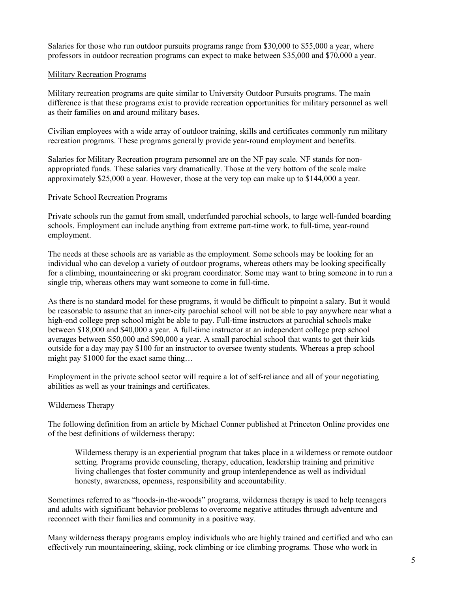Salaries for those who run outdoor pursuits programs range from \$30,000 to \$55,000 a year, where professors in outdoor recreation programs can expect to make between \$35,000 and \$70,000 a year.

#### Military Recreation Programs

Military recreation programs are quite similar to University Outdoor Pursuits programs. The main difference is that these programs exist to provide recreation opportunities for military personnel as well as their families on and around military bases.

Civilian employees with a wide array of outdoor training, skills and certificates commonly run military recreation programs. These programs generally provide year-round employment and benefits.

Salaries for Military Recreation program personnel are on the NF pay scale. NF stands for nonappropriated funds. These salaries vary dramatically. Those at the very bottom of the scale make approximately \$25,000 a year. However, those at the very top can make up to \$144,000 a year.

#### Private School Recreation Programs

Private schools run the gamut from small, underfunded parochial schools, to large well-funded boarding schools. Employment can include anything from extreme part-time work, to full-time, year-round employment.

The needs at these schools are as variable as the employment. Some schools may be looking for an individual who can develop a variety of outdoor programs, whereas others may be looking specifically for a climbing, mountaineering or ski program coordinator. Some may want to bring someone in to run a single trip, whereas others may want someone to come in full-time.

As there is no standard model for these programs, it would be difficult to pinpoint a salary. But it would be reasonable to assume that an inner-city parochial school will not be able to pay anywhere near what a high-end college prep school might be able to pay. Full-time instructors at parochial schools make between \$18,000 and \$40,000 a year. A full-time instructor at an independent college prep school averages between \$50,000 and \$90,000 a year. A small parochial school that wants to get their kids outside for a day may pay \$100 for an instructor to oversee twenty students. Whereas a prep school might pay \$1000 for the exact same thing…

Employment in the private school sector will require a lot of self-reliance and all of your negotiating abilities as well as your trainings and certificates.

#### Wilderness Therapy

The following definition from an article by Michael Conner published at Princeton Online provides one of the best definitions of wilderness therapy:

Wilderness therapy is an experiential program that takes place in a wilderness or remote outdoor setting. Programs provide counseling, therapy, education, leadership training and primitive living challenges that foster community and group interdependence as well as individual honesty, awareness, openness, responsibility and accountability.

Sometimes referred to as "hoods-in-the-woods" programs, wilderness therapy is used to help teenagers and adults with significant behavior problems to overcome negative attitudes through adventure and reconnect with their families and community in a positive way.

Many wilderness therapy programs employ individuals who are highly trained and certified and who can effectively run mountaineering, skiing, rock climbing or ice climbing programs. Those who work in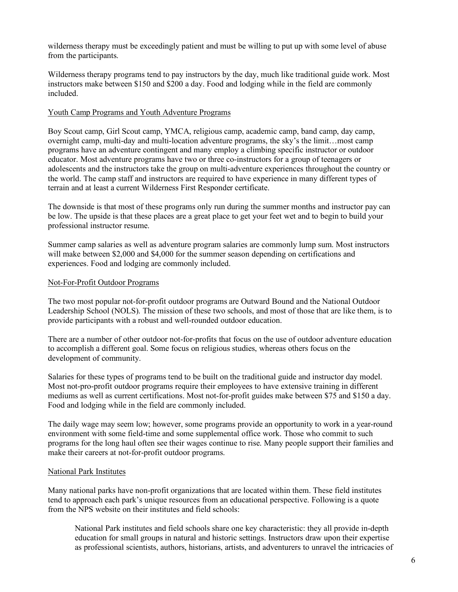wilderness therapy must be exceedingly patient and must be willing to put up with some level of abuse from the participants.

Wilderness therapy programs tend to pay instructors by the day, much like traditional guide work. Most instructors make between \$150 and \$200 a day. Food and lodging while in the field are commonly included.

#### Youth Camp Programs and Youth Adventure Programs

Boy Scout camp, Girl Scout camp, YMCA, religious camp, academic camp, band camp, day camp, overnight camp, multi-day and multi-location adventure programs, the sky's the limit…most camp programs have an adventure contingent and many employ a climbing specific instructor or outdoor educator. Most adventure programs have two or three co-instructors for a group of teenagers or adolescents and the instructors take the group on multi-adventure experiences throughout the country or the world. The camp staff and instructors are required to have experience in many different types of terrain and at least a current Wilderness First Responder certificate.

The downside is that most of these programs only run during the summer months and instructor pay can be low. The upside is that these places are a great place to get your feet wet and to begin to build your professional instructor resume.

Summer camp salaries as well as adventure program salaries are commonly lump sum. Most instructors will make between \$2,000 and \$4,000 for the summer season depending on certifications and experiences. Food and lodging are commonly included.

#### Not-For-Profit Outdoor Programs

The two most popular not-for-profit outdoor programs are Outward Bound and the National Outdoor Leadership School (NOLS). The mission of these two schools, and most of those that are like them, is to provide participants with a robust and well-rounded outdoor education.

There are a number of other outdoor not-for-profits that focus on the use of outdoor adventure education to accomplish a different goal. Some focus on religious studies, whereas others focus on the development of community.

Salaries for these types of programs tend to be built on the traditional guide and instructor day model. Most not-pro-profit outdoor programs require their employees to have extensive training in different mediums as well as current certifications. Most not-for-profit guides make between \$75 and \$150 a day. Food and lodging while in the field are commonly included.

The daily wage may seem low; however, some programs provide an opportunity to work in a year-round environment with some field-time and some supplemental office work. Those who commit to such programs for the long haul often see their wages continue to rise. Many people support their families and make their careers at not-for-profit outdoor programs.

#### National Park Institutes

Many national parks have non-profit organizations that are located within them. These field institutes tend to approach each park's unique resources from an educational perspective. Following is a quote from the NPS website on their institutes and field schools:

National Park institutes and field schools share one key characteristic: they all provide in-depth education for small groups in natural and historic settings. Instructors draw upon their expertise as professional scientists, authors, historians, artists, and adventurers to unravel the intricacies of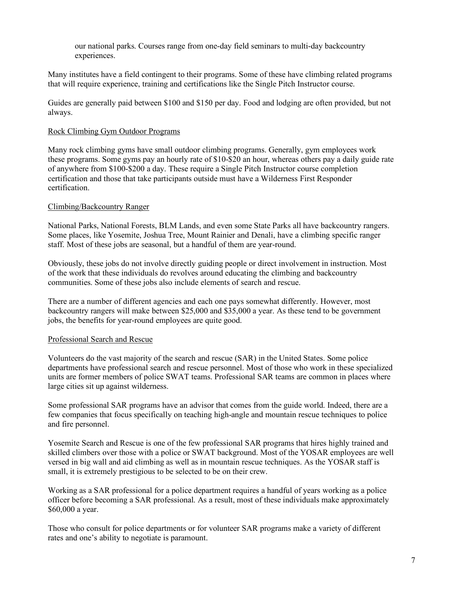our national parks. Courses range from one-day field seminars to multi-day backcountry experiences.

Many institutes have a field contingent to their programs. Some of these have climbing related programs that will require experience, training and certifications like the Single Pitch Instructor course.

Guides are generally paid between \$100 and \$150 per day. Food and lodging are often provided, but not always.

#### Rock Climbing Gym Outdoor Programs

Many rock climbing gyms have small outdoor climbing programs. Generally, gym employees work these programs. Some gyms pay an hourly rate of \$10-\$20 an hour, whereas others pay a daily guide rate of anywhere from \$100-\$200 a day. These require a Single Pitch Instructor course completion certification and those that take participants outside must have a Wilderness First Responder certification.

#### Climbing/Backcountry Ranger

National Parks, National Forests, BLM Lands, and even some State Parks all have backcountry rangers. Some places, like Yosemite, Joshua Tree, Mount Rainier and Denali, have a climbing specific ranger staff. Most of these jobs are seasonal, but a handful of them are year-round.

Obviously, these jobs do not involve directly guiding people or direct involvement in instruction. Most of the work that these individuals do revolves around educating the climbing and backcountry communities. Some of these jobs also include elements of search and rescue.

There are a number of different agencies and each one pays somewhat differently. However, most backcountry rangers will make between \$25,000 and \$35,000 a year. As these tend to be government jobs, the benefits for year-round employees are quite good.

#### Professional Search and Rescue

Volunteers do the vast majority of the search and rescue (SAR) in the United States. Some police departments have professional search and rescue personnel. Most of those who work in these specialized units are former members of police SWAT teams. Professional SAR teams are common in places where large cities sit up against wilderness.

Some professional SAR programs have an advisor that comes from the guide world. Indeed, there are a few companies that focus specifically on teaching high-angle and mountain rescue techniques to police and fire personnel.

Yosemite Search and Rescue is one of the few professional SAR programs that hires highly trained and skilled climbers over those with a police or SWAT background. Most of the YOSAR employees are well versed in big wall and aid climbing as well as in mountain rescue techniques. As the YOSAR staff is small, it is extremely prestigious to be selected to be on their crew.

Working as a SAR professional for a police department requires a handful of years working as a police officer before becoming a SAR professional. As a result, most of these individuals make approximately \$60,000 a year.

Those who consult for police departments or for volunteer SAR programs make a variety of different rates and one's ability to negotiate is paramount.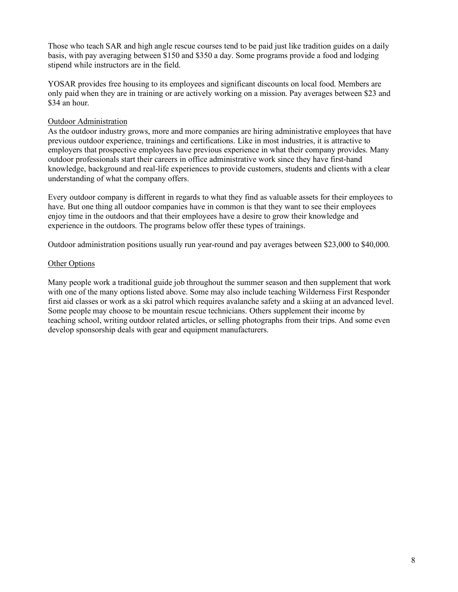Those who teach SAR and high angle rescue courses tend to be paid just like tradition guides on a daily basis, with pay averaging between \$150 and \$350 a day. Some programs provide a food and lodging stipend while instructors are in the field.

YOSAR provides free housing to its employees and significant discounts on local food. Members are only paid when they are in training or are actively working on a mission. Pay averages between \$23 and \$34 an hour.

#### Outdoor Administration

As the outdoor industry grows, more and more companies are hiring administrative employees that have previous outdoor experience, trainings and certifications. Like in most industries, it is attractive to employers that prospective employees have previous experience in what their company provides. Many outdoor professionals start their careers in office administrative work since they have first-hand knowledge, background and real-life experiences to provide customers, students and clients with a clear understanding of what the company offers.

Every outdoor company is different in regards to what they find as valuable assets for their employees to have. But one thing all outdoor companies have in common is that they want to see their employees enjoy time in the outdoors and that their employees have a desire to grow their knowledge and experience in the outdoors. The programs below offer these types of trainings.

Outdoor administration positions usually run year-round and pay averages between \$23,000 to \$40,000.

# Other Options

Many people work a traditional guide job throughout the summer season and then supplement that work with one of the many options listed above. Some may also include teaching Wilderness First Responder first aid classes or work as a ski patrol which requires avalanche safety and a skiing at an advanced level. Some people may choose to be mountain rescue technicians. Others supplement their income by teaching school, writing outdoor related articles, or selling photographs from their trips. And some even develop sponsorship deals with gear and equipment manufacturers.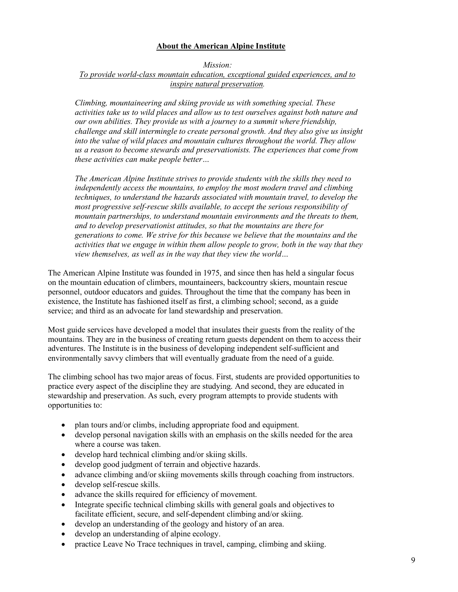#### **About the American Alpine Institute**

#### *Mission: To provide world-class mountain education, exceptional guided experiences, and to inspire natural preservation.*

*Climbing, mountaineering and skiing provide us with something special. These activities take us to wild places and allow us to test ourselves against both nature and our own abilities. They provide us with a journey to a summit where friendship, challenge and skill intermingle to create personal growth. And they also give us insight into the value of wild places and mountain cultures throughout the world. They allow us a reason to become stewards and preservationists. The experiences that come from these activities can make people better…*

*The American Alpine Institute strives to provide students with the skills they need to independently access the mountains, to employ the most modern travel and climbing techniques, to understand the hazards associated with mountain travel, to develop the most progressive self-rescue skills available, to accept the serious responsibility of mountain partnerships, to understand mountain environments and the threats to them, and to develop preservationist attitudes, so that the mountains are there for generations to come. We strive for this because we believe that the mountains and the activities that we engage in within them allow people to grow, both in the way that they view themselves, as well as in the way that they view the world…*

The American Alpine Institute was founded in 1975, and since then has held a singular focus on the mountain education of climbers, mountaineers, backcountry skiers, mountain rescue personnel, outdoor educators and guides. Throughout the time that the company has been in existence, the Institute has fashioned itself as first, a climbing school; second, as a guide service; and third as an advocate for land stewardship and preservation.

Most guide services have developed a model that insulates their guests from the reality of the mountains. They are in the business of creating return guests dependent on them to access their adventures. The Institute is in the business of developing independent self-sufficient and environmentally savvy climbers that will eventually graduate from the need of a guide.

The climbing school has two major areas of focus. First, students are provided opportunities to practice every aspect of the discipline they are studying. And second, they are educated in stewardship and preservation. As such, every program attempts to provide students with opportunities to:

- plan tours and/or climbs, including appropriate food and equipment.
- develop personal navigation skills with an emphasis on the skills needed for the area where a course was taken.
- develop hard technical climbing and/or skiing skills.
- develop good judgment of terrain and objective hazards.
- advance climbing and/or skiing movements skills through coaching from instructors.
- develop self-rescue skills.
- advance the skills required for efficiency of movement.
- Integrate specific technical climbing skills with general goals and objectives to facilitate efficient, secure, and self-dependent climbing and/or skiing.
- develop an understanding of the geology and history of an area.
- develop an understanding of alpine ecology.
- practice Leave No Trace techniques in travel, camping, climbing and skiing.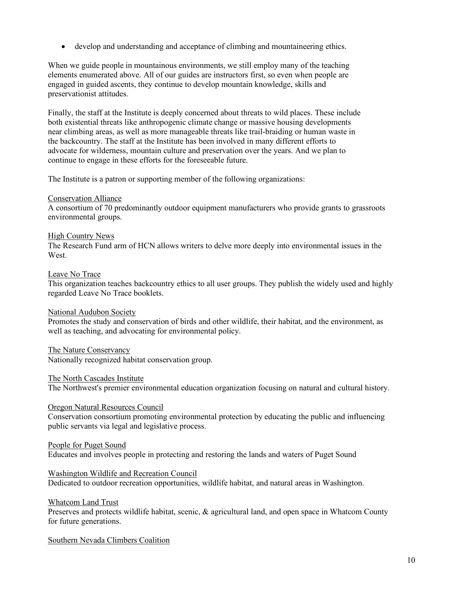• develop and understanding and acceptance of climbing and mountaineering ethics.

When we guide people in mountainous environments, we still employ many of the teaching elements enumerated above. All of our guides are instructors first, so even when people are engaged in guided ascents, they continue to develop mountain knowledge, skills and preservationist attitudes.

Finally, the staff at the Institute is deeply concerned about threats to wild places. These include both existential threats like anthropogenic climate change or massive housing developments near climbing areas, as well as more manageable threats like trail-braiding or human waste in the backcountry. The staff at the Institute has been involved in many different efforts to advocate for wilderness, mountain culture and preservation over the years. And we plan to continue to engage in these efforts for the foreseeable future.

The Institute is a patron or supporting member of the following organizations:

#### Conservation Alliance

A consortium of 70 predominantly outdoor equipment manufacturers who provide grants to grassroots environmental groups.

# High Country News

The Research Fund arm of HCN allows writers to delve more deeply into environmental issues in the **West**.

Leave No Trace

This organization teaches backcountry ethics to all user groups. They publish the widely used and highly regarded Leave No Trace booklets.

National Audubon Society

Promotes the study and conservation of birds and other wildlife, their habitat, and the environment, as well as teaching, and advocating for environmental policy.

# The Nature Conservancy

Nationally recognized habitat conservation group.

The North Cascades Institute

The Northwest's premier environmental education organization focusing on natural and cultural history.

#### Oregon Natural Resources Council

Conservation consortium promoting environmental protection by educating the public and influencing public servants via legal and legislative process.

#### People for Puget Sound

Educates and involves people in protecting and restoring the lands and waters of Puget Sound

Washington Wildlife and Recreation Council

Dedicated to outdoor recreation opportunities, wildlife habitat, and natural areas in Washington.

Whatcom Land Trust

Preserves and protects wildlife habitat, scenic, & agricultural land, and open space in Whatcom County for future generations.

Southern Nevada Climbers Coalition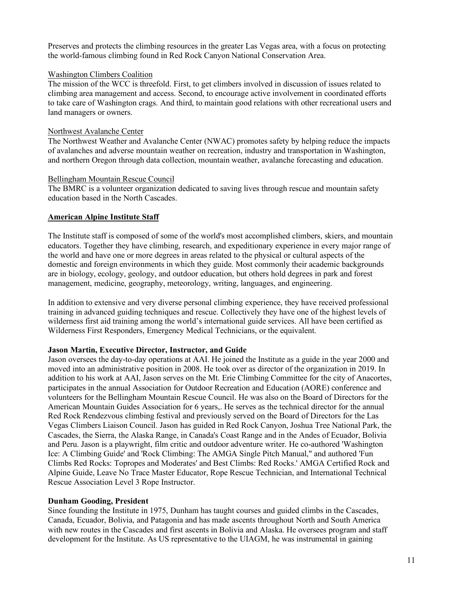Preserves and protects the climbing resources in the greater Las Vegas area, with a focus on protecting the world-famous climbing found in Red Rock Canyon National Conservation Area.

#### Washington Climbers Coalition

The mission of the WCC is threefold. First, to get climbers involved in discussion of issues related to climbing area management and access. Second, to encourage active involvement in coordinated efforts to take care of Washington crags. And third, to maintain good relations with other recreational users and land managers or owners.

#### Northwest Avalanche Center

The Northwest Weather and Avalanche Center (NWAC) promotes safety by helping reduce the impacts of avalanches and adverse mountain weather on recreation, industry and transportation in Washington, and northern Oregon through data collection, mountain weather, avalanche forecasting and education.

#### Bellingham Mountain Rescue Council

The BMRC is a volunteer organization dedicated to saving lives through rescue and mountain safety education based in the North Cascades.

#### **American Alpine Institute Staff**

The Institute staff is composed of some of the world's most accomplished climbers, skiers, and mountain educators. Together they have climbing, research, and expeditionary experience in every major range of the world and have one or more degrees in areas related to the physical or cultural aspects of the domestic and foreign environments in which they guide. Most commonly their academic backgrounds are in biology, ecology, geology, and outdoor education, but others hold degrees in park and forest management, medicine, geography, meteorology, writing, languages, and engineering.

In addition to extensive and very diverse personal climbing experience, they have received professional training in advanced guiding techniques and rescue. Collectively they have one of the highest levels of wilderness first aid training among the world's international guide services. All have been certified as Wilderness First Responders, Emergency Medical Technicians, or the equivalent.

#### **Jason Martin, Executive Director, Instructor, and Guide**

Jason oversees the day-to-day operations at AAI. He joined the Institute as a guide in the year 2000 and moved into an administrative position in 2008. He took over as director of the organization in 2019. In addition to his work at AAI, Jason serves on the Mt. Erie Climbing Committee for the city of Anacortes, participates in the annual Association for Outdoor Recreation and Education (AORE) conference and volunteers for the Bellingham Mountain Rescue Council. He was also on the Board of Directors for the American Mountain Guides Association for 6 years,. He serves as the technical director for the annual Red Rock Rendezvous climbing festival and previously served on the Board of Directors for the Las Vegas Climbers Liaison Council. Jason has guided in Red Rock Canyon, Joshua Tree National Park, the Cascades, the Sierra, the Alaska Range, in Canada's Coast Range and in the Andes of Ecuador, Bolivia and Peru. Jason is a playwright, film critic and outdoor adventure writer. He co-authored 'Washington Ice: A Climbing Guide' and 'Rock Climbing: The AMGA Single Pitch Manual," and authored 'Fun Climbs Red Rocks: Topropes and Moderates' and Best Climbs: Red Rocks.' AMGA Certified Rock and Alpine Guide, Leave No Trace Master Educator, Rope Rescue Technician, and International Technical Rescue Association Level 3 Rope Instructor.

#### **Dunham Gooding, President**

Since founding the Institute in 1975, Dunham has taught courses and guided climbs in the Cascades, Canada, Ecuador, Bolivia, and Patagonia and has made ascents throughout North and South America with new routes in the Cascades and first ascents in Bolivia and Alaska. He oversees program and staff development for the Institute. As US representative to the UIAGM, he was instrumental in gaining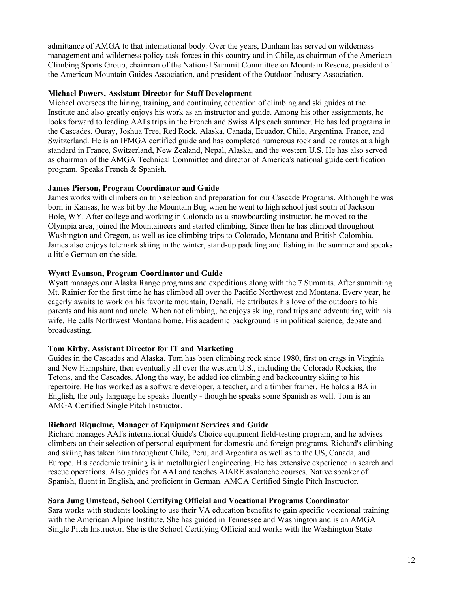admittance of AMGA to that international body. Over the years, Dunham has served on wilderness management and wilderness policy task forces in this country and in Chile, as chairman of the American Climbing Sports Group, chairman of the National Summit Committee on Mountain Rescue, president of the American Mountain Guides Association, and president of the Outdoor Industry Association.

#### **Michael Powers, Assistant Director for Staff Development**

Michael oversees the hiring, training, and continuing education of climbing and ski guides at the Institute and also greatly enjoys his work as an instructor and guide. Among his other assignments, he looks forward to leading AAI's trips in the French and Swiss Alps each summer. He has led programs in the Cascades, Ouray, Joshua Tree, Red Rock, Alaska, Canada, Ecuador, Chile, Argentina, France, and Switzerland. He is an IFMGA certified guide and has completed numerous rock and ice routes at a high standard in France, Switzerland, New Zealand, Nepal, Alaska, and the western U.S. He has also served as chairman of the AMGA Technical Committee and director of America's national guide certification program. Speaks French & Spanish.

# **James Pierson, Program Coordinator and Guide**

James works with climbers on trip selection and preparation for our Cascade Programs. Although he was born in Kansas, he was bit by the Mountain Bug when he went to high school just south of Jackson Hole, WY. After college and working in Colorado as a snowboarding instructor, he moved to the Olympia area, joined the Mountaineers and started climbing. Since then he has climbed throughout Washington and Oregon, as well as ice climbing trips to Colorado, Montana and British Colombia. James also enjoys telemark skiing in the winter, stand-up paddling and fishing in the summer and speaks a little German on the side.

# **Wyatt Evanson, Program Coordinator and Guide**

Wyatt manages our Alaska Range programs and expeditions along with the 7 Summits. After summiting Mt. Rainier for the first time he has climbed all over the Pacific Northwest and Montana. Every year, he eagerly awaits to work on his favorite mountain, Denali. He attributes his love of the outdoors to his parents and his aunt and uncle. When not climbing, he enjoys skiing, road trips and adventuring with his wife. He calls Northwest Montana home. His academic background is in political science, debate and broadcasting.

#### **Tom Kirby, Assistant Director for IT and Marketing**

Guides in the Cascades and Alaska. Tom has been climbing rock since 1980, first on crags in Virginia and New Hampshire, then eventually all over the western U.S., including the Colorado Rockies, the Tetons, and the Cascades. Along the way, he added ice climbing and backcountry skiing to his repertoire. He has worked as a software developer, a teacher, and a timber framer. He holds a BA in English, the only language he speaks fluently - though he speaks some Spanish as well. Tom is an AMGA Certified Single Pitch Instructor.

#### **Richard Riquelme, Manager of Equipment Services and Guide**

Richard manages AAI's international Guide's Choice equipment field-testing program, and he advises climbers on their selection of personal equipment for domestic and foreign programs. Richard's climbing and skiing has taken him throughout Chile, Peru, and Argentina as well as to the US, Canada, and Europe. His academic training is in metallurgical engineering. He has extensive experience in search and rescue operations. Also guides for AAI and teaches AIARE avalanche courses. Native speaker of Spanish, fluent in English, and proficient in German. AMGA Certified Single Pitch Instructor.

#### **Sara Jung Umstead, School Certifying Official and Vocational Programs Coordinator**

Sara works with students looking to use their VA education benefits to gain specific vocational training with the American Alpine Institute. She has guided in Tennessee and Washington and is an AMGA Single Pitch Instructor. She is the School Certifying Official and works with the Washington State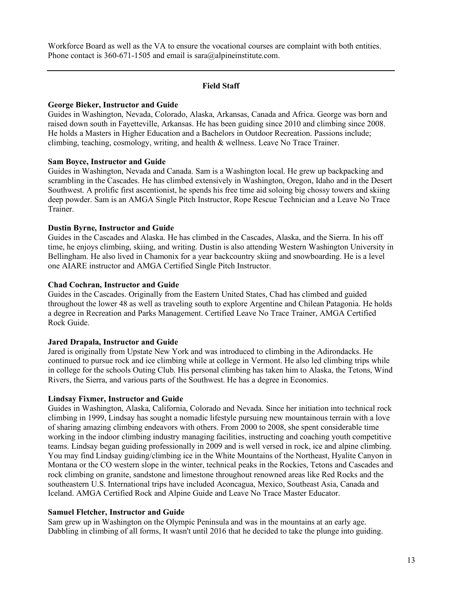Workforce Board as well as the VA to ensure the vocational courses are complaint with both entities. Phone contact is 360-671-1505 and email is  $\text{sar}(\alpha)$  alpineinstitute.com.

#### **Field Staff**

#### **George Bieker, Instructor and Guide**

Guides in Washington, Nevada, Colorado, Alaska, Arkansas, Canada and Africa. George was born and raised down south in Fayetteville, Arkansas. He has been guiding since 2010 and climbing since 2008. He holds a Masters in Higher Education and a Bachelors in Outdoor Recreation. Passions include; climbing, teaching, cosmology, writing, and health & wellness. Leave No Trace Trainer.

#### **Sam Boyce, Instructor and Guide**

Guides in Washington, Nevada and Canada. Sam is a Washington local. He grew up backpacking and scrambling in the Cascades. He has climbed extensively in Washington, Oregon, Idaho and in the Desert Southwest. A prolific first ascentionist, he spends his free time aid soloing big chossy towers and skiing deep powder. Sam is an AMGA Single Pitch Instructor, Rope Rescue Technician and a Leave No Trace Trainer.

#### **Dustin Byrne, Instructor and Guide**

Guides in the Cascades and Alaska. He has climbed in the Cascades, Alaska, and the Sierra. In his off time, he enjoys climbing, skiing, and writing. Dustin is also attending Western Washington University in Bellingham. He also lived in Chamonix for a year backcountry skiing and snowboarding. He is a level one AIARE instructor and AMGA Certified Single Pitch Instructor.

#### **Chad Cochran, Instructor and Guide**

Guides in the Cascades. Originally from the Eastern United States, Chad has climbed and guided throughout the lower 48 as well as traveling south to explore Argentine and Chilean Patagonia. He holds a degree in Recreation and Parks Management. Certified Leave No Trace Trainer, AMGA Certified Rock Guide.

#### **Jared Drapala, Instructor and Guide**

Jared is originally from Upstate New York and was introduced to climbing in the Adirondacks. He continued to pursue rock and ice climbing while at college in Vermont. He also led climbing trips while in college for the schools Outing Club. His personal climbing has taken him to Alaska, the Tetons, Wind Rivers, the Sierra, and various parts of the Southwest. He has a degree in Economics.

#### **Lindsay Fixmer, Instructor and Guide**

Guides in Washington, Alaska, California, Colorado and Nevada. Since her initiation into technical rock climbing in 1999, Lindsay has sought a nomadic lifestyle pursuing new mountainous terrain with a love of sharing amazing climbing endeavors with others. From 2000 to 2008, she spent considerable time working in the indoor climbing industry managing facilities, instructing and coaching youth competitive teams. Lindsay began guiding professionally in 2009 and is well versed in rock, ice and alpine climbing. You may find Lindsay guiding/climbing ice in the White Mountains of the Northeast, Hyalite Canyon in Montana or the CO western slope in the winter, technical peaks in the Rockies, Tetons and Cascades and rock climbing on granite, sandstone and limestone throughout renowned areas like Red Rocks and the southeastern U.S. International trips have included Aconcagua, Mexico, Southeast Asia, Canada and Iceland. AMGA Certified Rock and Alpine Guide and Leave No Trace Master Educator.

#### **Samuel Fletcher, Instructor and Guide**

Sam grew up in Washington on the Olympic Peninsula and was in the mountains at an early age. Dabbling in climbing of all forms, It wasn't until 2016 that he decided to take the plunge into guiding.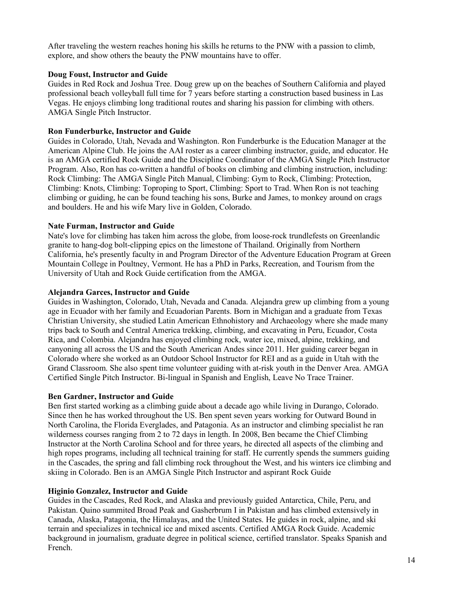After traveling the western reaches honing his skills he returns to the PNW with a passion to climb, explore, and show others the beauty the PNW mountains have to offer.

#### **Doug Foust, Instructor and Guide**

Guides in Red Rock and Joshua Tree. Doug grew up on the beaches of Southern California and played professional beach volleyball full time for 7 years before starting a construction based business in Las Vegas. He enjoys climbing long traditional routes and sharing his passion for climbing with others. AMGA Single Pitch Instructor.

# **Ron Funderburke, Instructor and Guide**

Guides in Colorado, Utah, Nevada and Washington. Ron Funderburke is the Education Manager at the American Alpine Club. He joins the AAI roster as a career climbing instructor, guide, and educator. He is an AMGA certified Rock Guide and the Discipline Coordinator of the AMGA Single Pitch Instructor Program. Also, Ron has co-written a handful of books on climbing and climbing instruction, including: Rock Climbing: The AMGA Single Pitch Manual, Climbing: Gym to Rock, Climbing: Protection, Climbing: Knots, Climbing: Toproping to Sport, Climbing: Sport to Trad. When Ron is not teaching climbing or guiding, he can be found teaching his sons, Burke and James, to monkey around on crags and boulders. He and his wife Mary live in Golden, Colorado.

# **Nate Furman, Instructor and Guide**

Nate's love for climbing has taken him across the globe, from loose-rock trundlefests on Greenlandic granite to hang-dog bolt-clipping epics on the limestone of Thailand. Originally from Northern California, he's presently faculty in and Program Director of the Adventure Education Program at Green Mountain College in Poultney, Vermont. He has a PhD in Parks, Recreation, and Tourism from the University of Utah and Rock Guide certification from the AMGA.

#### **Alejandra Garces, Instructor and Guide**

Guides in Washington, Colorado, Utah, Nevada and Canada. Alejandra grew up climbing from a young age in Ecuador with her family and Ecuadorian Parents. Born in Michigan and a graduate from Texas Christian University, she studied Latin American Ethnohistory and Archaeology where she made many trips back to South and Central America trekking, climbing, and excavating in Peru, Ecuador, Costa Rica, and Colombia. Alejandra has enjoyed climbing rock, water ice, mixed, alpine, trekking, and canyoning all across the US and the South American Andes since 2011. Her guiding career began in Colorado where she worked as an Outdoor School Instructor for REI and as a guide in Utah with the Grand Classroom. She also spent time volunteer guiding with at-risk youth in the Denver Area. AMGA Certified Single Pitch Instructor. Bi-lingual in Spanish and English, Leave No Trace Trainer.

#### **Ben Gardner, Instructor and Guide**

Ben first started working as a climbing guide about a decade ago while living in Durango, Colorado. Since then he has worked throughout the US. Ben spent seven years working for Outward Bound in North Carolina, the Florida Everglades, and Patagonia. As an instructor and climbing specialist he ran wilderness courses ranging from 2 to 72 days in length. In 2008, Ben became the Chief Climbing Instructor at the North Carolina School and for three years, he directed all aspects of the climbing and high ropes programs, including all technical training for staff. He currently spends the summers guiding in the Cascades, the spring and fall climbing rock throughout the West, and his winters ice climbing and skiing in Colorado. Ben is an AMGA Single Pitch Instructor and aspirant Rock Guide

#### **Higinio Gonzalez, Instructor and Guide**

Guides in the Cascades, Red Rock, and Alaska and previously guided Antarctica, Chile, Peru, and Pakistan. Quino summited Broad Peak and Gasherbrum I in Pakistan and has climbed extensively in Canada, Alaska, Patagonia, the Himalayas, and the United States. He guides in rock, alpine, and ski terrain and specializes in technical ice and mixed ascents. Certified AMGA Rock Guide. Academic background in journalism, graduate degree in political science, certified translator. Speaks Spanish and French.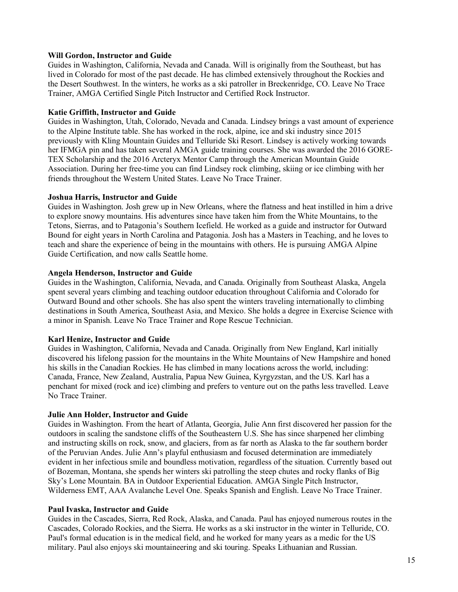# **Will Gordon, Instructor and Guide**

Guides in Washington, California, Nevada and Canada. Will is originally from the Southeast, but has lived in Colorado for most of the past decade. He has climbed extensively throughout the Rockies and the Desert Southwest. In the winters, he works as a ski patroller in Breckenridge, CO. Leave No Trace Trainer, AMGA Certified Single Pitch Instructor and Certified Rock Instructor.

#### **Katie Griffith, Instructor and Guide**

Guides in Washington, Utah, Colorado, Nevada and Canada. Lindsey brings a vast amount of experience to the Alpine Institute table. She has worked in the rock, alpine, ice and ski industry since 2015 previously with Kling Mountain Guides and Telluride Ski Resort. Lindsey is actively working towards her IFMGA pin and has taken several AMGA guide training courses. She was awarded the 2016 GORE-TEX Scholarship and the 2016 Arcteryx Mentor Camp through the American Mountain Guide Association. During her free-time you can find Lindsey rock climbing, skiing or ice climbing with her friends throughout the Western United States. Leave No Trace Trainer.

# **Joshua Harris, Instructor and Guide**

Guides in Washington. Josh grew up in New Orleans, where the flatness and heat instilled in him a drive to explore snowy mountains. His adventures since have taken him from the White Mountains, to the Tetons, Sierras, and to Patagonia's Southern Icefield. He worked as a guide and instructor for Outward Bound for eight years in North Carolina and Patagonia. Josh has a Masters in Teaching, and he loves to teach and share the experience of being in the mountains with others. He is pursuing AMGA Alpine Guide Certification, and now calls Seattle home.

# **Angela Henderson, Instructor and Guide**

Guides in the Washington, California, Nevada, and Canada. Originally from Southeast Alaska, Angela spent several years climbing and teaching outdoor education throughout California and Colorado for Outward Bound and other schools. She has also spent the winters traveling internationally to climbing destinations in South America, Southeast Asia, and Mexico. She holds a degree in Exercise Science with a minor in Spanish. Leave No Trace Trainer and Rope Rescue Technician.

# **Karl Henize, Instructor and Guide**

Guides in Washington, California, Nevada and Canada. Originally from New England, Karl initially discovered his lifelong passion for the mountains in the White Mountains of New Hampshire and honed his skills in the Canadian Rockies. He has climbed in many locations across the world, including: Canada, France, New Zealand, Australia, Papua New Guinea, Kyrgyzstan, and the US. Karl has a penchant for mixed (rock and ice) climbing and prefers to venture out on the paths less travelled. Leave No Trace Trainer.

#### **Julie Ann Holder, Instructor and Guide**

Guides in Washington. From the heart of Atlanta, Georgia, Julie Ann first discovered her passion for the outdoors in scaling the sandstone cliffs of the Southeastern U.S. She has since sharpened her climbing and instructing skills on rock, snow, and glaciers, from as far north as Alaska to the far southern border of the Peruvian Andes. Julie Ann's playful enthusiasm and focused determination are immediately evident in her infectious smile and boundless motivation, regardless of the situation. Currently based out of Bozeman, Montana, she spends her winters ski patrolling the steep chutes and rocky flanks of Big Sky's Lone Mountain. BA in Outdoor Experiential Education. AMGA Single Pitch Instructor, Wilderness EMT, AAA Avalanche Level One. Speaks Spanish and English. Leave No Trace Trainer.

# **Paul Ivaska, Instructor and Guide**

Guides in the Cascades, Sierra, Red Rock, Alaska, and Canada. Paul has enjoyed numerous routes in the Cascades, Colorado Rockies, and the Sierra. He works as a ski instructor in the winter in Telluride, CO. Paul's formal education is in the medical field, and he worked for many years as a medic for the US military. Paul also enjoys ski mountaineering and ski touring. Speaks Lithuanian and Russian.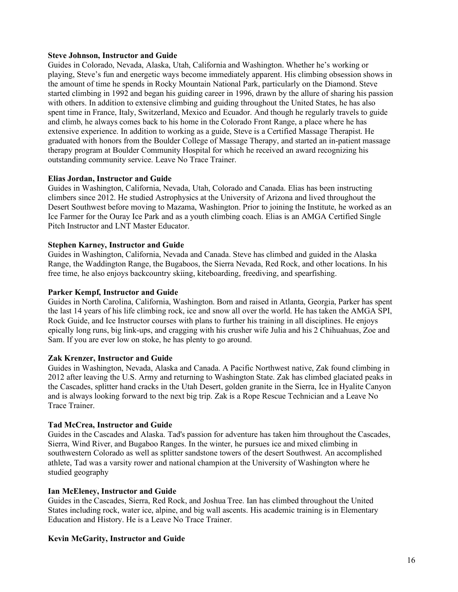#### **Steve Johnson, Instructor and Guide**

Guides in Colorado, Nevada, Alaska, Utah, California and Washington. Whether he's working or playing, Steve's fun and energetic ways become immediately apparent. His climbing obsession shows in the amount of time he spends in Rocky Mountain National Park, particularly on the Diamond. Steve started climbing in 1992 and began his guiding career in 1996, drawn by the allure of sharing his passion with others. In addition to extensive climbing and guiding throughout the United States, he has also spent time in France, Italy, Switzerland, Mexico and Ecuador. And though he regularly travels to guide and climb, he always comes back to his home in the Colorado Front Range, a place where he has extensive experience. In addition to working as a guide, Steve is a Certified Massage Therapist. He graduated with honors from the Boulder College of Massage Therapy, and started an in-patient massage therapy program at Boulder Community Hospital for which he received an award recognizing his outstanding community service. Leave No Trace Trainer.

# **Elias Jordan, Instructor and Guide**

Guides in Washington, California, Nevada, Utah, Colorado and Canada. Elias has been instructing climbers since 2012. He studied Astrophysics at the University of Arizona and lived throughout the Desert Southwest before moving to Mazama, Washington. Prior to joining the Institute, he worked as an Ice Farmer for the Ouray Ice Park and as a youth climbing coach. Elias is an AMGA Certified Single Pitch Instructor and LNT Master Educator.

# **Stephen Karney, Instructor and Guide**

Guides in Washington, California, Nevada and Canada. Steve has climbed and guided in the Alaska Range, the Waddington Range, the Bugaboos, the Sierra Nevada, Red Rock, and other locations. In his free time, he also enjoys backcountry skiing, kiteboarding, freediving, and spearfishing.

# **Parker Kempf, Instructor and Guide**

Guides in North Carolina, California, Washington. Born and raised in Atlanta, Georgia, Parker has spent the last 14 years of his life climbing rock, ice and snow all over the world. He has taken the AMGA SPI, Rock Guide, and Ice Instructor courses with plans to further his training in all disciplines. He enjoys epically long runs, big link-ups, and cragging with his crusher wife Julia and his 2 Chihuahuas, Zoe and Sam. If you are ever low on stoke, he has plenty to go around.

#### **Zak Krenzer, Instructor and Guide**

Guides in Washington, Nevada, Alaska and Canada. A Pacific Northwest native, Zak found climbing in 2012 after leaving the U.S. Army and returning to Washington State. Zak has climbed glaciated peaks in the Cascades, splitter hand cracks in the Utah Desert, golden granite in the Sierra, Ice in Hyalite Canyon and is always looking forward to the next big trip. Zak is a Rope Rescue Technician and a Leave No Trace Trainer.

#### **Tad McCrea, Instructor and Guide**

Guides in the Cascades and Alaska. Tad's passion for adventure has taken him throughout the Cascades, Sierra, Wind River, and Bugaboo Ranges. In the winter, he pursues ice and mixed climbing in southwestern Colorado as well as splitter sandstone towers of the desert Southwest. An accomplished athlete, Tad was a varsity rower and national champion at the University of Washington where he studied geography

# **Ian McEleney, Instructor and Guide**

Guides in the Cascades, Sierra, Red Rock, and Joshua Tree. Ian has climbed throughout the United States including rock, water ice, alpine, and big wall ascents. His academic training is in Elementary Education and History. He is a Leave No Trace Trainer.

#### **Kevin McGarity, Instructor and Guide**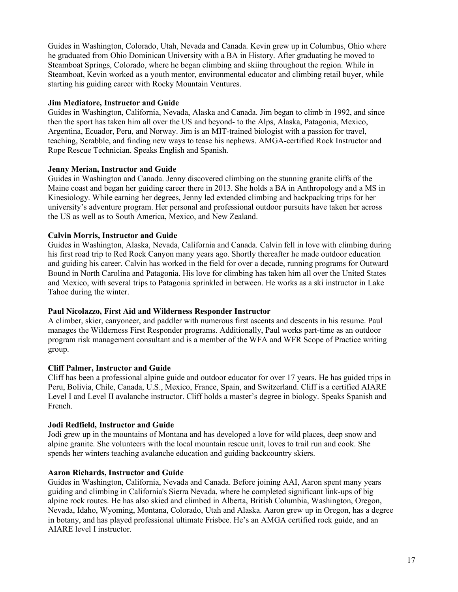Guides in Washington, Colorado, Utah, Nevada and Canada. Kevin grew up in Columbus, Ohio where he graduated from Ohio Dominican University with a BA in History. After graduating he moved to Steamboat Springs, Colorado, where he began climbing and skiing throughout the region. While in Steamboat, Kevin worked as a youth mentor, environmental educator and climbing retail buyer, while starting his guiding career with Rocky Mountain Ventures.

#### **Jim Mediatore, Instructor and Guide**

Guides in Washington, California, Nevada, Alaska and Canada. Jim began to climb in 1992, and since then the sport has taken him all over the US and beyond- to the Alps, Alaska, Patagonia, Mexico, Argentina, Ecuador, Peru, and Norway. Jim is an MIT-trained biologist with a passion for travel, teaching, Scrabble, and finding new ways to tease his nephews. AMGA-certified Rock Instructor and Rope Rescue Technician. Speaks English and Spanish.

#### **Jenny Merian, Instructor and Guide**

Guides in Washington and Canada. Jenny discovered climbing on the stunning granite cliffs of the Maine coast and began her guiding career there in 2013. She holds a BA in Anthropology and a MS in Kinesiology. While earning her degrees, Jenny led extended climbing and backpacking trips for her university's adventure program. Her personal and professional outdoor pursuits have taken her across the US as well as to South America, Mexico, and New Zealand.

# **Calvin Morris, Instructor and Guide**

Guides in Washington, Alaska, Nevada, California and Canada. Calvin fell in love with climbing during his first road trip to Red Rock Canyon many years ago. Shortly thereafter he made outdoor education and guiding his career. Calvin has worked in the field for over a decade, running programs for Outward Bound in North Carolina and Patagonia. His love for climbing has taken him all over the United States and Mexico, with several trips to Patagonia sprinkled in between. He works as a ski instructor in Lake Tahoe during the winter.

#### **Paul Nicolazzo, First Aid and Wilderness Responder Instructor**

A climber, skier, canyoneer, and paddler with numerous first ascents and descents in his resume. Paul manages the Wilderness First Responder programs. Additionally, Paul works part-time as an outdoor program risk management consultant and is a member of the WFA and WFR Scope of Practice writing group.

#### **Cliff Palmer, Instructor and Guide**

Cliff has been a professional alpine guide and outdoor educator for over 17 years. He has guided trips in Peru, Bolivia, Chile, Canada, U.S., Mexico, France, Spain, and Switzerland. Cliff is a certified AIARE Level I and Level II avalanche instructor. Cliff holds a master's degree in biology. Speaks Spanish and French.

#### **Jodi Redfield, Instructor and Guide**

Jodi grew up in the mountains of Montana and has developed a love for wild places, deep snow and alpine granite. She volunteers with the local mountain rescue unit, loves to trail run and cook. She spends her winters teaching avalanche education and guiding backcountry skiers.

#### **Aaron Richards, Instructor and Guide**

Guides in Washington, California, Nevada and Canada. Before joining AAI, Aaron spent many years guiding and climbing in California's Sierra Nevada, where he completed significant link-ups of big alpine rock routes. He has also skied and climbed in Alberta, British Columbia, Washington, Oregon, Nevada, Idaho, Wyoming, Montana, Colorado, Utah and Alaska. Aaron grew up in Oregon, has a degree in botany, and has played professional ultimate Frisbee. He's an AMGA certified rock guide, and an AIARE level I instructor.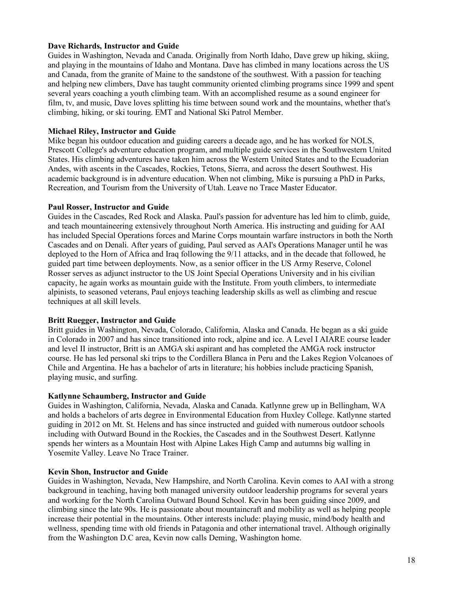# **Dave Richards, Instructor and Guide**

Guides in Washington, Nevada and Canada. Originally from North Idaho, Dave grew up hiking, skiing, and playing in the mountains of Idaho and Montana. Dave has climbed in many locations across the US and Canada, from the granite of Maine to the sandstone of the southwest. With a passion for teaching and helping new climbers, Dave has taught community oriented climbing programs since 1999 and spent several years coaching a youth climbing team. With an accomplished resume as a sound engineer for film, tv, and music, Dave loves splitting his time between sound work and the mountains, whether that's climbing, hiking, or ski touring. EMT and National Ski Patrol Member.

# **Michael Riley, Instructor and Guide**

Mike began his outdoor education and guiding careers a decade ago, and he has worked for NOLS, Prescott College's adventure education program, and multiple guide services in the Southwestern United States. His climbing adventures have taken him across the Western United States and to the Ecuadorian Andes, with ascents in the Cascades, Rockies, Tetons, Sierra, and across the desert Southwest. His academic background is in adventure education. When not climbing, Mike is pursuing a PhD in Parks, Recreation, and Tourism from the University of Utah. Leave no Trace Master Educator.

# **Paul Rosser, Instructor and Guide**

Guides in the Cascades, Red Rock and Alaska. Paul's passion for adventure has led him to climb, guide, and teach mountaineering extensively throughout North America. His instructing and guiding for AAI has included Special Operations forces and Marine Corps mountain warfare instructors in both the North Cascades and on Denali. After years of guiding, Paul served as AAI's Operations Manager until he was deployed to the Horn of Africa and Iraq following the 9/11 attacks, and in the decade that followed, he guided part time between deployments. Now, as a senior officer in the US Army Reserve, Colonel Rosser serves as adjunct instructor to the US Joint Special Operations University and in his civilian capacity, he again works as mountain guide with the Institute. From youth climbers, to intermediate alpinists, to seasoned veterans, Paul enjoys teaching leadership skills as well as climbing and rescue techniques at all skill levels.

#### **Britt Ruegger, Instructor and Guide**

Britt guides in Washington, Nevada, Colorado, California, Alaska and Canada. He began as a ski guide in Colorado in 2007 and has since transitioned into rock, alpine and ice. A Level I AIARE course leader and level II instructor, Britt is an AMGA ski aspirant and has completed the AMGA rock instructor course. He has led personal ski trips to the Cordillera Blanca in Peru and the Lakes Region Volcanoes of Chile and Argentina. He has a bachelor of arts in literature; his hobbies include practicing Spanish, playing music, and surfing.

#### **Katlynne Schaumberg, Instructor and Guide**

Guides in Washington, California, Nevada, Alaska and Canada. Katlynne grew up in Bellingham, WA and holds a bachelors of arts degree in Environmental Education from Huxley College. Katlynne started guiding in 2012 on Mt. St. Helens and has since instructed and guided with numerous outdoor schools including with Outward Bound in the Rockies, the Cascades and in the Southwest Desert. Katlynne spends her winters as a Mountain Host with Alpine Lakes High Camp and autumns big walling in Yosemite Valley. Leave No Trace Trainer.

#### **Kevin Shon, Instructor and Guide**

Guides in Washington, Nevada, New Hampshire, and North Carolina. Kevin comes to AAI with a strong background in teaching, having both managed university outdoor leadership programs for several years and working for the North Carolina Outward Bound School. Kevin has been guiding since 2009, and climbing since the late 90s. He is passionate about mountaincraft and mobility as well as helping people increase their potential in the mountains. Other interests include: playing music, mind/body health and wellness, spending time with old friends in Patagonia and other international travel. Although originally from the Washington D.C area, Kevin now calls Deming, Washington home.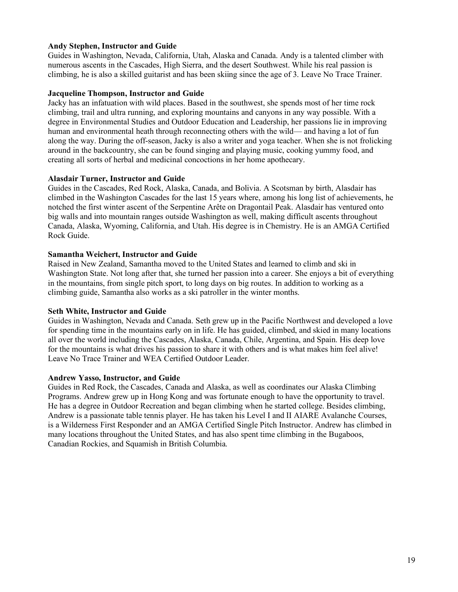# **Andy Stephen, Instructor and Guide**

Guides in Washington, Nevada, California, Utah, Alaska and Canada. Andy is a talented climber with numerous ascents in the Cascades, High Sierra, and the desert Southwest. While his real passion is climbing, he is also a skilled guitarist and has been skiing since the age of 3. Leave No Trace Trainer.

#### **Jacqueline Thompson, Instructor and Guide**

Jacky has an infatuation with wild places. Based in the southwest, she spends most of her time rock climbing, trail and ultra running, and exploring mountains and canyons in any way possible. With a degree in Environmental Studies and Outdoor Education and Leadership, her passions lie in improving human and environmental heath through reconnecting others with the wild— and having a lot of fun along the way. During the off-season, Jacky is also a writer and yoga teacher. When she is not frolicking around in the backcountry, she can be found singing and playing music, cooking yummy food, and creating all sorts of herbal and medicinal concoctions in her home apothecary.

#### **Alasdair Turner, Instructor and Guide**

Guides in the Cascades, Red Rock, Alaska, Canada, and Bolivia. A Scotsman by birth, Alasdair has climbed in the Washington Cascades for the last 15 years where, among his long list of achievements, he notched the first winter ascent of the Serpentine Arête on Dragontail Peak. Alasdair has ventured onto big walls and into mountain ranges outside Washington as well, making difficult ascents throughout Canada, Alaska, Wyoming, California, and Utah. His degree is in Chemistry. He is an AMGA Certified Rock Guide.

#### **Samantha Weichert, Instructor and Guide**

Raised in New Zealand, Samantha moved to the United States and learned to climb and ski in Washington State. Not long after that, she turned her passion into a career. She enjoys a bit of everything in the mountains, from single pitch sport, to long days on big routes. In addition to working as a climbing guide, Samantha also works as a ski patroller in the winter months.

#### **Seth White, Instructor and Guide**

Guides in Washington, Nevada and Canada. Seth grew up in the Pacific Northwest and developed a love for spending time in the mountains early on in life. He has guided, climbed, and skied in many locations all over the world including the Cascades, Alaska, Canada, Chile, Argentina, and Spain. His deep love for the mountains is what drives his passion to share it with others and is what makes him feel alive! Leave No Trace Trainer and WEA Certified Outdoor Leader.

#### **Andrew Yasso, Instructor, and Guide**

Guides in Red Rock, the Cascades, Canada and Alaska, as well as coordinates our Alaska Climbing Programs. Andrew grew up in Hong Kong and was fortunate enough to have the opportunity to travel. He has a degree in Outdoor Recreation and began climbing when he started college. Besides climbing, Andrew is a passionate table tennis player. He has taken his Level I and II AIARE Avalanche Courses, is a Wilderness First Responder and an AMGA Certified Single Pitch Instructor. Andrew has climbed in many locations throughout the United States, and has also spent time climbing in the Bugaboos, Canadian Rockies, and Squamish in British Columbia.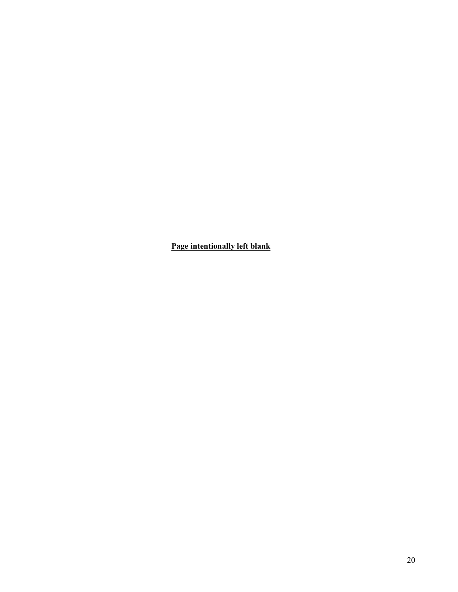**Page intentionally left blank**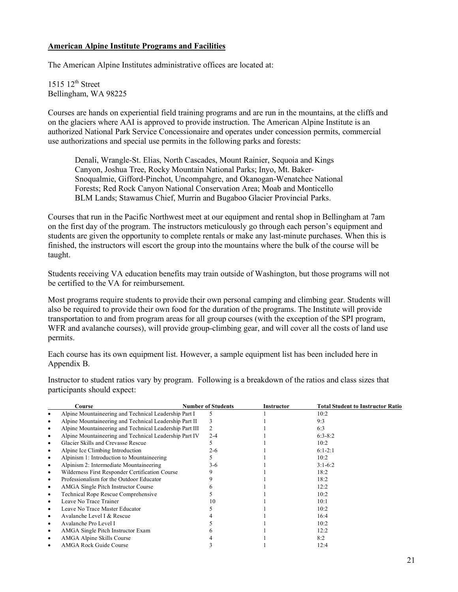#### **American Alpine Institute Programs and Facilities**

The American Alpine Institutes administrative offices are located at:

 $1515$   $12<sup>th</sup>$  Street Bellingham, WA 98225

Courses are hands on experiential field training programs and are run in the mountains, at the cliffs and on the glaciers where AAI is approved to provide instruction. The American Alpine Institute is an authorized National Park Service Concessionaire and operates under concession permits, commercial use authorizations and special use permits in the following parks and forests:

Denali, Wrangle-St. Elias, North Cascades, Mount Rainier, Sequoia and Kings Canyon, Joshua Tree, Rocky Mountain National Parks; Inyo, Mt. Baker-Snoqualmie, Gifford-Pinchot, Uncompahgre, and Okanogan-Wenatchee National Forests; Red Rock Canyon National Conservation Area; Moab and Monticello BLM Lands; Stawamus Chief, Murrin and Bugaboo Glacier Provincial Parks.

Courses that run in the Pacific Northwest meet at our equipment and rental shop in Bellingham at 7am on the first day of the program. The instructors meticulously go through each person's equipment and students are given the opportunity to complete rentals or make any last-minute purchases. When this is finished, the instructors will escort the group into the mountains where the bulk of the course will be taught.

Students receiving VA education benefits may train outside of Washington, but those programs will not be certified to the VA for reimbursement.

Most programs require students to provide their own personal camping and climbing gear. Students will also be required to provide their own food for the duration of the programs. The Institute will provide transportation to and from program areas for all group courses (with the exception of the SPI program, WFR and avalanche courses), will provide group-climbing gear, and will cover all the costs of land use permits.

Each course has its own equipment list. However, a sample equipment list has been included here in Appendix B.

Instructor to student ratios vary by program. Following is a breakdown of the ratios and class sizes that participants should expect:

|           | Course                                                  | <b>Number of Students</b> | Instructor | <b>Total Student to Instructor Ratio</b> |
|-----------|---------------------------------------------------------|---------------------------|------------|------------------------------------------|
|           | Alpine Mountaineering and Technical Leadership Part I   |                           |            | 10:2                                     |
| ٠         | Alpine Mountaineering and Technical Leadership Part II  |                           |            | 9:3                                      |
| ٠         | Alpine Mountaineering and Technical Leadership Part III | $\overline{c}$            |            | 6:3                                      |
| ٠         | Alpine Mountaineering and Technical Leadership Part IV  | $2 - 4$                   |            | $6:3-8:2$                                |
| ٠         | Glacier Skills and Crevasse Rescue                      |                           |            | 10:2                                     |
| ٠         | Alpine Ice Climbing Introduction                        | $2 - 6$                   |            | $6:1-2:1$                                |
| $\bullet$ | Alpinism 1: Introduction to Mountaineering              |                           |            | 10:2                                     |
| ٠         | Alpinism 2: Intermediate Mountaineering                 | 3-6                       |            | $3:1-6:2$                                |
| $\bullet$ | Wilderness First Responder Certification Course         |                           |            | 18:2                                     |
| ٠         | Professionalism for the Outdoor Educator                |                           |            | 18:2                                     |
| $\bullet$ | AMGA Single Pitch Instructor Course                     |                           |            | 12:2                                     |
| ٠         | Technical Rope Rescue Comprehensive                     |                           |            | 10:2                                     |
| ٠         | Leave No Trace Trainer                                  |                           |            | 10:1                                     |
| ٠         | Leave No Trace Master Educator                          |                           |            | 10:2                                     |
| ٠         | Avalanche Level I & Rescue                              |                           |            | 16:4                                     |
| ٠         | Avalanche Pro Level I                                   |                           |            | 10:2                                     |
| ٠         | AMGA Single Pitch Instructor Exam                       |                           |            | 12:2                                     |
| ٠         | AMGA Alpine Skills Course                               |                           |            | 8:2                                      |
|           | <b>AMGA Rock Guide Course</b>                           |                           |            | 12:4                                     |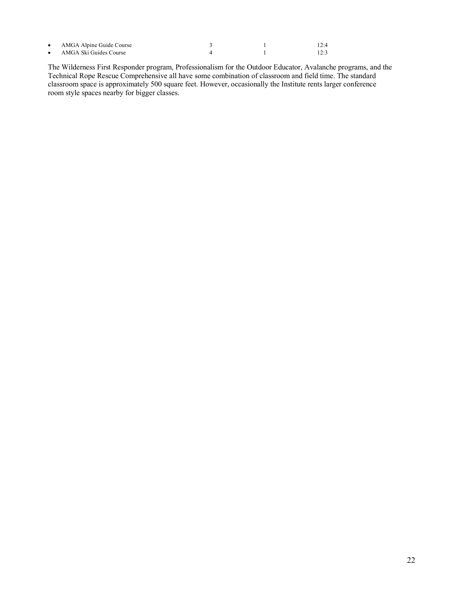| AMGA Alpine Guide Course |  | 12:4 |
|--------------------------|--|------|
| AMGA Ski Guides Course   |  | 12:3 |

The Wilderness First Responder program, Professionalism for the Outdoor Educator, Avalanche programs, and the Technical Rope Rescue Comprehensive all have some combination of classroom and field time. The standard classroom space is approximately 500 square feet. However, occasionally the Institute rents larger conference room style spaces nearby for bigger classes.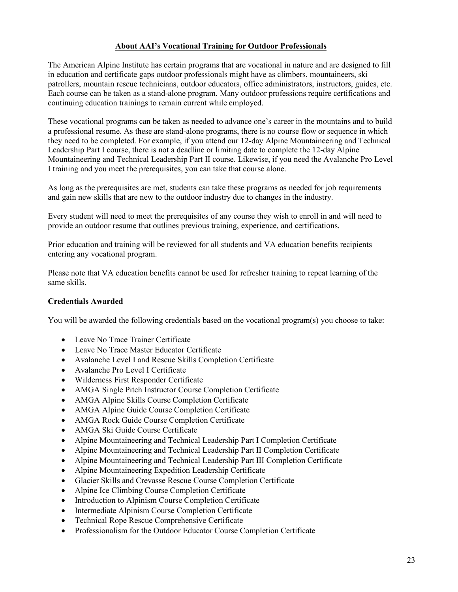# **About AAI's Vocational Training for Outdoor Professionals**

The American Alpine Institute has certain programs that are vocational in nature and are designed to fill in education and certificate gaps outdoor professionals might have as climbers, mountaineers, ski patrollers, mountain rescue technicians, outdoor educators, office administrators, instructors, guides, etc. Each course can be taken as a stand-alone program. Many outdoor professions require certifications and continuing education trainings to remain current while employed.

These vocational programs can be taken as needed to advance one's career in the mountains and to build a professional resume. As these are stand-alone programs, there is no course flow or sequence in which they need to be completed. For example, if you attend our 12-day Alpine Mountaineering and Technical Leadership Part I course, there is not a deadline or limiting date to complete the 12-day Alpine Mountaineering and Technical Leadership Part II course. Likewise, if you need the Avalanche Pro Level I training and you meet the prerequisites, you can take that course alone.

As long as the prerequisites are met, students can take these programs as needed for job requirements and gain new skills that are new to the outdoor industry due to changes in the industry.

Every student will need to meet the prerequisites of any course they wish to enroll in and will need to provide an outdoor resume that outlines previous training, experience, and certifications.

Prior education and training will be reviewed for all students and VA education benefits recipients entering any vocational program.

Please note that VA education benefits cannot be used for refresher training to repeat learning of the same skills.

#### **Credentials Awarded**

You will be awarded the following credentials based on the vocational program(s) you choose to take:

- Leave No Trace Trainer Certificate
- Leave No Trace Master Educator Certificate
- Avalanche Level I and Rescue Skills Completion Certificate
- Avalanche Pro Level I Certificate
- Wilderness First Responder Certificate
- AMGA Single Pitch Instructor Course Completion Certificate
- AMGA Alpine Skills Course Completion Certificate
- AMGA Alpine Guide Course Completion Certificate
- AMGA Rock Guide Course Completion Certificate
- AMGA Ski Guide Course Certificate
- Alpine Mountaineering and Technical Leadership Part I Completion Certificate
- Alpine Mountaineering and Technical Leadership Part II Completion Certificate
- Alpine Mountaineering and Technical Leadership Part III Completion Certificate
- Alpine Mountaineering Expedition Leadership Certificate
- Glacier Skills and Crevasse Rescue Course Completion Certificate
- Alpine Ice Climbing Course Completion Certificate
- Introduction to Alpinism Course Completion Certificate
- Intermediate Alpinism Course Completion Certificate
- Technical Rope Rescue Comprehensive Certificate
- Professionalism for the Outdoor Educator Course Completion Certificate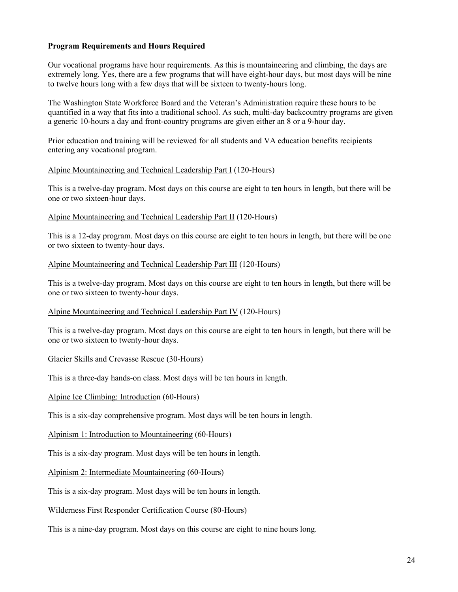# **Program Requirements and Hours Required**

Our vocational programs have hour requirements. As this is mountaineering and climbing, the days are extremely long. Yes, there are a few programs that will have eight-hour days, but most days will be nine to twelve hours long with a few days that will be sixteen to twenty-hours long.

The Washington State Workforce Board and the Veteran's Administration require these hours to be quantified in a way that fits into a traditional school. As such, multi-day backcountry programs are given a generic 10-hours a day and front-country programs are given either an 8 or a 9-hour day.

Prior education and training will be reviewed for all students and VA education benefits recipients entering any vocational program.

#### Alpine Mountaineering and Technical Leadership Part I (120-Hours)

This is a twelve-day program. Most days on this course are eight to ten hours in length, but there will be one or two sixteen-hour days.

#### Alpine Mountaineering and Technical Leadership Part II (120-Hours)

This is a 12-day program. Most days on this course are eight to ten hours in length, but there will be one or two sixteen to twenty-hour days.

#### Alpine Mountaineering and Technical Leadership Part III (120-Hours)

This is a twelve-day program. Most days on this course are eight to ten hours in length, but there will be one or two sixteen to twenty-hour days.

#### Alpine Mountaineering and Technical Leadership Part IV (120-Hours)

This is a twelve-day program. Most days on this course are eight to ten hours in length, but there will be one or two sixteen to twenty-hour days.

#### Glacier Skills and Crevasse Rescue (30-Hours)

This is a three-day hands-on class. Most days will be ten hours in length.

Alpine Ice Climbing: Introduction (60-Hours)

This is a six-day comprehensive program. Most days will be ten hours in length.

Alpinism 1: Introduction to Mountaineering (60-Hours)

This is a six-day program. Most days will be ten hours in length.

Alpinism 2: Intermediate Mountaineering (60-Hours)

This is a six-day program. Most days will be ten hours in length.

Wilderness First Responder Certification Course (80-Hours)

This is a nine-day program. Most days on this course are eight to nine hours long.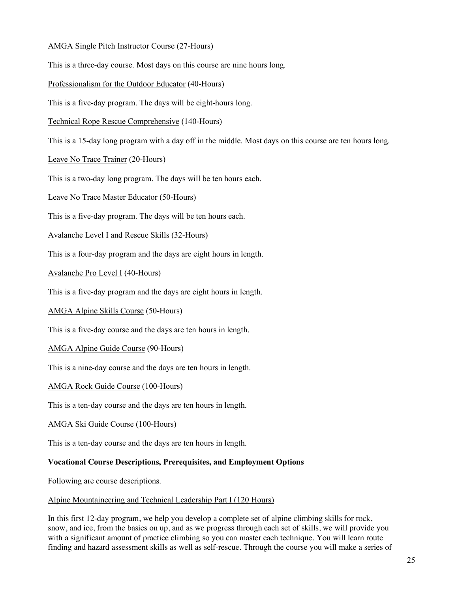# AMGA Single Pitch Instructor Course (27-Hours)

This is a three-day course. Most days on this course are nine hours long.

Professionalism for the Outdoor Educator (40-Hours)

This is a five-day program. The days will be eight-hours long.

Technical Rope Rescue Comprehensive (140-Hours)

This is a 15-day long program with a day off in the middle. Most days on this course are ten hours long.

Leave No Trace Trainer (20-Hours)

This is a two-day long program. The days will be ten hours each.

Leave No Trace Master Educator (50-Hours)

This is a five-day program. The days will be ten hours each.

Avalanche Level I and Rescue Skills (32-Hours)

This is a four-day program and the days are eight hours in length.

Avalanche Pro Level I (40-Hours)

This is a five-day program and the days are eight hours in length.

AMGA Alpine Skills Course (50-Hours)

This is a five-day course and the days are ten hours in length.

AMGA Alpine Guide Course (90-Hours)

This is a nine-day course and the days are ten hours in length.

AMGA Rock Guide Course (100-Hours)

This is a ten-day course and the days are ten hours in length.

AMGA Ski Guide Course (100-Hours)

This is a ten-day course and the days are ten hours in length.

#### **Vocational Course Descriptions, Prerequisites, and Employment Options**

Following are course descriptions.

#### Alpine Mountaineering and Technical Leadership Part I (120 Hours)

In this first 12-day program, we help you develop a complete set of alpine climbing skills for rock, snow, and ice, from the basics on up, and as we progress through each set of skills, we will provide you with a significant amount of practice climbing so you can master each technique. You will learn route finding and hazard assessment skills as well as self-rescue. Through the course you will make a series of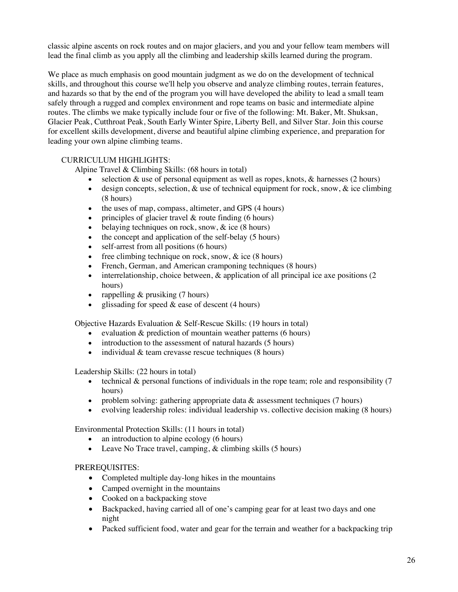classic alpine ascents on rock routes and on major glaciers, and you and your fellow team members will lead the final climb as you apply all the climbing and leadership skills learned during the program.

We place as much emphasis on good mountain judgment as we do on the development of technical skills, and throughout this course we'll help you observe and analyze climbing routes, terrain features, and hazards so that by the end of the program you will have developed the ability to lead a small team safely through a rugged and complex environment and rope teams on basic and intermediate alpine routes. The climbs we make typically include four or five of the following: Mt. Baker, Mt. Shuksan, Glacier Peak, Cutthroat Peak, South Early Winter Spire, Liberty Bell, and Silver Star. Join this course for excellent skills development, diverse and beautiful alpine climbing experience, and preparation for leading your own alpine climbing teams.

# CURRICULUM HIGHLIGHTS:

Alpine Travel & Climbing Skills: (68 hours in total)

- selection  $\&$  use of personal equipment as well as ropes, knots,  $\&$  harnesses (2 hours)
- design concepts, selection,  $\&$  use of technical equipment for rock, snow,  $\&$  ice climbing (8 hours)
- the uses of map, compass, altimeter, and GPS (4 hours)
- principles of glacier travel  $&$  route finding (6 hours)
- belaying techniques on rock, snow,  $\&$  ice (8 hours)
- the concept and application of the self-belay (5 hours)
- self-arrest from all positions (6 hours)
- free climbing technique on rock, snow,  $\&$  ice (8 hours)
- French, German, and American cramponing techniques (8 hours)
- interrelationship, choice between,  $\&$  application of all principal ice axe positions (2) hours)
- rappelling  $&$  prusiking (7 hours)
- glissading for speed  $&$  ease of descent (4 hours)

Objective Hazards Evaluation & Self-Rescue Skills: (19 hours in total)

- evaluation & prediction of mountain weather patterns (6 hours)
- introduction to the assessment of natural hazards (5 hours)
- individual & team crevasse rescue techniques (8 hours)

Leadership Skills: (22 hours in total)

- technical  $\&$  personal functions of individuals in the rope team; role and responsibility (7) hours)
- problem solving: gathering appropriate data & assessment techniques (7 hours)
- evolving leadership roles: individual leadership vs. collective decision making (8 hours)

Environmental Protection Skills: (11 hours in total)

- an introduction to alpine ecology (6 hours)
- Leave No Trace travel, camping,  $&$  climbing skills (5 hours)

#### PREREQUISITES:

- Completed multiple day-long hikes in the mountains
- Camped overnight in the mountains
- Cooked on a backpacking stove
- Backpacked, having carried all of one's camping gear for at least two days and one night
- Packed sufficient food, water and gear for the terrain and weather for a backpacking trip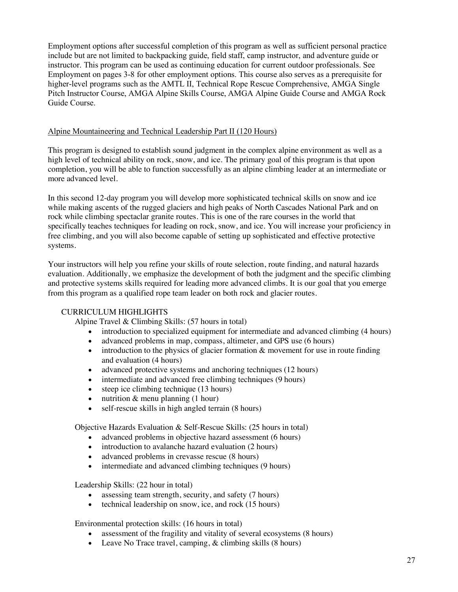Employment options after successful completion of this program as well as sufficient personal practice include but are not limited to backpacking guide, field staff, camp instructor, and adventure guide or instructor. This program can be used as continuing education for current outdoor professionals. See Employment on pages 3-8 for other employment options. This course also serves as a prerequisite for higher-level programs such as the AMTL II, Technical Rope Rescue Comprehensive, AMGA Single Pitch Instructor Course, AMGA Alpine Skills Course, AMGA Alpine Guide Course and AMGA Rock Guide Course.

# Alpine Mountaineering and Technical Leadership Part II (120 Hours)

This program is designed to establish sound judgment in the complex alpine environment as well as a high level of technical ability on rock, snow, and ice. The primary goal of this program is that upon completion, you will be able to function successfully as an alpine climbing leader at an intermediate or more advanced level.

In this second 12-day program you will develop more sophisticated technical skills on snow and ice while making ascents of the rugged glaciers and high peaks of North Cascades National Park and on rock while climbing spectaclar granite routes. This is one of the rare courses in the world that specifically teaches techniques for leading on rock, snow, and ice. You will increase your proficiency in free climbing, and you will also become capable of setting up sophisticated and effective protective systems.

Your instructors will help you refine your skills of route selection, route finding, and natural hazards evaluation. Additionally, we emphasize the development of both the judgment and the specific climbing and protective systems skills required for leading more advanced climbs. It is our goal that you emerge from this program as a qualified rope team leader on both rock and glacier routes.

#### CURRICULUM HIGHLIGHTS

Alpine Travel & Climbing Skills: (57 hours in total)

- introduction to specialized equipment for intermediate and advanced climbing (4 hours)
- advanced problems in map, compass, altimeter, and GPS use (6 hours)
- introduction to the physics of glacier formation & movement for use in route finding and evaluation (4 hours)
- advanced protective systems and anchoring techniques (12 hours)
- intermediate and advanced free climbing techniques (9 hours)
- steep ice climbing technique (13 hours)
- nutrition & menu planning (1 hour)
- self-rescue skills in high angled terrain (8 hours)

Objective Hazards Evaluation & Self-Rescue Skills: (25 hours in total)

- advanced problems in objective hazard assessment (6 hours)
- introduction to avalanche hazard evaluation (2 hours)
- advanced problems in crevasse rescue (8 hours)
- intermediate and advanced climbing techniques (9 hours)

Leadership Skills: (22 hour in total)

- assessing team strength, security, and safety (7 hours)
- technical leadership on snow, ice, and rock (15 hours)

Environmental protection skills: (16 hours in total)

- assessment of the fragility and vitality of several ecosystems (8 hours)
- Leave No Trace travel, camping, & climbing skills (8 hours)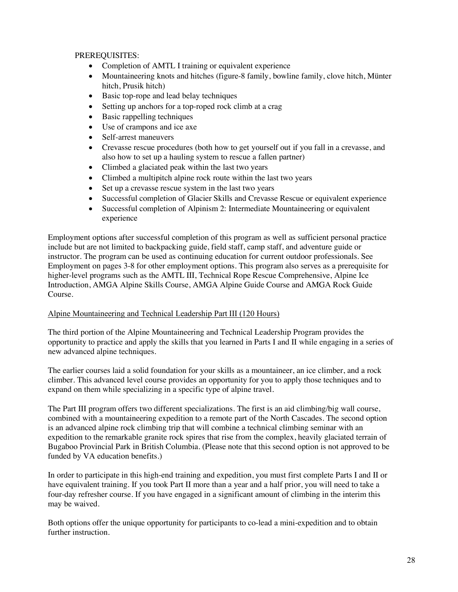# PREREQUISITES:

- Completion of AMTL I training or equivalent experience
- Mountaineering knots and hitches (figure-8 family, bowline family, clove hitch, Münter hitch, Prusik hitch)
- Basic top-rope and lead belay techniques
- Setting up anchors for a top-roped rock climb at a crag
- Basic rappelling techniques
- Use of crampons and ice axe
- Self-arrest maneuvers
- Crevasse rescue procedures (both how to get yourself out if you fall in a crevasse, and also how to set up a hauling system to rescue a fallen partner)
- Climbed a glaciated peak within the last two years
- Climbed a multipitch alpine rock route within the last two years
- Set up a crevasse rescue system in the last two years
- Successful completion of Glacier Skills and Crevasse Rescue or equivalent experience
- Successful completion of Alpinism 2: Intermediate Mountaineering or equivalent experience

Employment options after successful completion of this program as well as sufficient personal practice include but are not limited to backpacking guide, field staff, camp staff, and adventure guide or instructor. The program can be used as continuing education for current outdoor professionals. See Employment on pages 3-8 for other employment options. This program also serves as a prerequisite for higher-level programs such as the AMTL III, Technical Rope Rescue Comprehensive, Alpine Ice Introduction, AMGA Alpine Skills Course, AMGA Alpine Guide Course and AMGA Rock Guide Course.

#### Alpine Mountaineering and Technical Leadership Part III (120 Hours)

The third portion of the Alpine Mountaineering and Technical Leadership Program provides the opportunity to practice and apply the skills that you learned in Parts I and II while engaging in a series of new advanced alpine techniques.

The earlier courses laid a solid foundation for your skills as a mountaineer, an ice climber, and a rock climber. This advanced level course provides an opportunity for you to apply those techniques and to expand on them while specializing in a specific type of alpine travel.

The Part III program offers two different specializations. The first is an aid climbing/big wall course, combined with a mountaineering expedition to a remote part of the North Cascades. The second option is an advanced alpine rock climbing trip that will combine a technical climbing seminar with an expedition to the remarkable granite rock spires that rise from the complex, heavily glaciated terrain of Bugaboo Provincial Park in British Columbia. (Please note that this second option is not approved to be funded by VA education benefits.)

In order to participate in this high-end training and expedition, you must first complete Parts I and II or have equivalent training. If you took Part II more than a year and a half prior, you will need to take a four-day refresher course. If you have engaged in a significant amount of climbing in the interim this may be waived.

Both options offer the unique opportunity for participants to co-lead a mini-expedition and to obtain further instruction.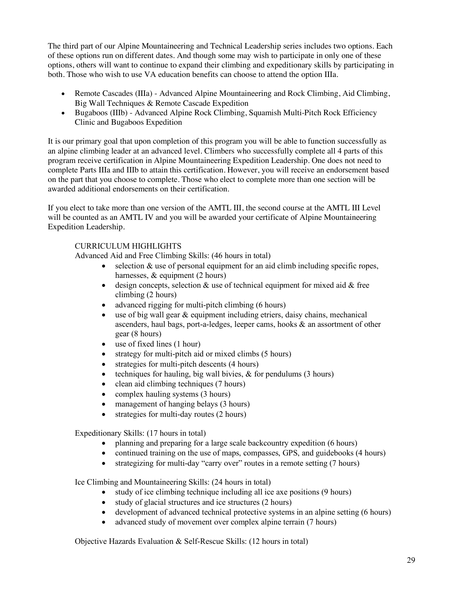The third part of our Alpine Mountaineering and Technical Leadership series includes two options. Each of these options run on different dates. And though some may wish to participate in only one of these options, others will want to continue to expand their climbing and expeditionary skills by participating in both. Those who wish to use VA education benefits can choose to attend the option IIIa.

- Remote Cascades (IIIa) Advanced Alpine Mountaineering and Rock Climbing, Aid Climbing, Big Wall Techniques & Remote Cascade Expedition
- Bugaboos (IIIb) Advanced Alpine Rock Climbing, Squamish Multi-Pitch Rock Efficiency Clinic and Bugaboos Expedition

It is our primary goal that upon completion of this program you will be able to function successfully as an alpine climbing leader at an advanced level. Climbers who successfully complete all 4 parts of this program receive certification in Alpine Mountaineering Expedition Leadership. One does not need to complete Parts IIIa and IIIb to attain this certification. However, you will receive an endorsement based on the part that you choose to complete. Those who elect to complete more than one section will be awarded additional endorsements on their certification.

If you elect to take more than one version of the AMTL III, the second course at the AMTL III Level will be counted as an AMTL IV and you will be awarded your certificate of Alpine Mountaineering Expedition Leadership.

# CURRICULUM HIGHLIGHTS

Advanced Aid and Free Climbing Skills: (46 hours in total)

- $\bullet$  selection  $\&$  use of personal equipment for an aid climb including specific ropes, harnesses, & equipment (2 hours)
- design concepts, selection  $\&$  use of technical equipment for mixed aid  $\&$  free climbing (2 hours)
- advanced rigging for multi-pitch climbing (6 hours)
- use of big wall gear  $\&$  equipment including etriers, daisy chains, mechanical ascenders, haul bags, port-a-ledges, leeper cams, hooks & an assortment of other gear (8 hours)
- use of fixed lines (1 hour)
- strategy for multi-pitch aid or mixed climbs (5 hours)
- strategies for multi-pitch descents (4 hours)
- techniques for hauling, big wall bivies,  $\&$  for pendulums (3 hours)
- clean aid climbing techniques (7 hours)
- complex hauling systems (3 hours)
- management of hanging belays (3 hours)
- strategies for multi-day routes (2 hours)

Expeditionary Skills: (17 hours in total)

- planning and preparing for a large scale backcountry expedition (6 hours)
- continued training on the use of maps, compasses, GPS, and guidebooks (4 hours)
- strategizing for multi-day "carry over" routes in a remote setting (7 hours)

Ice Climbing and Mountaineering Skills: (24 hours in total)

- study of ice climbing technique including all ice axe positions (9 hours)
- study of glacial structures and ice structures (2 hours)
- development of advanced technical protective systems in an alpine setting (6 hours)
- advanced study of movement over complex alpine terrain (7 hours)

Objective Hazards Evaluation & Self-Rescue Skills: (12 hours in total)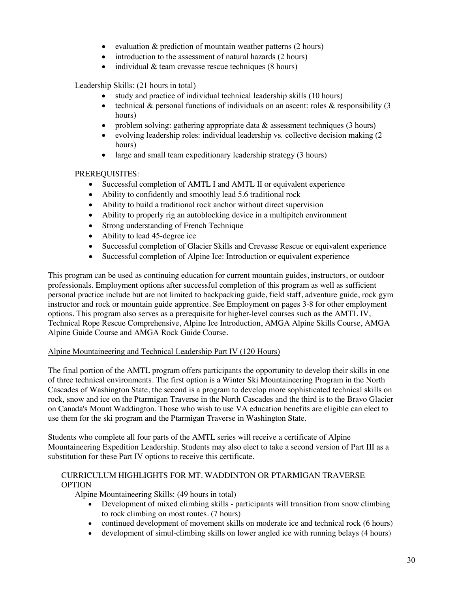- evaluation & prediction of mountain weather patterns (2 hours)
- introduction to the assessment of natural hazards (2 hours)
- individual & team crevasse rescue techniques (8 hours)

Leadership Skills: (21 hours in total)

- study and practice of individual technical leadership skills (10 hours)
- technical & personal functions of individuals on an ascent: roles & responsibility (3) hours)
- problem solving: gathering appropriate data  $\&$  assessment techniques (3 hours)
- evolving leadership roles: individual leadership vs. collective decision making (2 hours)
- large and small team expeditionary leadership strategy (3 hours)

# PREREQUISITES:

- Successful completion of AMTL I and AMTL II or equivalent experience
- Ability to confidently and smoothly lead 5.6 traditional rock
- Ability to build a traditional rock anchor without direct supervision
- Ability to properly rig an autoblocking device in a multipitch environment
- Strong understanding of French Technique
- Ability to lead 45-degree ice
- Successful completion of Glacier Skills and Crevasse Rescue or equivalent experience
- Successful completion of Alpine Ice: Introduction or equivalent experience

This program can be used as continuing education for current mountain guides, instructors, or outdoor professionals. Employment options after successful completion of this program as well as sufficient personal practice include but are not limited to backpacking guide, field staff, adventure guide, rock gym instructor and rock or mountain guide apprentice. See Employment on pages 3-8 for other employment options. This program also serves as a prerequisite for higher-level courses such as the AMTL IV, Technical Rope Rescue Comprehensive, Alpine Ice Introduction, AMGA Alpine Skills Course, AMGA Alpine Guide Course and AMGA Rock Guide Course.

#### Alpine Mountaineering and Technical Leadership Part IV (120 Hours)

The final portion of the AMTL program offers participants the opportunity to develop their skills in one of three technical environments. The first option is a Winter Ski Mountaineering Program in the North Cascades of Washington State, the second is a program to develop more sophisticated technical skills on rock, snow and ice on the Ptarmigan Traverse in the North Cascades and the third is to the Bravo Glacier on Canada's Mount Waddington. Those who wish to use VA education benefits are eligible can elect to use them for the ski program and the Ptarmigan Traverse in Washington State.

Students who complete all four parts of the AMTL series will receive a certificate of Alpine Mountaineering Expedition Leadership. Students may also elect to take a second version of Part III as a substitution for these Part IV options to receive this certificate.

# CURRICULUM HIGHLIGHTS FOR MT. WADDINTON OR PTARMIGAN TRAVERSE OPTION

Alpine Mountaineering Skills: (49 hours in total)

- Development of mixed climbing skills participants will transition from snow climbing to rock climbing on most routes. (7 hours)
- continued development of movement skills on moderate ice and technical rock (6 hours)
- development of simul-climbing skills on lower angled ice with running belays (4 hours)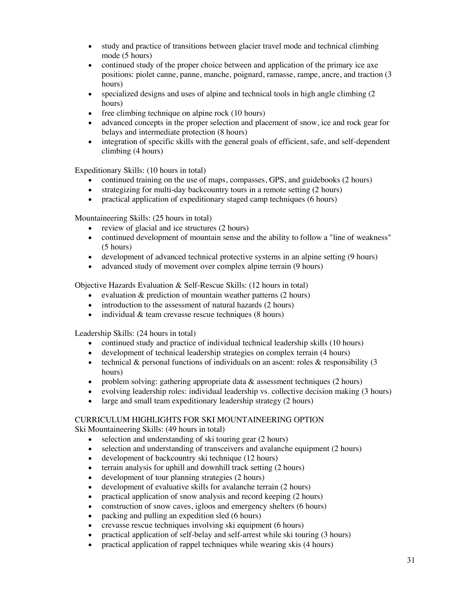- study and practice of transitions between glacier travel mode and technical climbing mode (5 hours)
- continued study of the proper choice between and application of the primary ice axe positions: piolet canne, panne, manche, poignard, ramasse, rampe, ancre, and traction (3 hours)
- specialized designs and uses of alpine and technical tools in high angle climbing (2) hours)
- free climbing technique on alpine rock (10 hours)
- advanced concepts in the proper selection and placement of snow, ice and rock gear for belays and intermediate protection (8 hours)
- integration of specific skills with the general goals of efficient, safe, and self-dependent climbing (4 hours)

Expeditionary Skills: (10 hours in total)

- continued training on the use of maps, compasses, GPS, and guidebooks (2 hours)
- strategizing for multi-day backcountry tours in a remote setting (2 hours)
- practical application of expeditionary staged camp techniques (6 hours)

Mountaineering Skills: (25 hours in total)

- review of glacial and ice structures (2 hours)
- continued development of mountain sense and the ability to follow a "line of weakness" (5 hours)
- development of advanced technical protective systems in an alpine setting (9 hours)
- advanced study of movement over complex alpine terrain (9 hours)

Objective Hazards Evaluation & Self-Rescue Skills: (12 hours in total)

- evaluation & prediction of mountain weather patterns (2 hours)
- introduction to the assessment of natural hazards (2 hours)
- individual & team crevasse rescue techniques (8 hours)

Leadership Skills: (24 hours in total)

- continued study and practice of individual technical leadership skills (10 hours)
- development of technical leadership strategies on complex terrain (4 hours)
- technical & personal functions of individuals on an ascent: roles & responsibility  $(3)$ hours)
- problem solving: gathering appropriate data  $\&$  assessment techniques (2 hours)
- evolving leadership roles: individual leadership vs. collective decision making (3 hours)
- large and small team expeditionary leadership strategy (2 hours)

# CURRICULUM HIGHLIGHTS FOR SKI MOUNTAINEERING OPTION

Ski Mountaineering Skills: (49 hours in total)

- selection and understanding of ski touring gear (2 hours)
- selection and understanding of transceivers and avalanche equipment (2 hours)
- development of backcountry ski technique (12 hours)
- terrain analysis for uphill and downhill track setting (2 hours)
- development of tour planning strategies (2 hours)
- development of evaluative skills for avalanche terrain (2 hours)
- practical application of snow analysis and record keeping (2 hours)
- construction of snow caves, igloos and emergency shelters (6 hours)
- packing and pulling an expedition sled (6 hours)
- crevasse rescue techniques involving ski equipment (6 hours)
- practical application of self-belay and self-arrest while ski touring (3 hours)
- practical application of rappel techniques while wearing skis (4 hours)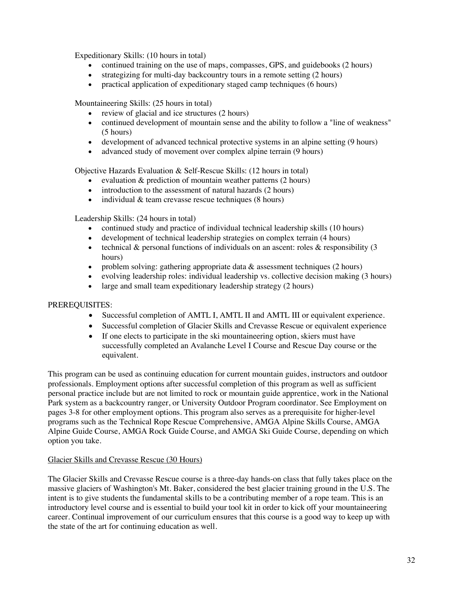Expeditionary Skills: (10 hours in total)

- continued training on the use of maps, compasses, GPS, and guidebooks (2 hours)
- strategizing for multi-day backcountry tours in a remote setting (2 hours)
- practical application of expeditionary staged camp techniques (6 hours)

Mountaineering Skills: (25 hours in total)

- review of glacial and ice structures (2 hours)
- continued development of mountain sense and the ability to follow a "line of weakness" (5 hours)
- development of advanced technical protective systems in an alpine setting (9 hours)
- advanced study of movement over complex alpine terrain (9 hours)

Objective Hazards Evaluation & Self-Rescue Skills: (12 hours in total)

- evaluation & prediction of mountain weather patterns (2 hours)
- introduction to the assessment of natural hazards (2 hours)
- individual & team crevasse rescue techniques (8 hours)

Leadership Skills: (24 hours in total)

- continued study and practice of individual technical leadership skills (10 hours)
- development of technical leadership strategies on complex terrain (4 hours)
- technical & personal functions of individuals on an ascent: roles & responsibility  $(3)$ hours)
- problem solving: gathering appropriate data & assessment techniques (2 hours)
- evolving leadership roles: individual leadership vs. collective decision making (3 hours)
- large and small team expeditionary leadership strategy (2 hours)

# PREREQUISITES:

- Successful completion of AMTL I, AMTL II and AMTL III or equivalent experience.
- Successful completion of Glacier Skills and Crevasse Rescue or equivalent experience
- If one elects to participate in the ski mountaineering option, skiers must have successfully completed an Avalanche Level I Course and Rescue Day course or the equivalent.

This program can be used as continuing education for current mountain guides, instructors and outdoor professionals. Employment options after successful completion of this program as well as sufficient personal practice include but are not limited to rock or mountain guide apprentice, work in the National Park system as a backcountry ranger, or University Outdoor Program coordinator. See Employment on pages 3-8 for other employment options. This program also serves as a prerequisite for higher-level programs such as the Technical Rope Rescue Comprehensive, AMGA Alpine Skills Course, AMGA Alpine Guide Course, AMGA Rock Guide Course, and AMGA Ski Guide Course, depending on which option you take.

#### Glacier Skills and Crevasse Rescue (30 Hours)

The Glacier Skills and Crevasse Rescue course is a three-day hands-on class that fully takes place on the massive glaciers of Washington's Mt. Baker, considered the best glacier training ground in the U.S. The intent is to give students the fundamental skills to be a contributing member of a rope team. This is an introductory level course and is essential to build your tool kit in order to kick off your mountaineering career. Continual improvement of our curriculum ensures that this course is a good way to keep up with the state of the art for continuing education as well.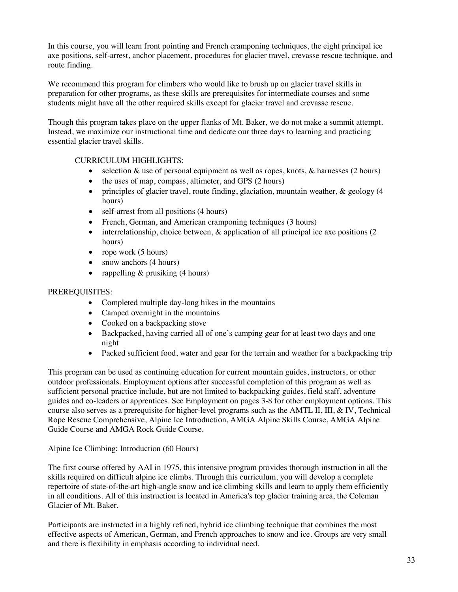In this course, you will learn front pointing and French cramponing techniques, the eight principal ice axe positions, self-arrest, anchor placement, procedures for glacier travel, crevasse rescue technique, and route finding.

We recommend this program for climbers who would like to brush up on glacier travel skills in preparation for other programs, as these skills are prerequisites for intermediate courses and some students might have all the other required skills except for glacier travel and crevasse rescue.

Though this program takes place on the upper flanks of Mt. Baker, we do not make a summit attempt. Instead, we maximize our instructional time and dedicate our three days to learning and practicing essential glacier travel skills.

# CURRICULUM HIGHLIGHTS:

- selection  $\&$  use of personal equipment as well as ropes, knots,  $\&$  harnesses (2 hours)
- the uses of map, compass, altimeter, and GPS (2 hours)
- principles of glacier travel, route finding, glaciation, mountain weather, & geology (4) hours)
- self-arrest from all positions (4 hours)
- French, German, and American cramponing techniques (3 hours)
- interrelationship, choice between,  $\&$  application of all principal ice axe positions (2) hours)
- rope work (5 hours)
- snow anchors (4 hours)
- rappelling  $&$  prusiking (4 hours)

#### PREREQUISITES:

- Completed multiple day-long hikes in the mountains
- Camped overnight in the mountains
- Cooked on a backpacking stove
- Backpacked, having carried all of one's camping gear for at least two days and one night
- Packed sufficient food, water and gear for the terrain and weather for a backpacking trip

This program can be used as continuing education for current mountain guides, instructors, or other outdoor professionals. Employment options after successful completion of this program as well as sufficient personal practice include, but are not limited to backpacking guides, field staff, adventure guides and co-leaders or apprentices. See Employment on pages 3-8 for other employment options. This course also serves as a prerequisite for higher-level programs such as the AMTL II, III, & IV, Technical Rope Rescue Comprehensive, Alpine Ice Introduction, AMGA Alpine Skills Course, AMGA Alpine Guide Course and AMGA Rock Guide Course.

#### Alpine Ice Climbing: Introduction (60 Hours)

The first course offered by AAI in 1975, this intensive program provides thorough instruction in all the skills required on difficult alpine ice climbs. Through this curriculum, you will develop a complete repertoire of state-of-the-art high-angle snow and ice climbing skills and learn to apply them efficiently in all conditions. All of this instruction is located in America's top glacier training area, the Coleman Glacier of Mt. Baker.

Participants are instructed in a highly refined, hybrid ice climbing technique that combines the most effective aspects of American, German, and French approaches to snow and ice. Groups are very small and there is flexibility in emphasis according to individual need.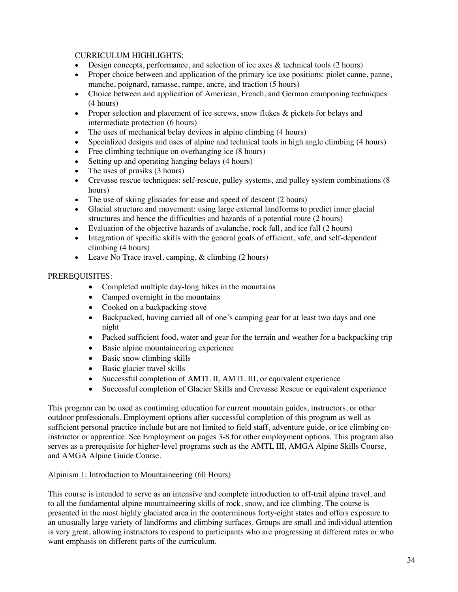# CURRICULUM HIGHLIGHTS:

- Design concepts, performance, and selection of ice axes & technical tools (2 hours)
- Proper choice between and application of the primary ice axe positions: piolet canne, panne, manche, poignard, ramasse, rampe, ancre, and traction (5 hours)
- Choice between and application of American, French, and German cramponing techniques (4 hours)
- Proper selection and placement of ice screws, snow flukes & pickets for belays and intermediate protection (6 hours)
- The uses of mechanical belay devices in alpine climbing (4 hours)
- Specialized designs and uses of alpine and technical tools in high angle climbing (4 hours)
- Free climbing technique on overhanging ice (8 hours)
- Setting up and operating hanging belays (4 hours)
- The uses of prusiks (3 hours)
- Crevasse rescue techniques: self-rescue, pulley systems, and pulley system combinations (8 hours)
- The use of skiing glissades for ease and speed of descent (2 hours)
- Glacial structure and movement: using large external landforms to predict inner glacial structures and hence the difficulties and hazards of a potential route (2 hours)
- Evaluation of the objective hazards of avalanche, rock fall, and ice fall (2 hours)
- Integration of specific skills with the general goals of efficient, safe, and self-dependent climbing (4 hours)
- Leave No Trace travel, camping, & climbing (2 hours)

# PREREQUISITES:

- Completed multiple day-long hikes in the mountains
- Camped overnight in the mountains
- Cooked on a backpacking stove
- Backpacked, having carried all of one's camping gear for at least two days and one night
- Packed sufficient food, water and gear for the terrain and weather for a backpacking trip
- Basic alpine mountaineering experience
- Basic snow climbing skills
- Basic glacier travel skills
- Successful completion of AMTL II, AMTL III, or equivalent experience
- Successful completion of Glacier Skills and Crevasse Rescue or equivalent experience

This program can be used as continuing education for current mountain guides, instructors, or other outdoor professionals. Employment options after successful completion of this program as well as sufficient personal practice include but are not limited to field staff, adventure guide, or ice climbing coinstructor or apprentice. See Employment on pages 3-8 for other employment options. This program also serves as a prerequisite for higher-level programs such as the AMTL III, AMGA Alpine Skills Course, and AMGA Alpine Guide Course.

#### Alpinism 1: Introduction to Mountaineering (60 Hours)

This course is intended to serve as an intensive and complete introduction to off-trail alpine travel, and to all the fundamental alpine mountaineering skills of rock, snow, and ice climbing. The course is presented in the most highly glaciated area in the conterminous forty-eight states and offers exposure to an unusually large variety of landforms and climbing surfaces. Groups are small and individual attention is very great, allowing instructors to respond to participants who are progressing at different rates or who want emphasis on different parts of the curriculum.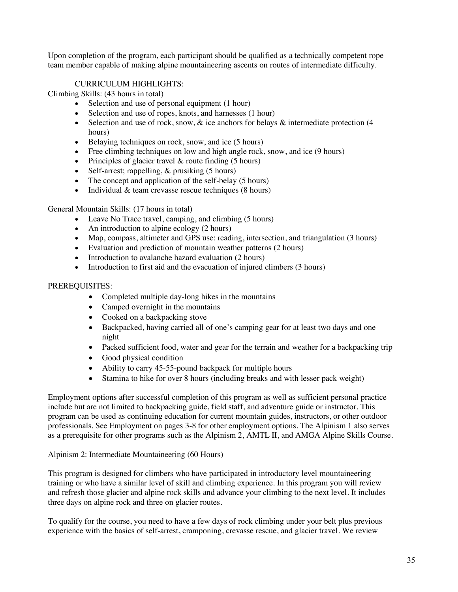Upon completion of the program, each participant should be qualified as a technically competent rope team member capable of making alpine mountaineering ascents on routes of intermediate difficulty.

# CURRICULUM HIGHLIGHTS:

Climbing Skills: (43 hours in total)

- Selection and use of personal equipment (1 hour)
- Selection and use of ropes, knots, and harnesses (1 hour)
- Selection and use of rock, snow,  $\&$  ice anchors for belays  $\&$  intermediate protection (4 hours)
- Belaying techniques on rock, snow, and ice (5 hours)
- Free climbing techniques on low and high angle rock, snow, and ice (9 hours)
- Principles of glacier travel  $\&$  route finding (5 hours)
- Self-arrest; rappelling,  $\&$  prusiking (5 hours)
- The concept and application of the self-belay (5 hours)
- Individual & team crevasse rescue techniques (8 hours)

General Mountain Skills: (17 hours in total)

- Leave No Trace travel, camping, and climbing (5 hours)
- An introduction to alpine ecology (2 hours)
- Map, compass, altimeter and GPS use: reading, intersection, and triangulation (3 hours)
- Evaluation and prediction of mountain weather patterns (2 hours)
- Introduction to avalanche hazard evaluation (2 hours)
- Introduction to first aid and the evacuation of injured climbers (3 hours)

# PREREQUISITES:

- Completed multiple day-long hikes in the mountains
- Camped overnight in the mountains
- Cooked on a backpacking stove
- Backpacked, having carried all of one's camping gear for at least two days and one night
- Packed sufficient food, water and gear for the terrain and weather for a backpacking trip
- Good physical condition
- Ability to carry 45-55-pound backpack for multiple hours
- Stamina to hike for over 8 hours (including breaks and with lesser pack weight)

Employment options after successful completion of this program as well as sufficient personal practice include but are not limited to backpacking guide, field staff, and adventure guide or instructor. This program can be used as continuing education for current mountain guides, instructors, or other outdoor professionals. See Employment on pages 3-8 for other employment options. The Alpinism 1 also serves as a prerequisite for other programs such as the Alpinism 2, AMTL II, and AMGA Alpine Skills Course.

#### Alpinism 2: Intermediate Mountaineering (60 Hours)

This program is designed for climbers who have participated in introductory level mountaineering training or who have a similar level of skill and climbing experience. In this program you will review and refresh those glacier and alpine rock skills and advance your climbing to the next level. It includes three days on alpine rock and three on glacier routes.

To qualify for the course, you need to have a few days of rock climbing under your belt plus previous experience with the basics of self-arrest, cramponing, crevasse rescue, and glacier travel. We review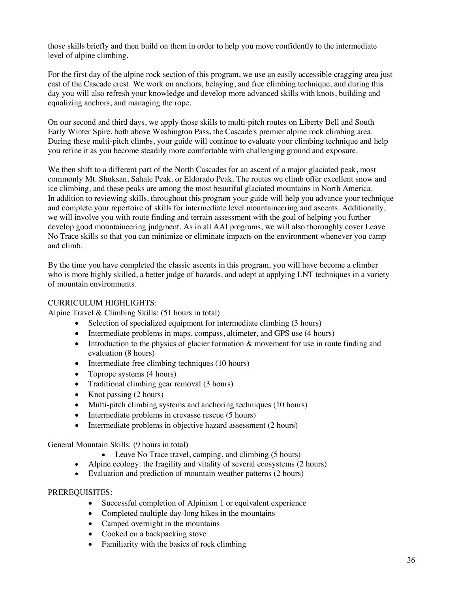those skills briefly and then build on them in order to help you move confidently to the intermediate level of alpine climbing.

For the first day of the alpine rock section of this program, we use an easily accessible cragging area just east of the Cascade crest. We work on anchors, belaying, and free climbing technique, and during this day you will also refresh your knowledge and develop more advanced skills with knots, building and equalizing anchors, and managing the rope.

On our second and third days, we apply those skills to multi-pitch routes on Liberty Bell and South Early Winter Spire, both above Washington Pass, the Cascade's premier alpine rock climbing area. During these multi-pitch climbs, your guide will continue to evaluate your climbing technique and help you refine it as you become steadily more comfortable with challenging ground and exposure.

We then shift to a different part of the North Cascades for an ascent of a major glaciated peak, most commonly Mt. Shuksan, Sahale Peak, or Eldorado Peak. The routes we climb offer excellent snow and ice climbing, and these peaks are among the most beautiful glaciated mountains in North America. In addition to reviewing skills, throughout this program your guide will help you advance your technique and complete your repertoire of skills for intermediate level mountaineering and ascents. Additionally, we will involve you with route finding and terrain assessment with the goal of helping you further develop good mountaineering judgment. As in all AAI programs, we will also thoroughly cover Leave No Trace skills so that you can minimize or eliminate impacts on the environment whenever you camp and climb.

By the time you have completed the classic ascents in this program, you will have become a climber who is more highly skilled, a better judge of hazards, and adept at applying LNT techniques in a variety of mountain environments.

#### CURRICULUM HIGHLIGHTS:

Alpine Travel & Climbing Skills: (51 hours in total)

- Selection of specialized equipment for intermediate climbing (3 hours)
- Intermediate problems in maps, compass, altimeter, and GPS use (4 hours)
- Introduction to the physics of glacier formation & movement for use in route finding and evaluation (8 hours)
- Intermediate free climbing techniques (10 hours)
- Toprope systems (4 hours)
- Traditional climbing gear removal (3 hours)
- Knot passing (2 hours)
- Multi-pitch climbing systems and anchoring techniques (10 hours)
- Intermediate problems in crevasse rescue (5 hours)
- Intermediate problems in objective hazard assessment (2 hours)

General Mountain Skills: (9 hours in total)

- Leave No Trace travel, camping, and climbing (5 hours)
- Alpine ecology: the fragility and vitality of several ecosystems (2 hours)
- Evaluation and prediction of mountain weather patterns (2 hours)

#### PREREQUISITES:

- Successful completion of Alpinism 1 or equivalent experience
- Completed multiple day-long hikes in the mountains
- Camped overnight in the mountains
- Cooked on a backpacking stove
- Familiarity with the basics of rock climbing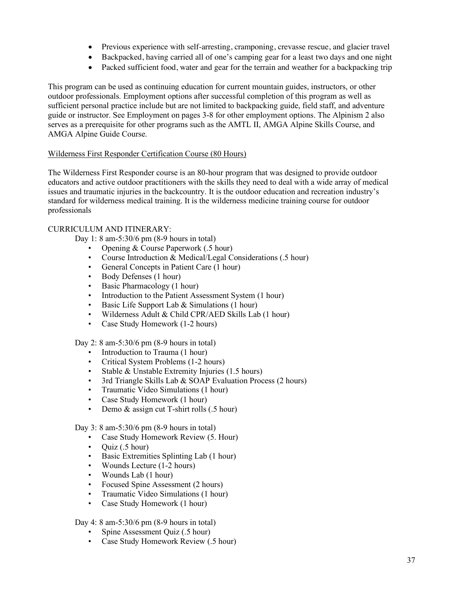- Previous experience with self-arresting, cramponing, crevasse rescue, and glacier travel
- Backpacked, having carried all of one's camping gear for a least two days and one night
- Packed sufficient food, water and gear for the terrain and weather for a backpacking trip

This program can be used as continuing education for current mountain guides, instructors, or other outdoor professionals. Employment options after successful completion of this program as well as sufficient personal practice include but are not limited to backpacking guide, field staff, and adventure guide or instructor. See Employment on pages 3-8 for other employment options. The Alpinism 2 also serves as a prerequisite for other programs such as the AMTL II, AMGA Alpine Skills Course, and AMGA Alpine Guide Course.

### Wilderness First Responder Certification Course (80 Hours)

The Wilderness First Responder course is an 80-hour program that was designed to provide outdoor educators and active outdoor practitioners with the skills they need to deal with a wide array of medical issues and traumatic injuries in the backcountry. It is the outdoor education and recreation industry's standard for wilderness medical training. It is the wilderness medicine training course for outdoor professionals

# CURRICULUM AND ITINERARY:

Day 1: 8 am-5:30/6 pm (8-9 hours in total)

- Opening & Course Paperwork (.5 hour)
- Course Introduction & Medical/Legal Considerations (.5 hour)
- General Concepts in Patient Care (1 hour)
- Body Defenses (1 hour)
- Basic Pharmacology (1 hour)
- Introduction to the Patient Assessment System (1 hour)
- Basic Life Support Lab & Simulations (1 hour)
- Wilderness Adult & Child CPR/AED Skills Lab (1 hour)
- Case Study Homework (1-2 hours)

Day 2: 8 am-5:30/6 pm (8-9 hours in total)

- Introduction to Trauma (1 hour)
- Critical System Problems (1-2 hours)
- Stable & Unstable Extremity Injuries (1.5 hours)
- 3rd Triangle Skills Lab & SOAP Evaluation Process (2 hours)
- Traumatic Video Simulations (1 hour)
- Case Study Homework (1 hour)
- Demo & assign cut T-shirt rolls (.5 hour)

Day 3: 8 am-5:30/6 pm (8-9 hours in total)

- Case Study Homework Review (5. Hour)
- Quiz  $(.5 \text{ hour})$
- Basic Extremities Splinting Lab (1 hour)
- Wounds Lecture (1-2 hours)
- Wounds Lab (1 hour)
- Focused Spine Assessment (2 hours)
- Traumatic Video Simulations (1 hour)
- Case Study Homework (1 hour)

Day 4: 8 am-5:30/6 pm (8-9 hours in total)

- Spine Assessment Quiz (.5 hour)
- Case Study Homework Review (.5 hour)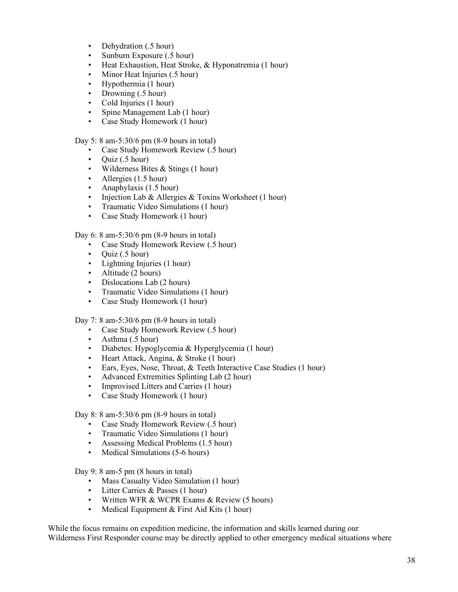- Dehydration (.5 hour)
- Sunburn Exposure (.5 hour)
- Heat Exhaustion, Heat Stroke, & Hyponatremia (1 hour)
- Minor Heat Injuries (.5 hour)
- Hypothermia (1 hour)
- Drowning (.5 hour)
- Cold Injuries (1 hour)
- Spine Management Lab (1 hour)
- Case Study Homework (1 hour)

Day 5: 8 am-5:30/6 pm (8-9 hours in total)

- Case Study Homework Review (.5 hour)
- Ouiz ( $.5$  hour)
- Wilderness Bites & Stings (1 hour)
- Allergies (1.5 hour)
- Anaphylaxis (1.5 hour)
- Injection Lab & Allergies & Toxins Worksheet (1 hour)
- Traumatic Video Simulations (1 hour)
- Case Study Homework (1 hour)

Day 6: 8 am-5:30/6 pm (8-9 hours in total)

- Case Study Homework Review (.5 hour)
- Quiz (.5 hour)
- Lightning Injuries (1 hour)
- Altitude (2 hours)
- Dislocations Lab (2 hours)
- Traumatic Video Simulations (1 hour)
- Case Study Homework (1 hour)

Day 7: 8 am-5:30/6 pm (8-9 hours in total)

- Case Study Homework Review (.5 hour)
- Asthma (.5 hour)
- Diabetes: Hypoglycemia & Hyperglycemia (1 hour)
- Heart Attack, Angina, & Stroke (1 hour)
- Ears, Eyes, Nose, Throat, & Teeth Interactive Case Studies (1 hour)
- Advanced Extremities Splinting Lab (2 hour)
- Improvised Litters and Carries (1 hour)
- Case Study Homework (1 hour)

Day 8: 8 am-5:30/6 pm (8-9 hours in total)

- Case Study Homework Review (.5 hour)
- Traumatic Video Simulations (1 hour)
- Assessing Medical Problems (1.5 hour)
- Medical Simulations (5-6 hours)

Day 9: 8 am-5 pm (8 hours in total)

- Mass Casualty Video Simulation (1 hour)
- Litter Carries & Passes (1 hour)
- Written WFR & WCPR Exams & Review (5 hours)
- Medical Equipment & First Aid Kits (1 hour)

While the focus remains on expedition medicine, the information and skills learned during our Wilderness First Responder course may be directly applied to other emergency medical situations where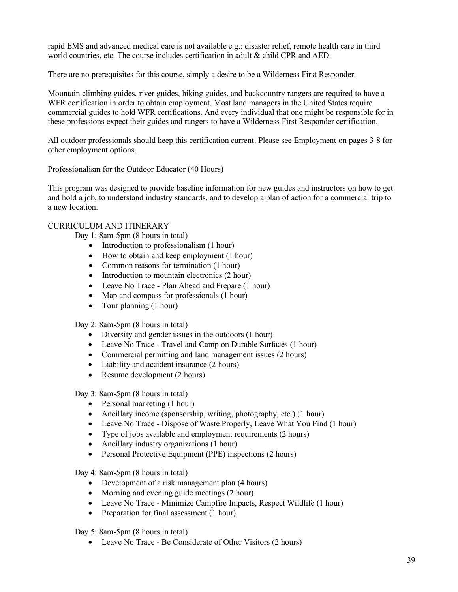rapid EMS and advanced medical care is not available e.g.: disaster relief, remote health care in third world countries, etc. The course includes certification in adult & child CPR and AED.

There are no prerequisites for this course, simply a desire to be a Wilderness First Responder.

Mountain climbing guides, river guides, hiking guides, and backcountry rangers are required to have a WFR certification in order to obtain employment. Most land managers in the United States require commercial guides to hold WFR certifications. And every individual that one might be responsible for in these professions expect their guides and rangers to have a Wilderness First Responder certification.

All outdoor professionals should keep this certification current. Please see Employment on pages 3-8 for other employment options.

### Professionalism for the Outdoor Educator (40 Hours)

This program was designed to provide baseline information for new guides and instructors on how to get and hold a job, to understand industry standards, and to develop a plan of action for a commercial trip to a new location.

### CURRICULUM AND ITINERARY

Day 1: 8am-5pm (8 hours in total)

- Introduction to professionalism (1 hour)
- How to obtain and keep employment (1 hour)
- Common reasons for termination (1 hour)
- Introduction to mountain electronics (2 hour)
- Leave No Trace Plan Ahead and Prepare (1 hour)
- Map and compass for professionals (1 hour)
- Tour planning (1 hour)

Day 2: 8am-5pm (8 hours in total)

- Diversity and gender issues in the outdoors (1 hour)
- Leave No Trace Travel and Camp on Durable Surfaces (1 hour)
- Commercial permitting and land management issues (2 hours)
- Liability and accident insurance (2 hours)
- Resume development (2 hours)

Day 3: 8am-5pm (8 hours in total)

- Personal marketing (1 hour)
- Ancillary income (sponsorship, writing, photography, etc.) (1 hour)
- Leave No Trace Dispose of Waste Properly, Leave What You Find (1 hour)
- Type of jobs available and employment requirements (2 hours)
- Ancillary industry organizations (1 hour)
- Personal Protective Equipment (PPE) inspections (2 hours)

Day 4: 8am-5pm (8 hours in total)

- Development of a risk management plan (4 hours)
- Morning and evening guide meetings (2 hour)
- Leave No Trace Minimize Campfire Impacts, Respect Wildlife (1 hour)
- Preparation for final assessment (1 hour)

Day 5: 8am-5pm (8 hours in total)

• Leave No Trace - Be Considerate of Other Visitors (2 hours)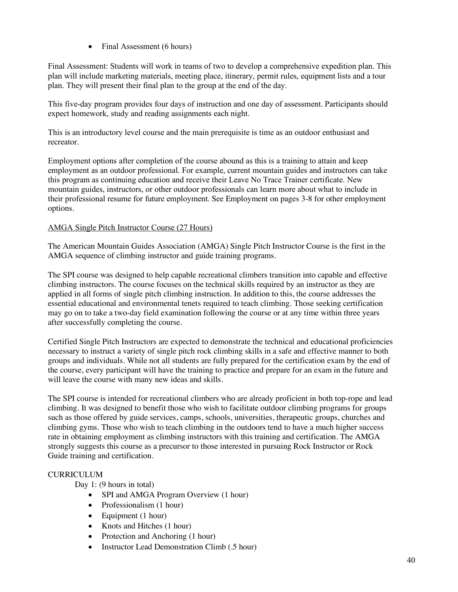• Final Assessment (6 hours)

Final Assessment: Students will work in teams of two to develop a comprehensive expedition plan. This plan will include marketing materials, meeting place, itinerary, permit rules, equipment lists and a tour plan. They will present their final plan to the group at the end of the day.

This five-day program provides four days of instruction and one day of assessment. Participants should expect homework, study and reading assignments each night.

This is an introductory level course and the main prerequisite is time as an outdoor enthusiast and recreator.

Employment options after completion of the course abound as this is a training to attain and keep employment as an outdoor professional. For example, current mountain guides and instructors can take this program as continuing education and receive their Leave No Trace Trainer certificate. New mountain guides, instructors, or other outdoor professionals can learn more about what to include in their professional resume for future employment. See Employment on pages 3-8 for other employment options.

# AMGA Single Pitch Instructor Course (27 Hours)

The American Mountain Guides Association (AMGA) Single Pitch Instructor Course is the first in the AMGA sequence of climbing instructor and guide training programs.

The SPI course was designed to help capable recreational climbers transition into capable and effective climbing instructors. The course focuses on the technical skills required by an instructor as they are applied in all forms of single pitch climbing instruction. In addition to this, the course addresses the essential educational and environmental tenets required to teach climbing. Those seeking certification may go on to take a two-day field examination following the course or at any time within three years after successfully completing the course.

Certified Single Pitch Instructors are expected to demonstrate the technical and educational proficiencies necessary to instruct a variety of single pitch rock climbing skills in a safe and effective manner to both groups and individuals. While not all students are fully prepared for the certification exam by the end of the course, every participant will have the training to practice and prepare for an exam in the future and will leave the course with many new ideas and skills.

The SPI course is intended for recreational climbers who are already proficient in both top-rope and lead climbing. It was designed to benefit those who wish to facilitate outdoor climbing programs for groups such as those offered by guide services, camps, schools, universities, therapeutic groups, churches and climbing gyms. Those who wish to teach climbing in the outdoors tend to have a much higher success rate in obtaining employment as climbing instructors with this training and certification. The AMGA strongly suggests this course as a precursor to those interested in pursuing Rock Instructor or Rock Guide training and certification.

# CURRICULUM

Day 1: (9 hours in total)

- SPI and AMGA Program Overview (1 hour)
- Professionalism (1 hour)
- Equipment (1 hour)
- Knots and Hitches (1 hour)
- Protection and Anchoring (1 hour)
- Instructor Lead Demonstration Climb (.5 hour)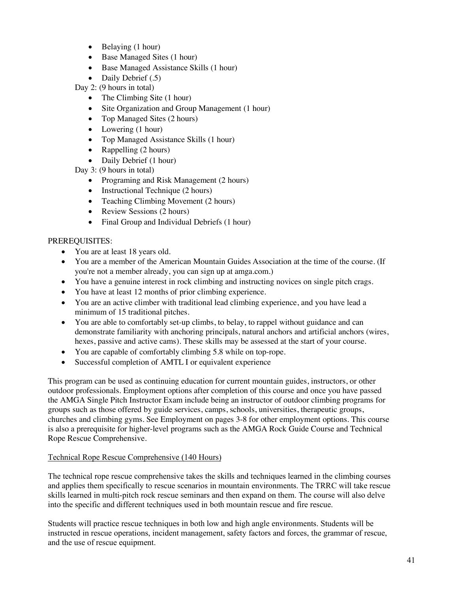- Belaying (1 hour)
- Base Managed Sites (1 hour)
- Base Managed Assistance Skills (1 hour)
- Daily Debrief (.5)

Day 2: (9 hours in total)

- The Climbing Site (1 hour)
- Site Organization and Group Management (1 hour)
- Top Managed Sites (2 hours)
- Lowering (1 hour)
- Top Managed Assistance Skills (1 hour)
- Rappelling (2 hours)
- Daily Debrief (1 hour)

Day 3: (9 hours in total)

- Programing and Risk Management (2 hours)
- Instructional Technique (2 hours)
- Teaching Climbing Movement (2 hours)
- Review Sessions (2 hours)
- Final Group and Individual Debriefs (1 hour)

# PREREQUISITES:

- You are at least 18 years old.
- You are a member of the American Mountain Guides Association at the time of the course. (If you're not a member already, you can sign up at amga.com.)
- You have a genuine interest in rock climbing and instructing novices on single pitch crags.
- You have at least 12 months of prior climbing experience.
- You are an active climber with traditional lead climbing experience, and you have lead a minimum of 15 traditional pitches.
- You are able to comfortably set-up climbs, to belay, to rappel without guidance and can demonstrate familiarity with anchoring principals, natural anchors and artificial anchors (wires, hexes, passive and active cams). These skills may be assessed at the start of your course.
- You are capable of comfortably climbing 5.8 while on top-rope.
- Successful completion of AMTL I or equivalent experience

This program can be used as continuing education for current mountain guides, instructors, or other outdoor professionals. Employment options after completion of this course and once you have passed the AMGA Single Pitch Instructor Exam include being an instructor of outdoor climbing programs for groups such as those offered by guide services, camps, schools, universities, therapeutic groups, churches and climbing gyms. See Employment on pages 3-8 for other employment options. This course is also a prerequisite for higher-level programs such as the AMGA Rock Guide Course and Technical Rope Rescue Comprehensive.

# Technical Rope Rescue Comprehensive (140 Hours)

The technical rope rescue comprehensive takes the skills and techniques learned in the climbing courses and applies them specifically to rescue scenarios in mountain environments. The TRRC will take rescue skills learned in multi-pitch rock rescue seminars and then expand on them. The course will also delve into the specific and different techniques used in both mountain rescue and fire rescue.

Students will practice rescue techniques in both low and high angle environments. Students will be instructed in rescue operations, incident management, safety factors and forces, the grammar of rescue, and the use of rescue equipment.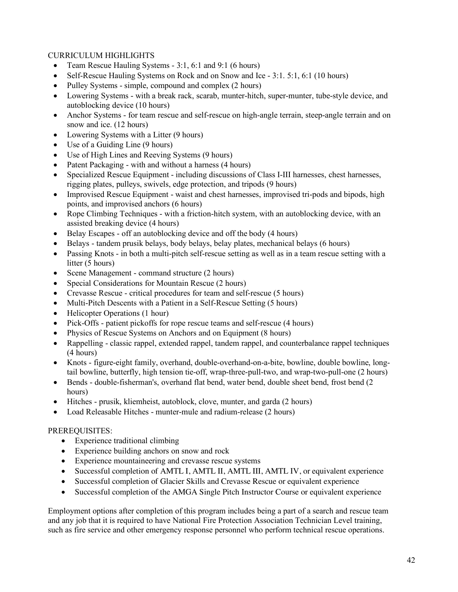# CURRICULUM HIGHLIGHTS

- Team Rescue Hauling Systems 3:1, 6:1 and 9:1 (6 hours)
- Self-Rescue Hauling Systems on Rock and on Snow and Ice 3:1. 5:1, 6:1 (10 hours)
- Pulley Systems simple, compound and complex (2 hours)
- Lowering Systems with a break rack, scarab, munter-hitch, super-munter, tube-style device, and autoblocking device (10 hours)
- Anchor Systems for team rescue and self-rescue on high-angle terrain, steep-angle terrain and on snow and ice. (12 hours)
- Lowering Systems with a Litter (9 hours)
- Use of a Guiding Line (9 hours)
- Use of High Lines and Reeving Systems (9 hours)
- Patent Packaging with and without a harness (4 hours)
- Specialized Rescue Equipment including discussions of Class I-III harnesses, chest harnesses, rigging plates, pulleys, swivels, edge protection, and tripods (9 hours)
- Improvised Rescue Equipment waist and chest harnesses, improvised tri-pods and bipods, high points, and improvised anchors (6 hours)
- Rope Climbing Techniques with a friction-hitch system, with an autoblocking device, with an assisted breaking device (4 hours)
- Belay Escapes off an autoblocking device and off the body (4 hours)
- Belays tandem prusik belays, body belays, belay plates, mechanical belays (6 hours)
- Passing Knots in both a multi-pitch self-rescue setting as well as in a team rescue setting with a litter (5 hours)
- Scene Management command structure (2 hours)
- Special Considerations for Mountain Rescue (2 hours)
- Crevasse Rescue critical procedures for team and self-rescue (5 hours)
- Multi-Pitch Descents with a Patient in a Self-Rescue Setting (5 hours)
- Helicopter Operations (1 hour)
- Pick-Offs patient pickoffs for rope rescue teams and self-rescue (4 hours)
- Physics of Rescue Systems on Anchors and on Equipment (8 hours)
- Rappelling classic rappel, extended rappel, tandem rappel, and counterbalance rappel techniques (4 hours)
- Knots figure-eight family, overhand, double-overhand-on-a-bite, bowline, double bowline, longtail bowline, butterfly, high tension tie-off, wrap-three-pull-two, and wrap-two-pull-one (2 hours)
- Bends double-fisherman's, overhand flat bend, water bend, double sheet bend, frost bend (2 hours)
- Hitches prusik, kliemheist, autoblock, clove, munter, and garda (2 hours)
- Load Releasable Hitches munter-mule and radium-release (2 hours)

# PREREQUISITES:

- Experience traditional climbing
- Experience building anchors on snow and rock
- Experience mountaineering and crevasse rescue systems
- Successful completion of AMTL I, AMTL II, AMTL III, AMTL IV, or equivalent experience
- Successful completion of Glacier Skills and Crevasse Rescue or equivalent experience
- Successful completion of the AMGA Single Pitch Instructor Course or equivalent experience

Employment options after completion of this program includes being a part of a search and rescue team and any job that it is required to have National Fire Protection Association Technician Level training, such as fire service and other emergency response personnel who perform technical rescue operations.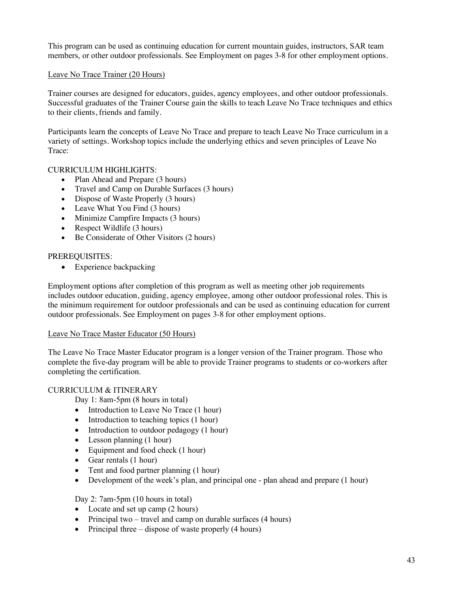This program can be used as continuing education for current mountain guides, instructors, SAR team members, or other outdoor professionals. See Employment on pages 3-8 for other employment options.

### Leave No Trace Trainer (20 Hours)

Trainer courses are designed for educators, guides, agency employees, and other outdoor professionals. Successful graduates of the Trainer Course gain the skills to teach Leave No Trace techniques and ethics to their clients, friends and family.

Participants learn the concepts of Leave No Trace and prepare to teach Leave No Trace curriculum in a variety of settings. Workshop topics include the underlying ethics and seven principles of Leave No Trace:

### CURRICULUM HIGHLIGHTS:

- Plan Ahead and Prepare (3 hours)
- Travel and Camp on Durable Surfaces (3 hours)
- Dispose of Waste Properly (3 hours)
- Leave What You Find (3 hours)
- Minimize Campfire Impacts (3 hours)
- Respect Wildlife (3 hours)
- Be Considerate of Other Visitors (2 hours)

### PREREQUISITES:

• Experience backpacking

Employment options after completion of this program as well as meeting other job requirements includes outdoor education, guiding, agency employee, among other outdoor professional roles. This is the minimum requirement for outdoor professionals and can be used as continuing education for current outdoor professionals. See Employment on pages 3-8 for other employment options.

### Leave No Trace Master Educator (50 Hours)

The Leave No Trace Master Educator program is a longer version of the Trainer program. Those who complete the five-day program will be able to provide Trainer programs to students or co-workers after completing the certification.

# CURRICULUM & ITINERARY

Day 1: 8am-5pm (8 hours in total)

- Introduction to Leave No Trace (1 hour)
- Introduction to teaching topics (1 hour)
- Introduction to outdoor pedagogy (1 hour)
- Lesson planning (1 hour)
- Equipment and food check (1 hour)
- Gear rentals (1 hour)
- Tent and food partner planning (1 hour)
- Development of the week's plan, and principal one plan ahead and prepare (1 hour)

### Day 2: 7am-5pm (10 hours in total)

- Locate and set up camp (2 hours)
- Principal two travel and camp on durable surfaces (4 hours)
- Principal three dispose of waste properly (4 hours)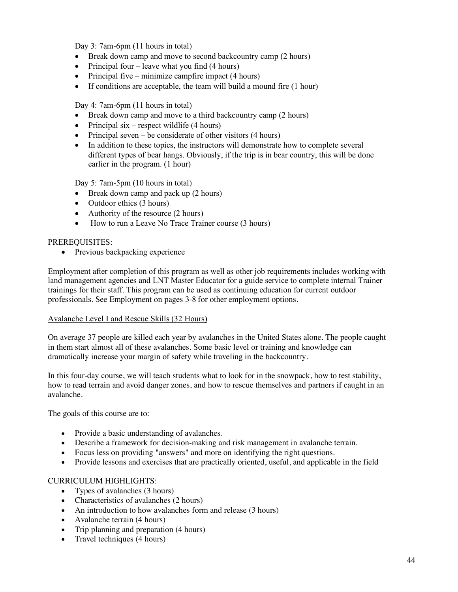Day 3: 7am-6pm (11 hours in total)

- Break down camp and move to second backcountry camp (2 hours)
- Principal four leave what you find  $(4 \text{ hours})$
- Principal five minimize campfire impact (4 hours)
- If conditions are acceptable, the team will build a mound fire (1 hour)

Day 4: 7am-6pm (11 hours in total)

- Break down camp and move to a third backcountry camp (2 hours)
- Principal six respect wildlife (4 hours)
- Principal seven be considerate of other visitors  $(4 \text{ hours})$
- In addition to these topics, the instructors will demonstrate how to complete several different types of bear hangs. Obviously, if the trip is in bear country, this will be done earlier in the program. (1 hour)

Day 5: 7am-5pm (10 hours in total)

- Break down camp and pack up (2 hours)
- Outdoor ethics (3 hours)
- Authority of the resource (2 hours)
- How to run a Leave No Trace Trainer course (3 hours)

### PREREQUISITES:

• Previous backpacking experience

Employment after completion of this program as well as other job requirements includes working with land management agencies and LNT Master Educator for a guide service to complete internal Trainer trainings for their staff. This program can be used as continuing education for current outdoor professionals. See Employment on pages 3-8 for other employment options.

### Avalanche Level I and Rescue Skills (32 Hours)

On average 37 people are killed each year by avalanches in the United States alone. The people caught in them start almost all of these avalanches. Some basic level or training and knowledge can dramatically increase your margin of safety while traveling in the backcountry.

In this four-day course, we will teach students what to look for in the snowpack, how to test stability, how to read terrain and avoid danger zones, and how to rescue themselves and partners if caught in an avalanche.

The goals of this course are to:

- Provide a basic understanding of avalanches.
- Describe a framework for decision-making and risk management in avalanche terrain.
- Focus less on providing "answers" and more on identifying the right questions.
- Provide lessons and exercises that are practically oriented, useful, and applicable in the field

### CURRICULUM HIGHLIGHTS:

- Types of avalanches (3 hours)
- Characteristics of avalanches (2 hours)
- An introduction to how avalanches form and release (3 hours)
- Avalanche terrain (4 hours)
- Trip planning and preparation (4 hours)
- Travel techniques (4 hours)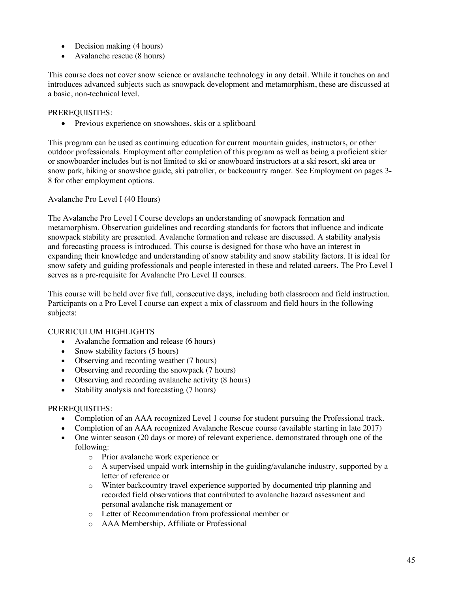- Decision making (4 hours)
- Avalanche rescue (8 hours)

This course does not cover snow science or avalanche technology in any detail. While it touches on and introduces advanced subjects such as snowpack development and metamorphism, these are discussed at a basic, non-technical level.

# PREREQUISITES:

• Previous experience on snowshoes, skis or a splitboard

This program can be used as continuing education for current mountain guides, instructors, or other outdoor professionals. Employment after completion of this program as well as being a proficient skier or snowboarder includes but is not limited to ski or snowboard instructors at a ski resort, ski area or snow park, hiking or snowshoe guide, ski patroller, or backcountry ranger. See Employment on pages 3- 8 for other employment options.

### Avalanche Pro Level I (40 Hours)

The Avalanche Pro Level I Course develops an understanding of snowpack formation and metamorphism. Observation guidelines and recording standards for factors that influence and indicate snowpack stability are presented. Avalanche formation and release are discussed. A stability analysis and forecasting process is introduced. This course is designed for those who have an interest in expanding their knowledge and understanding of snow stability and snow stability factors. It is ideal for snow safety and guiding professionals and people interested in these and related careers. The Pro Level I serves as a pre-requisite for Avalanche Pro Level II courses.

This course will be held over five full, consecutive days, including both classroom and field instruction. Participants on a Pro Level I course can expect a mix of classroom and field hours in the following subjects:

# CURRICULUM HIGHLIGHTS

- Avalanche formation and release (6 hours)
- Snow stability factors (5 hours)
- Observing and recording weather (7 hours)
- Observing and recording the snowpack (7 hours)
- Observing and recording avalanche activity (8 hours)
- Stability analysis and forecasting (7 hours)

# PREREQUISITES:

- Completion of an AAA recognized Level 1 course for student pursuing the Professional track.
- Completion of an AAA recognized Avalanche Rescue course (available starting in late 2017)
- One winter season (20 days or more) of relevant experience, demonstrated through one of the following:
	- o Prior avalanche work experience or
	- $\circ$  A supervised unpaid work internship in the guiding/avalanche industry, supported by a letter of reference or
	- o Winter backcountry travel experience supported by documented trip planning and recorded field observations that contributed to avalanche hazard assessment and personal avalanche risk management or
	- o Letter of Recommendation from professional member or
	- o AAA Membership, Affiliate or Professional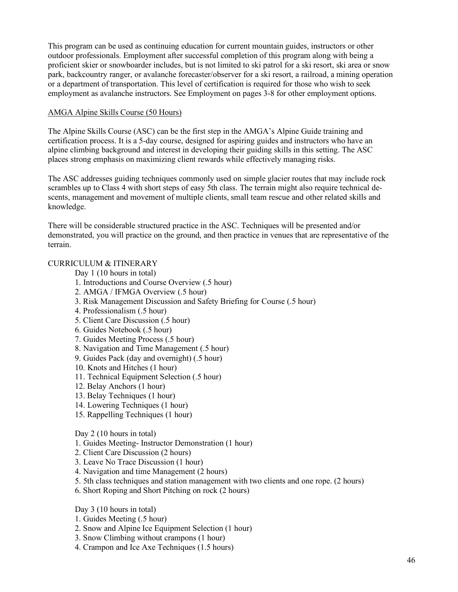This program can be used as continuing education for current mountain guides, instructors or other outdoor professionals. Employment after successful completion of this program along with being a proficient skier or snowboarder includes, but is not limited to ski patrol for a ski resort, ski area or snow park, backcountry ranger, or avalanche forecaster/observer for a ski resort, a railroad, a mining operation or a department of transportation. This level of certification is required for those who wish to seek employment as avalanche instructors. See Employment on pages 3-8 for other employment options.

### AMGA Alpine Skills Course (50 Hours)

The Alpine Skills Course (ASC) can be the first step in the AMGA's Alpine Guide training and certification process. It is a 5-day course, designed for aspiring guides and instructors who have an alpine climbing background and interest in developing their guiding skills in this setting. The ASC places strong emphasis on maximizing client rewards while effectively managing risks.

The ASC addresses guiding techniques commonly used on simple glacier routes that may include rock scrambles up to Class 4 with short steps of easy 5th class. The terrain might also require technical descents, management and movement of multiple clients, small team rescue and other related skills and knowledge.

There will be considerable structured practice in the ASC. Techniques will be presented and/or demonstrated, you will practice on the ground, and then practice in venues that are representative of the terrain.

### CURRICULUM & ITINERARY

Day 1 (10 hours in total)

- 1. Introductions and Course Overview (.5 hour)
- 2. AMGA / IFMGA Overview (.5 hour)
- 3. Risk Management Discussion and Safety Briefing for Course (.5 hour)
- 4. Professionalism (.5 hour)
- 5. Client Care Discussion (.5 hour)
- 6. Guides Notebook (.5 hour)
- 7. Guides Meeting Process (.5 hour)
- 8. Navigation and Time Management (.5 hour)
- 9. Guides Pack (day and overnight) (.5 hour)
- 10. Knots and Hitches (1 hour)
- 11. Technical Equipment Selection (.5 hour)
- 12. Belay Anchors (1 hour)
- 13. Belay Techniques (1 hour)
- 14. Lowering Techniques (1 hour)
- 15. Rappelling Techniques (1 hour)

### Day 2 (10 hours in total)

- 1. Guides Meeting- Instructor Demonstration (1 hour)
- 2. Client Care Discussion (2 hours)
- 3. Leave No Trace Discussion (1 hour)
- 4. Navigation and time Management (2 hours)
- 5. 5th class techniques and station management with two clients and one rope. (2 hours)
- 6. Short Roping and Short Pitching on rock (2 hours)

### Day 3 (10 hours in total)

- 1. Guides Meeting (.5 hour)
- 2. Snow and Alpine Ice Equipment Selection (1 hour)
- 3. Snow Climbing without crampons (1 hour)
- 4. Crampon and Ice Axe Techniques (1.5 hours)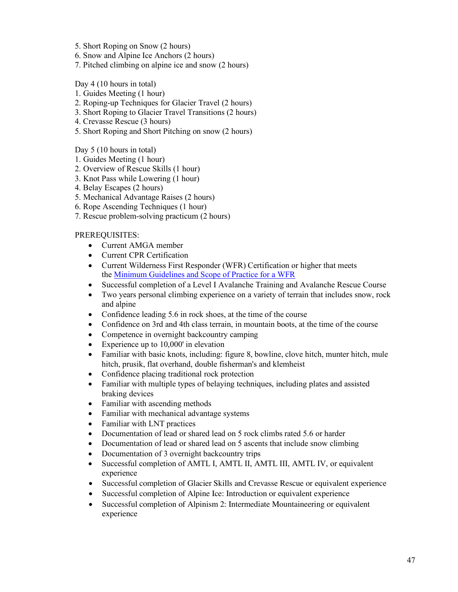- 5. Short Roping on Snow (2 hours)
- 6. Snow and Alpine Ice Anchors (2 hours)
- 7. Pitched climbing on alpine ice and snow (2 hours)

### Day 4 (10 hours in total)

- 1. Guides Meeting (1 hour)
- 2. Roping-up Techniques for Glacier Travel (2 hours)
- 3. Short Roping to Glacier Travel Transitions (2 hours)
- 4. Crevasse Rescue (3 hours)
- 5. Short Roping and Short Pitching on snow (2 hours)

# Day 5 (10 hours in total)

- 1. Guides Meeting (1 hour)
- 2. Overview of Rescue Skills (1 hour)
- 3. Knot Pass while Lowering (1 hour)
- 4. Belay Escapes (2 hours)
- 5. Mechanical Advantage Raises (2 hours)
- 6. Rope Ascending Techniques (1 hour)
- 7. Rescue problem-solving practicum (2 hours)

### PREREQUISITES:

- Current AMGA member
- Current CPR Certification
- Current Wilderness First Responder (WFR) Certification or higher that meets the Minimum Guidelines and Scope of Practice for a WFR
- Successful completion of a Level I Avalanche Training and Avalanche Rescue Course
- Two years personal climbing experience on a variety of terrain that includes snow, rock and alpine
- Confidence leading 5.6 in rock shoes, at the time of the course
- Confidence on 3rd and 4th class terrain, in mountain boots, at the time of the course
- Competence in overnight backcountry camping
- Experience up to 10,000' in elevation
- Familiar with basic knots, including: figure 8, bowline, clove hitch, munter hitch, mule hitch, prusik, flat overhand, double fisherman's and klemheist
- Confidence placing traditional rock protection
- Familiar with multiple types of belaying techniques, including plates and assisted braking devices
- Familiar with ascending methods
- Familiar with mechanical advantage systems
- Familiar with LNT practices
- Documentation of lead or shared lead on 5 rock climbs rated 5.6 or harder
- Documentation of lead or shared lead on 5 ascents that include snow climbing
- Documentation of 3 overnight backcountry trips
- Successful completion of AMTL I, AMTL II, AMTL III, AMTL IV, or equivalent experience
- Successful completion of Glacier Skills and Crevasse Rescue or equivalent experience
- Successful completion of Alpine Ice: Introduction or equivalent experience
- Successful completion of Alpinism 2: Intermediate Mountaineering or equivalent experience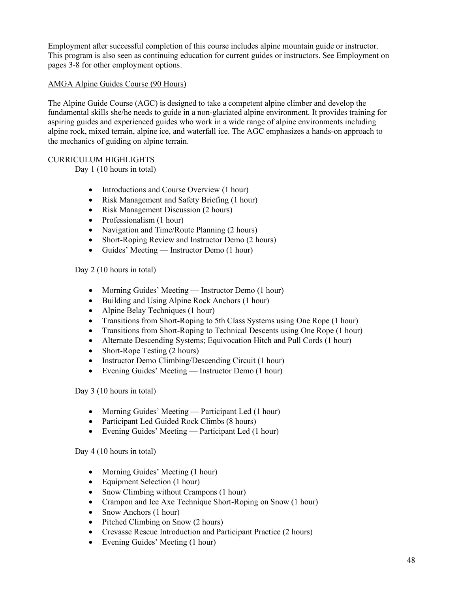Employment after successful completion of this course includes alpine mountain guide or instructor. This program is also seen as continuing education for current guides or instructors. See Employment on pages 3-8 for other employment options.

# AMGA Alpine Guides Course (90 Hours)

The Alpine Guide Course (AGC) is designed to take a competent alpine climber and develop the fundamental skills she/he needs to guide in a non-glaciated alpine environment. It provides training for aspiring guides and experienced guides who work in a wide range of alpine environments including alpine rock, mixed terrain, alpine ice, and waterfall ice. The AGC emphasizes a hands-on approach to the mechanics of guiding on alpine terrain.

### CURRICULUM HIGHLIGHTS

Day 1 (10 hours in total)

- Introductions and Course Overview (1 hour)
- Risk Management and Safety Briefing (1 hour)
- Risk Management Discussion (2 hours)
- Professionalism (1 hour)
- Navigation and Time/Route Planning (2 hours)
- Short-Roping Review and Instructor Demo (2 hours)
- Guides' Meeting Instructor Demo (1 hour)

Day 2 (10 hours in total)

- Morning Guides' Meeting Instructor Demo (1 hour)
- Building and Using Alpine Rock Anchors (1 hour)
- Alpine Belay Techniques (1 hour)
- Transitions from Short-Roping to 5th Class Systems using One Rope (1 hour)
- Transitions from Short-Roping to Technical Descents using One Rope (1 hour)
- Alternate Descending Systems; Equivocation Hitch and Pull Cords (1 hour)
- Short-Rope Testing (2 hours)
- Instructor Demo Climbing/Descending Circuit (1 hour)
- Evening Guides' Meeting Instructor Demo (1 hour)

Day 3 (10 hours in total)

- Morning Guides' Meeting Participant Led (1 hour)
- Participant Led Guided Rock Climbs (8 hours)
- Evening Guides' Meeting Participant Led (1 hour)

### Day 4 (10 hours in total)

- Morning Guides' Meeting (1 hour)
- Equipment Selection (1 hour)
- Snow Climbing without Crampons (1 hour)
- Crampon and Ice Axe Technique Short-Roping on Snow (1 hour)
- Snow Anchors (1 hour)
- Pitched Climbing on Snow (2 hours)
- Crevasse Rescue Introduction and Participant Practice (2 hours)
- Evening Guides' Meeting (1 hour)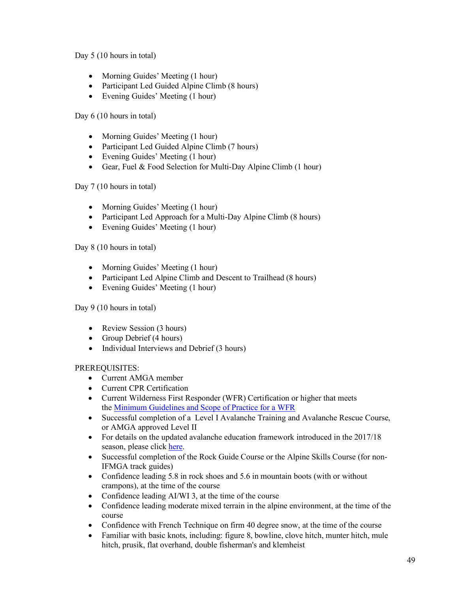Day 5 (10 hours in total)

- Morning Guides' Meeting (1 hour)
- Participant Led Guided Alpine Climb (8 hours)
- Evening Guides' Meeting (1 hour)

Day 6 (10 hours in total)

- Morning Guides' Meeting (1 hour)
- Participant Led Guided Alpine Climb (7 hours)
- Evening Guides' Meeting (1 hour)
- Gear, Fuel & Food Selection for Multi-Day Alpine Climb (1 hour)

Day 7 (10 hours in total)

- Morning Guides' Meeting (1 hour)
- Participant Led Approach for a Multi-Day Alpine Climb (8 hours)
- Evening Guides' Meeting (1 hour)

Day 8 (10 hours in total)

- Morning Guides' Meeting (1 hour)
- Participant Led Alpine Climb and Descent to Trailhead (8 hours)
- Evening Guides' Meeting (1 hour)

Day 9 (10 hours in total)

- Review Session (3 hours)
- Group Debrief (4 hours)
- Individual Interviews and Debrief (3 hours)

# PREREQUISITES:

- Current AMGA member
- Current CPR Certification
- Current Wilderness First Responder (WFR) Certification or higher that meets the Minimum Guidelines and Scope of Practice for a WFR
- Successful completion of a Level I Avalanche Training and Avalanche Rescue Course, or AMGA approved Level II
- For details on the updated avalanche education framework introduced in the 2017/18 season, please click here.
- Successful completion of the Rock Guide Course or the Alpine Skills Course (for non-IFMGA track guides)
- Confidence leading 5.8 in rock shoes and 5.6 in mountain boots (with or without crampons), at the time of the course
- Confidence leading AI/WI 3, at the time of the course
- Confidence leading moderate mixed terrain in the alpine environment, at the time of the course
- Confidence with French Technique on firm 40 degree snow, at the time of the course
- Familiar with basic knots, including: figure 8, bowline, clove hitch, munter hitch, mule hitch, prusik, flat overhand, double fisherman's and klemheist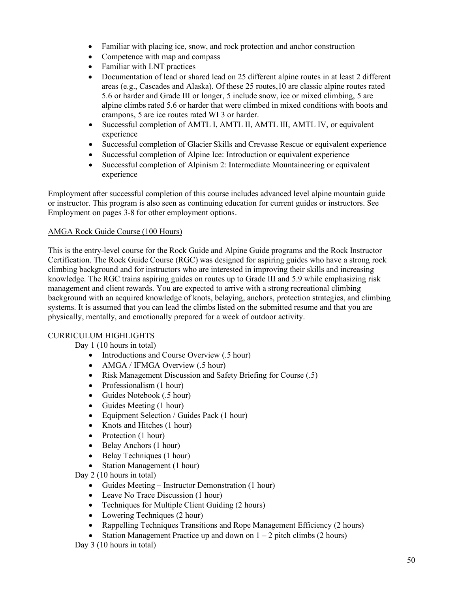- Familiar with placing ice, snow, and rock protection and anchor construction
- Competence with map and compass
- Familiar with LNT practices
- Documentation of lead or shared lead on 25 different alpine routes in at least 2 different areas (e.g., Cascades and Alaska). Of these 25 routes,10 are classic alpine routes rated 5.6 or harder and Grade III or longer, 5 include snow, ice or mixed climbing, 5 are alpine climbs rated 5.6 or harder that were climbed in mixed conditions with boots and crampons, 5 are ice routes rated WI 3 or harder.
- Successful completion of AMTL I, AMTL II, AMTL III, AMTL IV, or equivalent experience
- Successful completion of Glacier Skills and Crevasse Rescue or equivalent experience
- Successful completion of Alpine Ice: Introduction or equivalent experience
- Successful completion of Alpinism 2: Intermediate Mountaineering or equivalent experience

Employment after successful completion of this course includes advanced level alpine mountain guide or instructor. This program is also seen as continuing education for current guides or instructors. See Employment on pages 3-8 for other employment options.

### AMGA Rock Guide Course (100 Hours)

This is the entry-level course for the Rock Guide and Alpine Guide programs and the Rock Instructor Certification. The Rock Guide Course (RGC) was designed for aspiring guides who have a strong rock climbing background and for instructors who are interested in improving their skills and increasing knowledge. The RGC trains aspiring guides on routes up to Grade III and 5.9 while emphasizing risk management and client rewards. You are expected to arrive with a strong recreational climbing background with an acquired knowledge of knots, belaying, anchors, protection strategies, and climbing systems. It is assumed that you can lead the climbs listed on the submitted resume and that you are physically, mentally, and emotionally prepared for a week of outdoor activity.

# CURRICULUM HIGHLIGHTS

Day 1 (10 hours in total)

- Introductions and Course Overview (.5 hour)
- AMGA / IFMGA Overview (.5 hour)
- Risk Management Discussion and Safety Briefing for Course (.5)
- Professionalism (1 hour)
- Guides Notebook (.5 hour)
- Guides Meeting (1 hour)
- Equipment Selection / Guides Pack (1 hour)
- Knots and Hitches (1 hour)
- Protection (1 hour)
- Belay Anchors (1 hour)
- Belay Techniques (1 hour)
- Station Management (1 hour)

Day 2 (10 hours in total)

- Guides Meeting Instructor Demonstration (1 hour)
- Leave No Trace Discussion (1 hour)
- Techniques for Multiple Client Guiding (2 hours)
- Lowering Techniques (2 hour)
- Rappelling Techniques Transitions and Rope Management Efficiency (2 hours)
- Station Management Practice up and down on  $1 2$  pitch climbs (2 hours)

Day 3 (10 hours in total)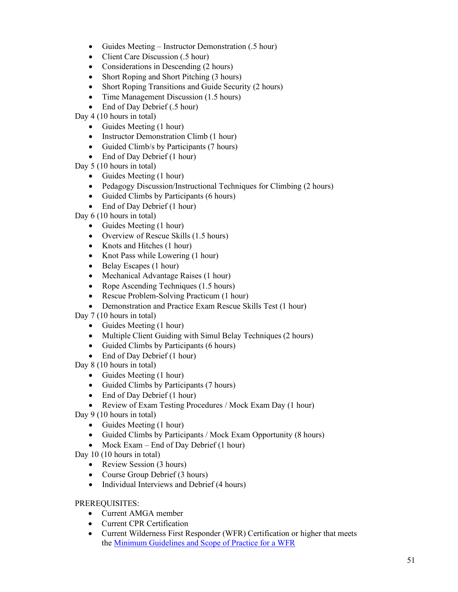- Guides Meeting Instructor Demonstration (.5 hour)
- Client Care Discussion (.5 hour)
- Considerations in Descending (2 hours)
- Short Roping and Short Pitching (3 hours)
- Short Roping Transitions and Guide Security (2 hours)
- Time Management Discussion (1.5 hours)
- End of Day Debrief (.5 hour)

Day 4 (10 hours in total)

- Guides Meeting (1 hour)
- Instructor Demonstration Climb (1 hour)
- Guided Climb/s by Participants (7 hours)
- End of Day Debrief (1 hour)

Day 5 (10 hours in total)

- Guides Meeting (1 hour)
- Pedagogy Discussion/Instructional Techniques for Climbing (2 hours)
- Guided Climbs by Participants (6 hours)
- End of Day Debrief (1 hour)

Day 6 (10 hours in total)

- Guides Meeting (1 hour)
- Overview of Rescue Skills (1.5 hours)
- Knots and Hitches (1 hour)
- Knot Pass while Lowering (1 hour)
- Belay Escapes (1 hour)
- Mechanical Advantage Raises (1 hour)
- Rope Ascending Techniques (1.5 hours)
- Rescue Problem-Solving Practicum (1 hour)
- Demonstration and Practice Exam Rescue Skills Test (1 hour)
- Day 7 (10 hours in total)
	- Guides Meeting (1 hour)
	- Multiple Client Guiding with Simul Belay Techniques (2 hours)
	- Guided Climbs by Participants (6 hours)
	- End of Day Debrief (1 hour)
- Day 8 (10 hours in total)
	- Guides Meeting (1 hour)
	- Guided Climbs by Participants (7 hours)
	- End of Day Debrief (1 hour)
	- Review of Exam Testing Procedures / Mock Exam Day (1 hour)
- Day 9 (10 hours in total)
	- Guides Meeting (1 hour)
	- Guided Climbs by Participants / Mock Exam Opportunity (8 hours)
	- Mock Exam End of Day Debrief (1 hour)
- Day 10 (10 hours in total)
	- Review Session (3 hours)
	- Course Group Debrief (3 hours)
	- Individual Interviews and Debrief (4 hours)

PREREQUISITES:

- Current AMGA member
- Current CPR Certification
- Current Wilderness First Responder (WFR) Certification or higher that meets the Minimum Guidelines and Scope of Practice for a WFR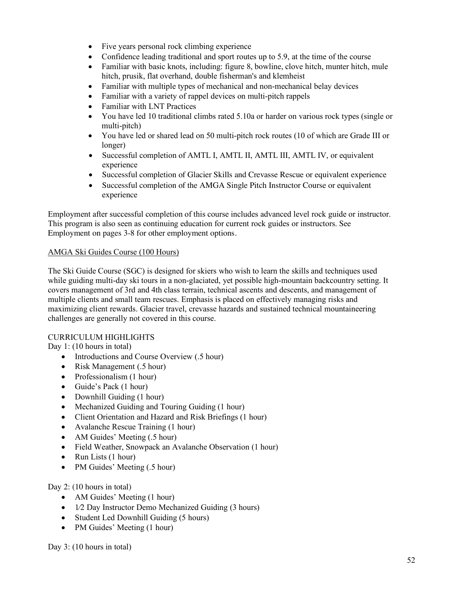- Five years personal rock climbing experience
- Confidence leading traditional and sport routes up to 5.9, at the time of the course
- Familiar with basic knots, including: figure 8, bowline, clove hitch, munter hitch, mule hitch, prusik, flat overhand, double fisherman's and klemheist
- Familiar with multiple types of mechanical and non-mechanical belay devices
- Familiar with a variety of rappel devices on multi-pitch rappels
- Familiar with LNT Practices
- You have led 10 traditional climbs rated 5.10a or harder on various rock types (single or multi-pitch)
- You have led or shared lead on 50 multi-pitch rock routes (10 of which are Grade III or longer)
- Successful completion of AMTL I, AMTL II, AMTL III, AMTL IV, or equivalent experience
- Successful completion of Glacier Skills and Crevasse Rescue or equivalent experience
- Successful completion of the AMGA Single Pitch Instructor Course or equivalent experience

Employment after successful completion of this course includes advanced level rock guide or instructor. This program is also seen as continuing education for current rock guides or instructors. See Employment on pages 3-8 for other employment options.

# AMGA Ski Guides Course (100 Hours)

The Ski Guide Course (SGC) is designed for skiers who wish to learn the skills and techniques used while guiding multi-day ski tours in a non-glaciated, yet possible high-mountain backcountry setting. It covers management of 3rd and 4th class terrain, technical ascents and descents, and management of multiple clients and small team rescues. Emphasis is placed on effectively managing risks and maximizing client rewards. Glacier travel, crevasse hazards and sustained technical mountaineering challenges are generally not covered in this course.

# CURRICULUM HIGHLIGHTS

Day 1: (10 hours in total)

- Introductions and Course Overview (.5 hour)
- Risk Management (.5 hour)
- Professionalism (1 hour)
- Guide's Pack (1 hour)
- Downhill Guiding (1 hour)
- Mechanized Guiding and Touring Guiding (1 hour)
- Client Orientation and Hazard and Risk Briefings (1 hour)
- Avalanche Rescue Training (1 hour)
- AM Guides' Meeting (.5 hour)
- Field Weather, Snowpack an Avalanche Observation (1 hour)
- Run Lists (1 hour)
- PM Guides' Meeting (.5 hour)

Day 2: (10 hours in total)

- AM Guides' Meeting (1 hour)
- 1⁄2 Day Instructor Demo Mechanized Guiding (3 hours)
- Student Led Downhill Guiding (5 hours)
- PM Guides' Meeting (1 hour)

Day 3: (10 hours in total)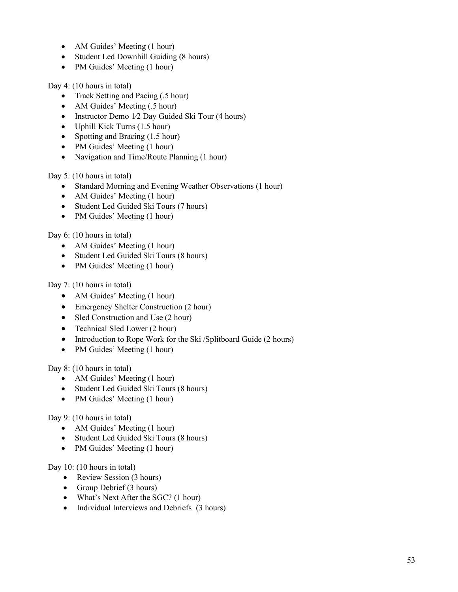- AM Guides' Meeting (1 hour)
- Student Led Downhill Guiding (8 hours)
- PM Guides' Meeting (1 hour)

Day 4: (10 hours in total)

- Track Setting and Pacing (.5 hour)
- AM Guides' Meeting (.5 hour)
- Instructor Demo 1/2 Day Guided Ski Tour (4 hours)
- Uphill Kick Turns (1.5 hour)
- Spotting and Bracing (1.5 hour)
- PM Guides' Meeting (1 hour)
- Navigation and Time/Route Planning (1 hour)

Day 5: (10 hours in total)

- Standard Morning and Evening Weather Observations (1 hour)
- AM Guides' Meeting (1 hour)
- Student Led Guided Ski Tours (7 hours)
- PM Guides' Meeting (1 hour)

Day 6: (10 hours in total)

- AM Guides' Meeting (1 hour)
- Student Led Guided Ski Tours (8 hours)
- PM Guides' Meeting (1 hour)

Day 7: (10 hours in total)

- AM Guides' Meeting (1 hour)
- Emergency Shelter Construction (2 hour)
- Sled Construction and Use (2 hour)
- Technical Sled Lower (2 hour)
- Introduction to Rope Work for the Ski /Splitboard Guide (2 hours)
- PM Guides' Meeting (1 hour)

Day 8: (10 hours in total)

- AM Guides' Meeting (1 hour)
- Student Led Guided Ski Tours (8 hours)
- PM Guides' Meeting (1 hour)

Day 9: (10 hours in total)

- AM Guides' Meeting (1 hour)
- Student Led Guided Ski Tours (8 hours)
- PM Guides' Meeting (1 hour)

Day 10: (10 hours in total)

- Review Session (3 hours)
- Group Debrief (3 hours)
- What's Next After the SGC? (1 hour)
- Individual Interviews and Debriefs (3 hours)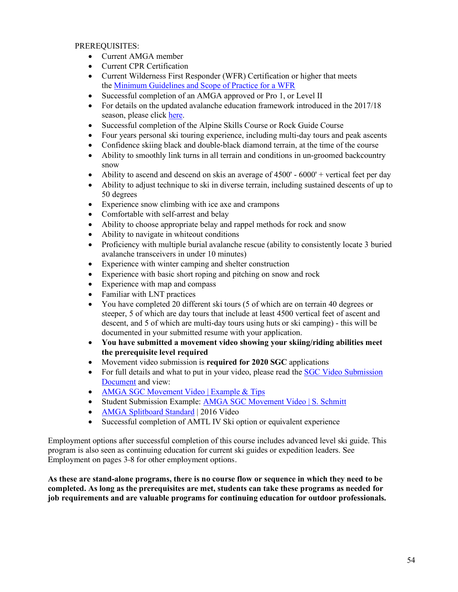PREREQUISITES:

- Current AMGA member
- Current CPR Certification
- Current Wilderness First Responder (WFR) Certification or higher that meets the Minimum Guidelines and Scope of Practice for a WFR
- Successful completion of an AMGA approved or Pro 1, or Level II
- For details on the updated avalanche education framework introduced in the 2017/18 season, please click here.
- Successful completion of the Alpine Skills Course or Rock Guide Course
- Four years personal ski touring experience, including multi-day tours and peak ascents
- Confidence skiing black and double-black diamond terrain, at the time of the course
- Ability to smoothly link turns in all terrain and conditions in un-groomed backcountry snow
- Ability to ascend and descend on skis an average of 4500' 6000' + vertical feet per day
- Ability to adjust technique to ski in diverse terrain, including sustained descents of up to 50 degrees
- Experience snow climbing with ice axe and crampons
- Comfortable with self-arrest and belay
- Ability to choose appropriate belay and rappel methods for rock and snow
- Ability to navigate in whiteout conditions
- Proficiency with multiple burial avalanche rescue (ability to consistently locate 3 buried avalanche transceivers in under 10 minutes)
- Experience with winter camping and shelter construction
- Experience with basic short roping and pitching on snow and rock
- Experience with map and compass
- Familiar with LNT practices
- You have completed 20 different ski tours (5 of which are on terrain 40 degrees or steeper, 5 of which are day tours that include at least 4500 vertical feet of ascent and descent, and 5 of which are multi-day tours using huts or ski camping) - this will be documented in your submitted resume with your application.
- **You have submitted a movement video showing your skiing/riding abilities meet the prerequisite level required**
- Movement video submission is **required for 2020 SGC** applications
- For full details and what to put in your video, please read the SGC Video Submission Document and view:
- AMGA SGC Movement Video | Example & Tips
- Student Submission Example: AMGA SGC Movement Video | S. Schmitt
- AMGA Splitboard Standard | 2016 Video
- Successful completion of AMTL IV Ski option or equivalent experience

Employment options after successful completion of this course includes advanced level ski guide. This program is also seen as continuing education for current ski guides or expedition leaders. See Employment on pages 3-8 for other employment options.

**As these are stand-alone programs, there is no course flow or sequence in which they need to be completed. As long as the prerequisites are met, students can take these programs as needed for job requirements and are valuable programs for continuing education for outdoor professionals.**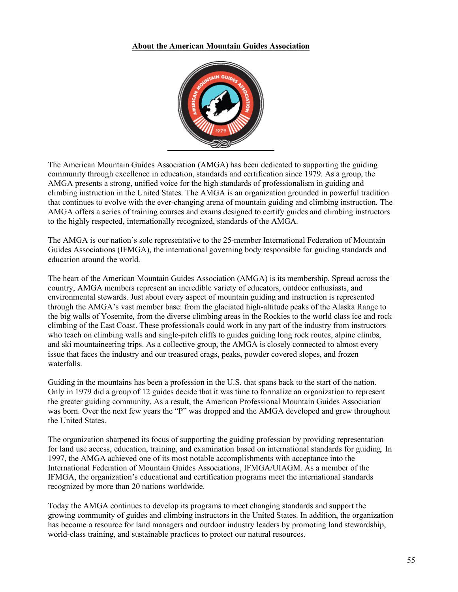#### **About the American Mountain Guides Association**



The American Mountain Guides Association (AMGA) has been dedicated to supporting the guiding community through excellence in education, standards and certification since 1979. As a group, the AMGA presents a strong, unified voice for the high standards of professionalism in guiding and climbing instruction in the United States. The AMGA is an organization grounded in powerful tradition that continues to evolve with the ever-changing arena of mountain guiding and climbing instruction. The AMGA offers a series of training courses and exams designed to certify guides and climbing instructors to the highly respected, internationally recognized, standards of the AMGA.

The AMGA is our nation's sole representative to the 25-member International Federation of Mountain Guides Associations (IFMGA), the international governing body responsible for guiding standards and education around the world.

The heart of the American Mountain Guides Association (AMGA) is its membership. Spread across the country, AMGA members represent an incredible variety of educators, outdoor enthusiasts, and environmental stewards. Just about every aspect of mountain guiding and instruction is represented through the AMGA's vast member base: from the glaciated high-altitude peaks of the Alaska Range to the big walls of Yosemite, from the diverse climbing areas in the Rockies to the world class ice and rock climbing of the East Coast. These professionals could work in any part of the industry from instructors who teach on climbing walls and single-pitch cliffs to guides guiding long rock routes, alpine climbs, and ski mountaineering trips. As a collective group, the AMGA is closely connected to almost every issue that faces the industry and our treasured crags, peaks, powder covered slopes, and frozen waterfalls.

Guiding in the mountains has been a profession in the U.S. that spans back to the start of the nation. Only in 1979 did a group of 12 guides decide that it was time to formalize an organization to represent the greater guiding community. As a result, the American Professional Mountain Guides Association was born. Over the next few years the "P" was dropped and the AMGA developed and grew throughout the United States.

The organization sharpened its focus of supporting the guiding profession by providing representation for land use access, education, training, and examination based on international standards for guiding. In 1997, the AMGA achieved one of its most notable accomplishments with acceptance into the International Federation of Mountain Guides Associations, IFMGA/UIAGM. As a member of the IFMGA, the organization's educational and certification programs meet the international standards recognized by more than 20 nations worldwide.

Today the AMGA continues to develop its programs to meet changing standards and support the growing community of guides and climbing instructors in the United States. In addition, the organization has become a resource for land managers and outdoor industry leaders by promoting land stewardship, world-class training, and sustainable practices to protect our natural resources.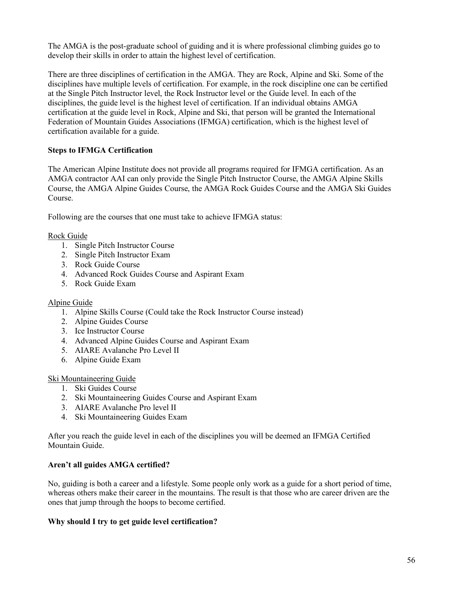The AMGA is the post-graduate school of guiding and it is where professional climbing guides go to develop their skills in order to attain the highest level of certification.

There are three disciplines of certification in the AMGA. They are Rock, Alpine and Ski. Some of the disciplines have multiple levels of certification. For example, in the rock discipline one can be certified at the Single Pitch Instructor level, the Rock Instructor level or the Guide level. In each of the disciplines, the guide level is the highest level of certification. If an individual obtains AMGA certification at the guide level in Rock, Alpine and Ski, that person will be granted the International Federation of Mountain Guides Associations (IFMGA) certification, which is the highest level of certification available for a guide.

# **Steps to IFMGA Certification**

The American Alpine Institute does not provide all programs required for IFMGA certification. As an AMGA contractor AAI can only provide the Single Pitch Instructor Course, the AMGA Alpine Skills Course, the AMGA Alpine Guides Course, the AMGA Rock Guides Course and the AMGA Ski Guides Course.

Following are the courses that one must take to achieve IFMGA status:

### Rock Guide

- 1. Single Pitch Instructor Course
- 2. Single Pitch Instructor Exam
- 3. Rock Guide Course
- 4. Advanced Rock Guides Course and Aspirant Exam
- 5. Rock Guide Exam

### Alpine Guide

- 1. Alpine Skills Course (Could take the Rock Instructor Course instead)
- 2. Alpine Guides Course
- 3. Ice Instructor Course
- 4. Advanced Alpine Guides Course and Aspirant Exam
- 5. AIARE Avalanche Pro Level II
- 6. Alpine Guide Exam

#### Ski Mountaineering Guide

- 1. Ski Guides Course
- 2. Ski Mountaineering Guides Course and Aspirant Exam
- 3. AIARE Avalanche Pro level II
- 4. Ski Mountaineering Guides Exam

After you reach the guide level in each of the disciplines you will be deemed an IFMGA Certified Mountain Guide.

### **Aren't all guides AMGA certified?**

No, guiding is both a career and a lifestyle. Some people only work as a guide for a short period of time, whereas others make their career in the mountains. The result is that those who are career driven are the ones that jump through the hoops to become certified.

#### **Why should I try to get guide level certification?**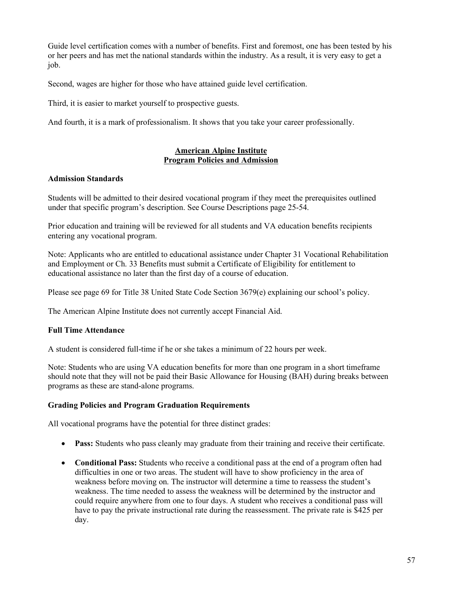Guide level certification comes with a number of benefits. First and foremost, one has been tested by his or her peers and has met the national standards within the industry. As a result, it is very easy to get a job.

Second, wages are higher for those who have attained guide level certification.

Third, it is easier to market yourself to prospective guests.

And fourth, it is a mark of professionalism. It shows that you take your career professionally.

### **American Alpine Institute Program Policies and Admission**

### **Admission Standards**

Students will be admitted to their desired vocational program if they meet the prerequisites outlined under that specific program's description. See Course Descriptions page 25-54.

Prior education and training will be reviewed for all students and VA education benefits recipients entering any vocational program.

Note: Applicants who are entitled to educational assistance under Chapter 31 Vocational Rehabilitation and Employment or Ch. 33 Benefits must submit a Certificate of Eligibility for entitlement to educational assistance no later than the first day of a course of education.

Please see page 69 for Title 38 United State Code Section 3679(e) explaining our school's policy.

The American Alpine Institute does not currently accept Financial Aid.

# **Full Time Attendance**

A student is considered full-time if he or she takes a minimum of 22 hours per week.

Note: Students who are using VA education benefits for more than one program in a short timeframe should note that they will not be paid their Basic Allowance for Housing (BAH) during breaks between programs as these are stand-alone programs.

# **Grading Policies and Program Graduation Requirements**

All vocational programs have the potential for three distinct grades:

- **Pass:** Students who pass cleanly may graduate from their training and receive their certificate.
- **Conditional Pass:** Students who receive a conditional pass at the end of a program often had difficulties in one or two areas. The student will have to show proficiency in the area of weakness before moving on. The instructor will determine a time to reassess the student's weakness. The time needed to assess the weakness will be determined by the instructor and could require anywhere from one to four days. A student who receives a conditional pass will have to pay the private instructional rate during the reassessment. The private rate is \$425 per day.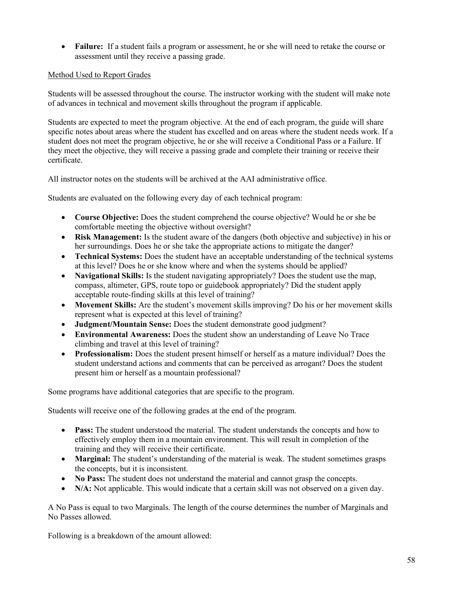• **Failure:** If a student fails a program or assessment, he or she will need to retake the course or assessment until they receive a passing grade.

### Method Used to Report Grades

Students will be assessed throughout the course. The instructor working with the student will make note of advances in technical and movement skills throughout the program if applicable.

Students are expected to meet the program objective. At the end of each program, the guide will share specific notes about areas where the student has excelled and on areas where the student needs work. If a student does not meet the program objective, he or she will receive a Conditional Pass or a Failure. If they meet the objective, they will receive a passing grade and complete their training or receive their certificate.

All instructor notes on the students will be archived at the AAI administrative office.

Students are evaluated on the following every day of each technical program:

- **Course Objective:** Does the student comprehend the course objective? Would he or she be comfortable meeting the objective without oversight?
- **Risk Management:** Is the student aware of the dangers (both objective and subjective) in his or her surroundings. Does he or she take the appropriate actions to mitigate the danger?
- **Technical Systems:** Does the student have an acceptable understanding of the technical systems at this level? Does he or she know where and when the systems should be applied?
- **Navigational Skills:** Is the student navigating appropriately? Does the student use the map, compass, altimeter, GPS, route topo or guidebook appropriately? Did the student apply acceptable route-finding skills at this level of training?
- **Movement Skills:** Are the student's movement skills improving? Do his or her movement skills represent what is expected at this level of training?
- **Judgment/Mountain Sense:** Does the student demonstrate good judgment?
- **Environmental Awareness:** Does the student show an understanding of Leave No Trace climbing and travel at this level of training?
- **Professionalism:** Does the student present himself or herself as a mature individual? Does the student understand actions and comments that can be perceived as arrogant? Does the student present him or herself as a mountain professional?

Some programs have additional categories that are specific to the program.

Students will receive one of the following grades at the end of the program.

- **Pass:** The student understood the material. The student understands the concepts and how to effectively employ them in a mountain environment. This will result in completion of the training and they will receive their certificate.
- **Marginal:** The student's understanding of the material is weak. The student sometimes grasps the concepts, but it is inconsistent.
- **No Pass:** The student does not understand the material and cannot grasp the concepts.
- **N/A:** Not applicable. This would indicate that a certain skill was not observed on a given day.

A No Pass is equal to two Marginals. The length of the course determines the number of Marginals and No Passes allowed.

Following is a breakdown of the amount allowed: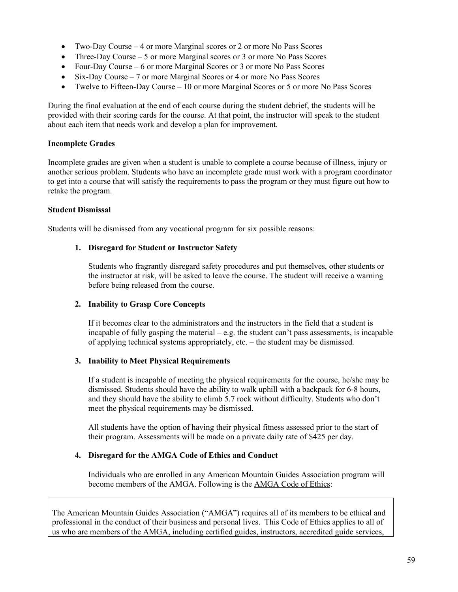- Two-Day Course 4 or more Marginal scores or 2 or more No Pass Scores
- Three-Day Course 5 or more Marginal scores or 3 or more No Pass Scores
- Four-Day Course 6 or more Marginal Scores or 3 or more No Pass Scores
- Six-Day Course 7 or more Marginal Scores or 4 or more No Pass Scores
- Twelve to Fifteen-Day Course 10 or more Marginal Scores or 5 or more No Pass Scores

During the final evaluation at the end of each course during the student debrief, the students will be provided with their scoring cards for the course. At that point, the instructor will speak to the student about each item that needs work and develop a plan for improvement.

### **Incomplete Grades**

Incomplete grades are given when a student is unable to complete a course because of illness, injury or another serious problem. Students who have an incomplete grade must work with a program coordinator to get into a course that will satisfy the requirements to pass the program or they must figure out how to retake the program.

### **Student Dismissal**

Students will be dismissed from any vocational program for six possible reasons:

### **1. Disregard for Student or Instructor Safety**

Students who fragrantly disregard safety procedures and put themselves, other students or the instructor at risk, will be asked to leave the course. The student will receive a warning before being released from the course.

### **2. Inability to Grasp Core Concepts**

If it becomes clear to the administrators and the instructors in the field that a student is incapable of fully gasping the material – e.g. the student can't pass assessments, is incapable of applying technical systems appropriately, etc. – the student may be dismissed.

### **3. Inability to Meet Physical Requirements**

If a student is incapable of meeting the physical requirements for the course, he/she may be dismissed. Students should have the ability to walk uphill with a backpack for 6-8 hours, and they should have the ability to climb 5.7 rock without difficulty. Students who don't meet the physical requirements may be dismissed.

All students have the option of having their physical fitness assessed prior to the start of their program. Assessments will be made on a private daily rate of \$425 per day.

### **4. Disregard for the AMGA Code of Ethics and Conduct**

Individuals who are enrolled in any American Mountain Guides Association program will become members of the AMGA. Following is the **AMGA Code of Ethics**:

The American Mountain Guides Association ("AMGA") requires all of its members to be ethical and professional in the conduct of their business and personal lives. This Code of Ethics applies to all of us who are members of the AMGA, including certified guides, instructors, accredited guide services,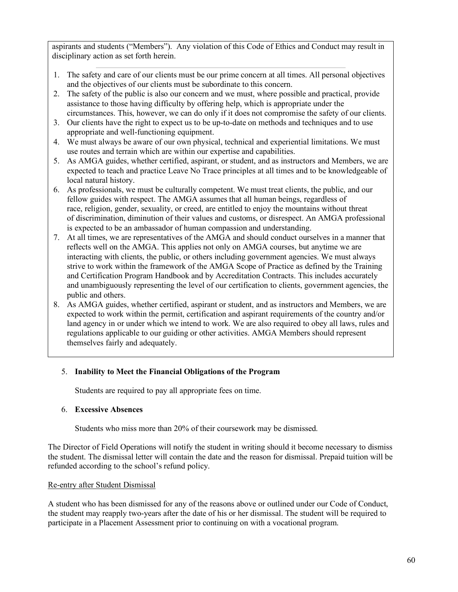aspirants and students ("Members"). Any violation of this Code of Ethics and Conduct may result in disciplinary action as set forth herein.

- 1. The safety and care of our clients must be our prime concern at all times. All personal objectives and the objectives of our clients must be subordinate to this concern.
- 2. The safety of the public is also our concern and we must, where possible and practical, provide assistance to those having difficulty by offering help, which is appropriate under the circumstances. This, however, we can do only if it does not compromise the safety of our clients.
- 3. Our clients have the right to expect us to be up-to-date on methods and techniques and to use appropriate and well-functioning equipment.
- 4. We must always be aware of our own physical, technical and experiential limitations. We must use routes and terrain which are within our expertise and capabilities.
- 5. As AMGA guides, whether certified, aspirant, or student, and as instructors and Members, we are expected to teach and practice Leave No Trace principles at all times and to be knowledgeable of local natural history.
- 6. As professionals, we must be culturally competent. We must treat clients, the public, and our fellow guides with respect. The AMGA assumes that all human beings, regardless of race, religion, gender, sexuality, or creed, are entitled to enjoy the mountains without threat of discrimination, diminution of their values and customs, or disrespect. An AMGA professional is expected to be an ambassador of human compassion and understanding.
- 7. At all times, we are representatives of the AMGA and should conduct ourselves in a manner that reflects well on the AMGA. This applies not only on AMGA courses, but anytime we are interacting with clients, the public, or others including government agencies. We must always strive to work within the framework of the AMGA Scope of Practice as defined by the Training and Certification Program Handbook and by Accreditation Contracts. This includes accurately and unambiguously representing the level of our certification to clients, government agencies, the public and others.
- 8. As AMGA guides, whether certified, aspirant or student, and as instructors and Members, we are expected to work within the permit, certification and aspirant requirements of the country and/or land agency in or under which we intend to work. We are also required to obey all laws, rules and regulations applicable to our guiding or other activities. AMGA Members should represent themselves fairly and adequately.

# 5. **Inability to Meet the Financial Obligations of the Program**

Students are required to pay all appropriate fees on time.

# 6. **Excessive Absences**

Students who miss more than 20% of their coursework may be dismissed.

The Director of Field Operations will notify the student in writing should it become necessary to dismiss the student. The dismissal letter will contain the date and the reason for dismissal. Prepaid tuition will be refunded according to the school's refund policy.

# Re-entry after Student Dismissal

A student who has been dismissed for any of the reasons above or outlined under our Code of Conduct, the student may reapply two-years after the date of his or her dismissal. The student will be required to participate in a Placement Assessment prior to continuing on with a vocational program.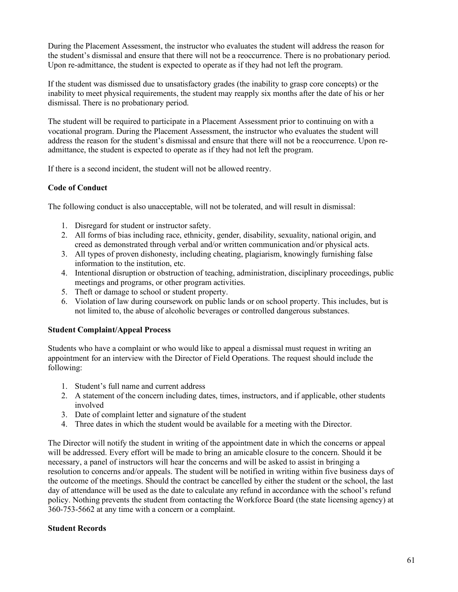During the Placement Assessment, the instructor who evaluates the student will address the reason for the student's dismissal and ensure that there will not be a reoccurrence. There is no probationary period. Upon re-admittance, the student is expected to operate as if they had not left the program.

If the student was dismissed due to unsatisfactory grades (the inability to grasp core concepts) or the inability to meet physical requirements, the student may reapply six months after the date of his or her dismissal. There is no probationary period.

The student will be required to participate in a Placement Assessment prior to continuing on with a vocational program. During the Placement Assessment, the instructor who evaluates the student will address the reason for the student's dismissal and ensure that there will not be a reoccurrence. Upon readmittance, the student is expected to operate as if they had not left the program.

If there is a second incident, the student will not be allowed reentry.

### **Code of Conduct**

The following conduct is also unacceptable, will not be tolerated, and will result in dismissal:

- 1. Disregard for student or instructor safety.
- 2. All forms of bias including race, ethnicity, gender, disability, sexuality, national origin, and creed as demonstrated through verbal and/or written communication and/or physical acts.
- 3. All types of proven dishonesty, including cheating, plagiarism, knowingly furnishing false information to the institution, etc.
- 4. Intentional disruption or obstruction of teaching, administration, disciplinary proceedings, public meetings and programs, or other program activities.
- 5. Theft or damage to school or student property.
- 6. Violation of law during coursework on public lands or on school property. This includes, but is not limited to, the abuse of alcoholic beverages or controlled dangerous substances.

### **Student Complaint/Appeal Process**

Students who have a complaint or who would like to appeal a dismissal must request in writing an appointment for an interview with the Director of Field Operations. The request should include the following:

- 1. Student's full name and current address
- 2. A statement of the concern including dates, times, instructors, and if applicable, other students involved
- 3. Date of complaint letter and signature of the student
- 4. Three dates in which the student would be available for a meeting with the Director.

The Director will notify the student in writing of the appointment date in which the concerns or appeal will be addressed. Every effort will be made to bring an amicable closure to the concern. Should it be necessary, a panel of instructors will hear the concerns and will be asked to assist in bringing a resolution to concerns and/or appeals. The student will be notified in writing within five business days of the outcome of the meetings. Should the contract be cancelled by either the student or the school, the last day of attendance will be used as the date to calculate any refund in accordance with the school's refund policy. Nothing prevents the student from contacting the Workforce Board (the state licensing agency) at 360-753-5662 at any time with a concern or a complaint.

### **Student Records**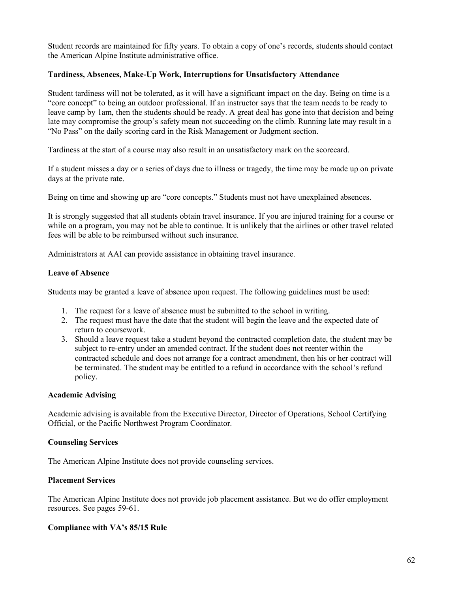Student records are maintained for fifty years. To obtain a copy of one's records, students should contact the American Alpine Institute administrative office.

### **Tardiness, Absences, Make-Up Work, Interruptions for Unsatisfactory Attendance**

Student tardiness will not be tolerated, as it will have a significant impact on the day. Being on time is a "core concept" to being an outdoor professional. If an instructor says that the team needs to be ready to leave camp by 1am, then the students should be ready. A great deal has gone into that decision and being late may compromise the group's safety mean not succeeding on the climb. Running late may result in a "No Pass" on the daily scoring card in the Risk Management or Judgment section.

Tardiness at the start of a course may also result in an unsatisfactory mark on the scorecard.

If a student misses a day or a series of days due to illness or tragedy, the time may be made up on private days at the private rate.

Being on time and showing up are "core concepts." Students must not have unexplained absences.

It is strongly suggested that all students obtain travel insurance. If you are injured training for a course or while on a program, you may not be able to continue. It is unlikely that the airlines or other travel related fees will be able to be reimbursed without such insurance.

Administrators at AAI can provide assistance in obtaining travel insurance.

#### **Leave of Absence**

Students may be granted a leave of absence upon request. The following guidelines must be used:

- 1. The request for a leave of absence must be submitted to the school in writing.
- 2. The request must have the date that the student will begin the leave and the expected date of return to coursework.
- 3. Should a leave request take a student beyond the contracted completion date, the student may be subject to re-entry under an amended contract. If the student does not reenter within the contracted schedule and does not arrange for a contract amendment, then his or her contract will be terminated. The student may be entitled to a refund in accordance with the school's refund policy.

#### **Academic Advising**

Academic advising is available from the Executive Director, Director of Operations, School Certifying Official, or the Pacific Northwest Program Coordinator.

#### **Counseling Services**

The American Alpine Institute does not provide counseling services.

#### **Placement Services**

The American Alpine Institute does not provide job placement assistance. But we do offer employment resources. See pages 59-61.

### **Compliance with VA's 85/15 Rule**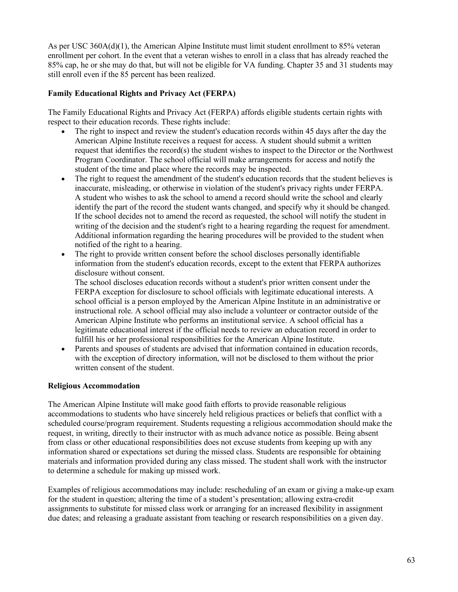As per USC  $360A(d)(1)$ , the American Alpine Institute must limit student enrollment to 85% veteran enrollment per cohort. In the event that a veteran wishes to enroll in a class that has already reached the 85% cap, he or she may do that, but will not be eligible for VA funding. Chapter 35 and 31 students may still enroll even if the 85 percent has been realized.

# **Family Educational Rights and Privacy Act (FERPA)**

The Family Educational Rights and Privacy Act (FERPA) affords eligible students certain rights with respect to their education records. These rights include:

- The right to inspect and review the student's education records within 45 days after the day the American Alpine Institute receives a request for access. A student should submit a written request that identifies the record(s) the student wishes to inspect to the Director or the Northwest Program Coordinator. The school official will make arrangements for access and notify the student of the time and place where the records may be inspected.
- The right to request the amendment of the student's education records that the student believes is inaccurate, misleading, or otherwise in violation of the student's privacy rights under FERPA. A student who wishes to ask the school to amend a record should write the school and clearly identify the part of the record the student wants changed, and specify why it should be changed. If the school decides not to amend the record as requested, the school will notify the student in writing of the decision and the student's right to a hearing regarding the request for amendment. Additional information regarding the hearing procedures will be provided to the student when notified of the right to a hearing.
- The right to provide written consent before the school discloses personally identifiable information from the student's education records, except to the extent that FERPA authorizes disclosure without consent.

The school discloses education records without a student's prior written consent under the FERPA exception for disclosure to school officials with legitimate educational interests. A school official is a person employed by the American Alpine Institute in an administrative or instructional role. A school official may also include a volunteer or contractor outside of the American Alpine Institute who performs an institutional service. A school official has a legitimate educational interest if the official needs to review an education record in order to fulfill his or her professional responsibilities for the American Alpine Institute.

• Parents and spouses of students are advised that information contained in education records, with the exception of directory information, will not be disclosed to them without the prior written consent of the student.

### **Religious Accommodation**

The American Alpine Institute will make good faith efforts to provide reasonable religious accommodations to students who have sincerely held religious practices or beliefs that conflict with a scheduled course/program requirement. Students requesting a religious accommodation should make the request, in writing, directly to their instructor with as much advance notice as possible. Being absent from class or other educational responsibilities does not excuse students from keeping up with any information shared or expectations set during the missed class. Students are responsible for obtaining materials and information provided during any class missed. The student shall work with the instructor to determine a schedule for making up missed work.

Examples of religious accommodations may include: rescheduling of an exam or giving a make-up exam for the student in question; altering the time of a student's presentation; allowing extra-credit assignments to substitute for missed class work or arranging for an increased flexibility in assignment due dates; and releasing a graduate assistant from teaching or research responsibilities on a given day.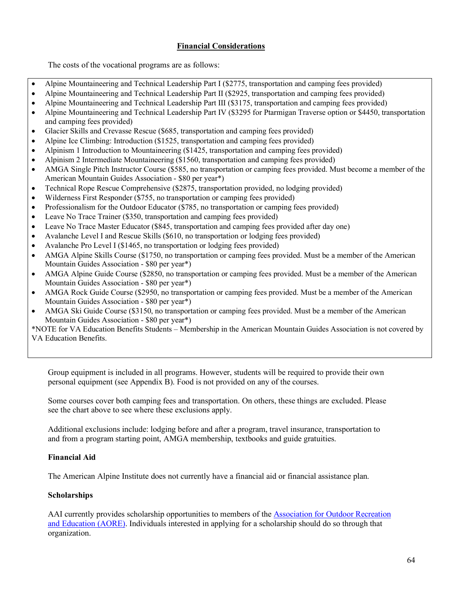# **Financial Considerations**

The costs of the vocational programs are as follows:

- Alpine Mountaineering and Technical Leadership Part I (\$2775, transportation and camping fees provided)
- Alpine Mountaineering and Technical Leadership Part II (\$2925, transportation and camping fees provided)
- Alpine Mountaineering and Technical Leadership Part III (\$3175, transportation and camping fees provided)
- Alpine Mountaineering and Technical Leadership Part IV (\$3295 for Ptarmigan Traverse option or \$4450, transportation and camping fees provided)
- Glacier Skills and Crevasse Rescue (\$685, transportation and camping fees provided)
- Alpine Ice Climbing: Introduction (\$1525, transportation and camping fees provided)
- Alpinism 1 Introduction to Mountaineering (\$1425, transportation and camping fees provided)
- Alpinism 2 Intermediate Mountaineering (\$1560, transportation and camping fees provided)
- AMGA Single Pitch Instructor Course (\$585, no transportation or camping fees provided. Must become a member of the American Mountain Guides Association - \$80 per year\*)
- Technical Rope Rescue Comprehensive (\$2875, transportation provided, no lodging provided)
- Wilderness First Responder (\$755, no transportation or camping fees provided)
- Professionalism for the Outdoor Educator (\$785, no transportation or camping fees provided)
- Leave No Trace Trainer (\$350, transportation and camping fees provided)
- Leave No Trace Master Educator (\$845, transportation and camping fees provided after day one)
- Avalanche Level I and Rescue Skills (\$610, no transportation or lodging fees provided)
- Avalanche Pro Level I (\$1465, no transportation or lodging fees provided)
- AMGA Alpine Skills Course (\$1750, no transportation or camping fees provided. Must be a member of the American Mountain Guides Association - \$80 per year\*)
- AMGA Alpine Guide Course (\$2850, no transportation or camping fees provided. Must be a member of the American Mountain Guides Association - \$80 per year\*)
- AMGA Rock Guide Course (\$2950, no transportation or camping fees provided. Must be a member of the American Mountain Guides Association - \$80 per year\*)
- AMGA Ski Guide Course (\$3150, no transportation or camping fees provided. Must be a member of the American Mountain Guides Association - \$80 per year\*)

\*NOTE for VA Education Benefits Students – Membership in the American Mountain Guides Association is not covered by VA Education Benefits.

Group equipment is included in all programs. However, students will be required to provide their own personal equipment (see Appendix B). Food is not provided on any of the courses.

Some courses cover both camping fees and transportation. On others, these things are excluded. Please see the chart above to see where these exclusions apply.

Additional exclusions include: lodging before and after a program, travel insurance, transportation to and from a program starting point, AMGA membership, textbooks and guide gratuities.

### **Financial Aid**

The American Alpine Institute does not currently have a financial aid or financial assistance plan.

# **Scholarships**

AAI currently provides scholarship opportunities to members of the Association for Outdoor Recreation and Education (AORE). Individuals interested in applying for a scholarship should do so through that organization.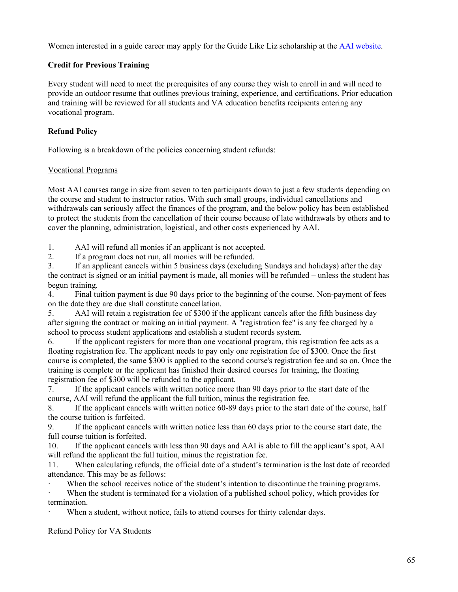Women interested in a guide career may apply for the Guide Like Liz scholarship at the AAI website.

# **Credit for Previous Training**

Every student will need to meet the prerequisites of any course they wish to enroll in and will need to provide an outdoor resume that outlines previous training, experience, and certifications. Prior education and training will be reviewed for all students and VA education benefits recipients entering any vocational program.

# **Refund Policy**

Following is a breakdown of the policies concerning student refunds:

# Vocational Programs

Most AAI courses range in size from seven to ten participants down to just a few students depending on the course and student to instructor ratios. With such small groups, individual cancellations and withdrawals can seriously affect the finances of the program, and the below policy has been established to protect the students from the cancellation of their course because of late withdrawals by others and to cover the planning, administration, logistical, and other costs experienced by AAI.

1. AAI will refund all monies if an applicant is not accepted.

2. If a program does not run, all monies will be refunded.

3. If an applicant cancels within 5 business days (excluding Sundays and holidays) after the day the contract is signed or an initial payment is made, all monies will be refunded – unless the student has begun training.

4. Final tuition payment is due 90 days prior to the beginning of the course. Non-payment of fees on the date they are due shall constitute cancellation.

5. AAI will retain a registration fee of \$300 if the applicant cancels after the fifth business day after signing the contract or making an initial payment. A "registration fee" is any fee charged by a school to process student applications and establish a student records system.

6. If the applicant registers for more than one vocational program, this registration fee acts as a floating registration fee. The applicant needs to pay only one registration fee of \$300. Once the first course is completed, the same \$300 is applied to the second course's registration fee and so on. Once the training is complete or the applicant has finished their desired courses for training, the floating registration fee of \$300 will be refunded to the applicant.

7. If the applicant cancels with written notice more than 90 days prior to the start date of the course, AAI will refund the applicant the full tuition, minus the registration fee.

8. If the applicant cancels with written notice 60-89 days prior to the start date of the course, half the course tuition is forfeited.

9. If the applicant cancels with written notice less than 60 days prior to the course start date, the full course tuition is forfeited.

10. If the applicant cancels with less than 90 days and AAI is able to fill the applicant's spot, AAI will refund the applicant the full tuition, minus the registration fee.

11. When calculating refunds, the official date of a student's termination is the last date of recorded attendance. This may be as follows:

When the school receives notice of the student's intention to discontinue the training programs.

When the student is terminated for a violation of a published school policy, which provides for termination.

When a student, without notice, fails to attend courses for thirty calendar days.

Refund Policy for VA Students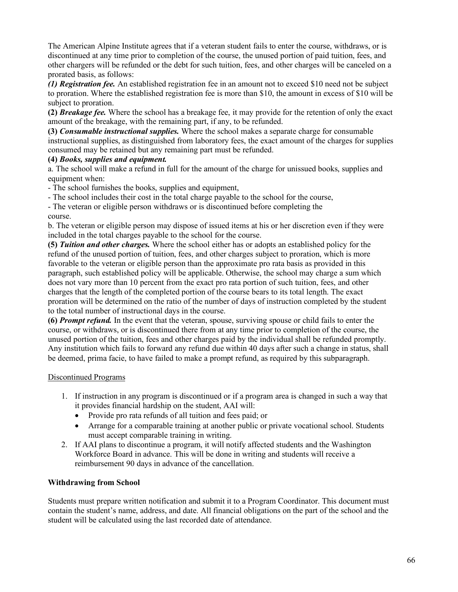The American Alpine Institute agrees that if a veteran student fails to enter the course, withdraws, or is discontinued at any time prior to completion of the course, the unused portion of paid tuition, fees, and other chargers will be refunded or the debt for such tuition, fees, and other charges will be canceled on a prorated basis, as follows:

*(1) Registration fee.* An established registration fee in an amount not to exceed \$10 need not be subject to proration. Where the established registration fee is more than \$10, the amount in excess of \$10 will be subject to proration.

**(2)** *Breakage fee.* Where the school has a breakage fee, it may provide for the retention of only the exact amount of the breakage, with the remaining part, if any, to be refunded.

**(3)** *Consumable instructional supplies.* Where the school makes a separate charge for consumable instructional supplies, as distinguished from laboratory fees, the exact amount of the charges for supplies consumed may be retained but any remaining part must be refunded.

### **(4)** *Books, supplies and equipment.*

a. The school will make a refund in full for the amount of the charge for unissued books, supplies and equipment when:

- The school furnishes the books, supplies and equipment,

- The school includes their cost in the total charge payable to the school for the course,

- The veteran or eligible person withdraws or is discontinued before completing the course.

b. The veteran or eligible person may dispose of issued items at his or her discretion even if they were included in the total charges payable to the school for the course.

**(5)** *Tuition and other charges.* Where the school either has or adopts an established policy for the refund of the unused portion of tuition, fees, and other charges subject to proration, which is more favorable to the veteran or eligible person than the approximate pro rata basis as provided in this paragraph, such established policy will be applicable. Otherwise, the school may charge a sum which does not vary more than 10 percent from the exact pro rata portion of such tuition, fees, and other charges that the length of the completed portion of the course bears to its total length. The exact proration will be determined on the ratio of the number of days of instruction completed by the student to the total number of instructional days in the course.

**(6)** *Prompt refund.* In the event that the veteran, spouse, surviving spouse or child fails to enter the course, or withdraws, or is discontinued there from at any time prior to completion of the course, the unused portion of the tuition, fees and other charges paid by the individual shall be refunded promptly. Any institution which fails to forward any refund due within 40 days after such a change in status, shall be deemed, prima facie, to have failed to make a prompt refund, as required by this subparagraph.

# Discontinued Programs

- 1. If instruction in any program is discontinued or if a program area is changed in such a way that it provides financial hardship on the student, AAI will:
	- Provide pro rata refunds of all tuition and fees paid; or
	- Arrange for a comparable training at another public or private vocational school. Students must accept comparable training in writing.
- 2. If AAI plans to discontinue a program, it will notify affected students and the Washington Workforce Board in advance. This will be done in writing and students will receive a reimbursement 90 days in advance of the cancellation.

# **Withdrawing from School**

Students must prepare written notification and submit it to a Program Coordinator. This document must contain the student's name, address, and date. All financial obligations on the part of the school and the student will be calculated using the last recorded date of attendance.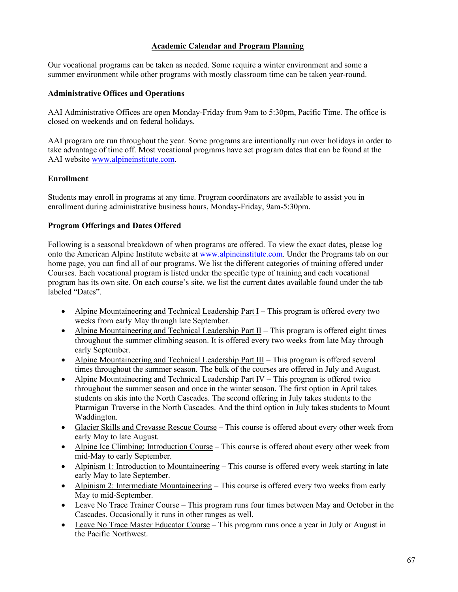### **Academic Calendar and Program Planning**

Our vocational programs can be taken as needed. Some require a winter environment and some a summer environment while other programs with mostly classroom time can be taken year-round.

### **Administrative Offices and Operations**

AAI Administrative Offices are open Monday-Friday from 9am to 5:30pm, Pacific Time. The office is closed on weekends and on federal holidays.

AAI program are run throughout the year. Some programs are intentionally run over holidays in order to take advantage of time off. Most vocational programs have set program dates that can be found at the AAI website www.alpineinstitute.com.

### **Enrollment**

Students may enroll in programs at any time. Program coordinators are available to assist you in enrollment during administrative business hours, Monday-Friday, 9am-5:30pm.

### **Program Offerings and Dates Offered**

Following is a seasonal breakdown of when programs are offered. To view the exact dates, please log onto the American Alpine Institute website at www.alpineinstitute.com. Under the Programs tab on our home page, you can find all of our programs. We list the different categories of training offered under Courses. Each vocational program is listed under the specific type of training and each vocational program has its own site. On each course's site, we list the current dates available found under the tab labeled "Dates".

- Alpine Mountaineering and Technical Leadership Part I This program is offered every two weeks from early May through late September.
- Alpine Mountaineering and Technical Leadership Part II This program is offered eight times throughout the summer climbing season. It is offered every two weeks from late May through early September.
- Alpine Mountaineering and Technical Leadership Part III This program is offered several times throughout the summer season. The bulk of the courses are offered in July and August.
- Alpine Mountaineering and Technical Leadership Part IV This program is offered twice throughout the summer season and once in the winter season. The first option in April takes students on skis into the North Cascades. The second offering in July takes students to the Ptarmigan Traverse in the North Cascades. And the third option in July takes students to Mount Waddington.
- Glacier Skills and Crevasse Rescue Course This course is offered about every other week from early May to late August.
- Alpine Ice Climbing: Introduction Course This course is offered about every other week from mid-May to early September.
- Alpinism 1: Introduction to Mountaineering This course is offered every week starting in late early May to late September.
- Alpinism 2: Intermediate Mountaineering This course is offered every two weeks from early May to mid-September.
- Leave No Trace Trainer Course This program runs four times between May and October in the Cascades. Occasionally it runs in other ranges as well.
- Leave No Trace Master Educator Course This program runs once a year in July or August in the Pacific Northwest.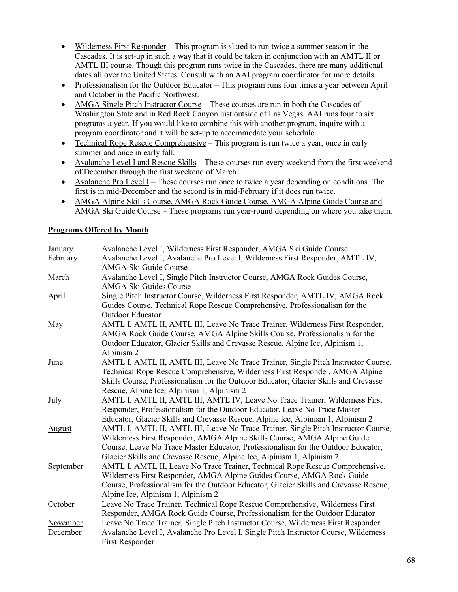- Wilderness First Responder This program is slated to run twice a summer season in the Cascades. It is set-up in such a way that it could be taken in conjunction with an AMTL II or AMTL III course. Though this program runs twice in the Cascades, there are many additional dates all over the United States. Consult with an AAI program coordinator for more details.
- Professionalism for the Outdoor Educator This program runs four times a year between April and October in the Pacific Northwest.
- AMGA Single Pitch Instructor Course These courses are run in both the Cascades of Washington State and in Red Rock Canyon just outside of Las Vegas. AAI runs four to six programs a year. If you would like to combine this with another program, inquire with a program coordinator and it will be set-up to accommodate your schedule.
- Technical Rope Rescue Comprehensive This program is run twice a year, once in early summer and once in early fall.
- Avalanche Level I and Rescue Skills These courses run every weekend from the first weekend of December through the first weekend of March.
- Avalanche Pro Level I These courses run once to twice a year depending on conditions. The first is in mid-December and the second is in mid-February if it does run twice.
- AMGA Alpine Skills Course, AMGA Rock Guide Course, AMGA Alpine Guide Course and AMGA Ski Guide Course – These programs run year-round depending on where you take them.

# **Programs Offered by Month**

| <b>January</b><br>February | Avalanche Level I, Wilderness First Responder, AMGA Ski Guide Course<br>Avalanche Level I, Avalanche Pro Level I, Wilderness First Responder, AMTL IV,<br>AMGA Ski Guide Course                                                                                                                                               |  |  |  |
|----------------------------|-------------------------------------------------------------------------------------------------------------------------------------------------------------------------------------------------------------------------------------------------------------------------------------------------------------------------------|--|--|--|
| March                      | Avalanche Level I, Single Pitch Instructor Course, AMGA Rock Guides Course,<br><b>AMGA Ski Guides Course</b>                                                                                                                                                                                                                  |  |  |  |
| <b>April</b>               | Single Pitch Instructor Course, Wilderness First Responder, AMTL IV, AMGA Rock<br>Guides Course, Technical Rope Rescue Comprehensive, Professionalism for the                                                                                                                                                                 |  |  |  |
| May                        | <b>Outdoor Educator</b><br>AMTL I, AMTL II, AMTL III, Leave No Trace Trainer, Wilderness First Responder,<br>AMGA Rock Guide Course, AMGA Alpine Skills Course, Professionalism for the<br>Outdoor Educator, Glacier Skills and Crevasse Rescue, Alpine Ice, Alpinism 1,<br>Alpinism 2                                        |  |  |  |
| June                       | AMTL I, AMTL II, AMTL III, Leave No Trace Trainer, Single Pitch Instructor Course,<br>Technical Rope Rescue Comprehensive, Wilderness First Responder, AMGA Alpine<br>Skills Course, Professionalism for the Outdoor Educator, Glacier Skills and Crevasse<br>Rescue, Alpine Ice, Alpinism 1, Alpinism 2                      |  |  |  |
| <b>July</b>                | AMTL I, AMTL II, AMTL III, AMTL IV, Leave No Trace Trainer, Wilderness First<br>Responder, Professionalism for the Outdoor Educator, Leave No Trace Master<br>Educator, Glacier Skills and Crevasse Rescue, Alpine Ice, Alpinism 1, Alpinism 2                                                                                |  |  |  |
| August                     | AMTL I, AMTL II, AMTL III, Leave No Trace Trainer, Single Pitch Instructor Course,<br>Wilderness First Responder, AMGA Alpine Skills Course, AMGA Alpine Guide<br>Course, Leave No Trace Master Educator, Professionalism for the Outdoor Educator,<br>Glacier Skills and Crevasse Rescue, Alpine Ice, Alpinism 1, Alpinism 2 |  |  |  |
| September                  | AMTL I, AMTL II, Leave No Trace Trainer, Technical Rope Rescue Comprehensive,<br>Wilderness First Responder, AMGA Alpine Guides Course, AMGA Rock Guide<br>Course, Professionalism for the Outdoor Educator, Glacier Skills and Crevasse Rescue,<br>Alpine Ice, Alpinism 1, Alpinism 2                                        |  |  |  |
| October                    | Leave No Trace Trainer, Technical Rope Rescue Comprehensive, Wilderness First<br>Responder, AMGA Rock Guide Course, Professionalism for the Outdoor Educator                                                                                                                                                                  |  |  |  |
| November                   | Leave No Trace Trainer, Single Pitch Instructor Course, Wilderness First Responder                                                                                                                                                                                                                                            |  |  |  |
| December                   | Avalanche Level I, Avalanche Pro Level I, Single Pitch Instructor Course, Wilderness<br>First Responder                                                                                                                                                                                                                       |  |  |  |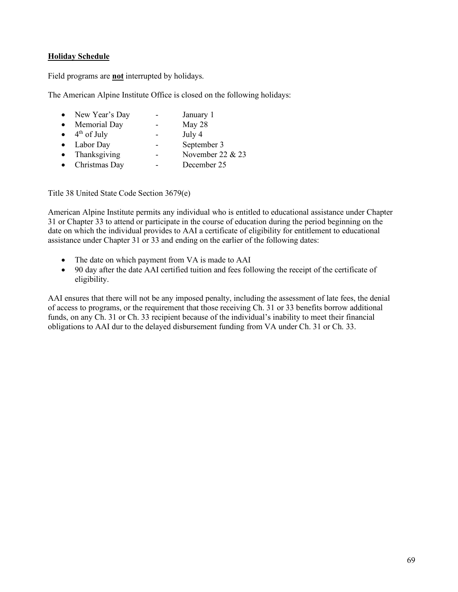# **Holiday Schedule**

Field programs are **not** interrupted by holidays.

The American Alpine Institute Office is closed on the following holidays:

| • New Year's Day                  | January 1          |
|-----------------------------------|--------------------|
| • Memorial Day                    | May 28             |
| $\bullet$ 4 <sup>th</sup> of July | July 4             |
| $\bullet$ Labor Day               | September 3        |
| Thanksgiving                      | November 22 $& 23$ |
| Christmas Day                     | December 25        |
|                                   |                    |

Title 38 United State Code Section 3679(e)

American Alpine Institute permits any individual who is entitled to educational assistance under Chapter 31 or Chapter 33 to attend or participate in the course of education during the period beginning on the date on which the individual provides to AAI a certificate of eligibility for entitlement to educational assistance under Chapter 31 or 33 and ending on the earlier of the following dates:

- The date on which payment from VA is made to AAI
- 90 day after the date AAI certified tuition and fees following the receipt of the certificate of eligibility.

AAI ensures that there will not be any imposed penalty, including the assessment of late fees, the denial of access to programs, or the requirement that those receiving Ch. 31 or 33 benefits borrow additional funds, on any Ch. 31 or Ch. 33 recipient because of the individual's inability to meet their financial obligations to AAI dur to the delayed disbursement funding from VA under Ch. 31 or Ch. 33.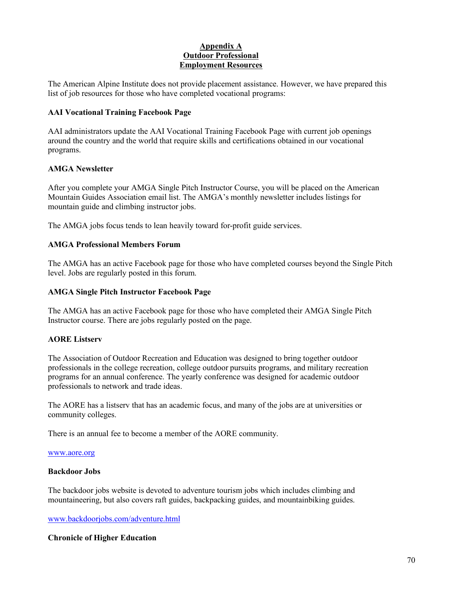### **Appendix A Outdoor Professional Employment Resources**

The American Alpine Institute does not provide placement assistance. However, we have prepared this list of job resources for those who have completed vocational programs:

### **AAI Vocational Training Facebook Page**

AAI administrators update the AAI Vocational Training Facebook Page with current job openings around the country and the world that require skills and certifications obtained in our vocational programs.

# **AMGA Newsletter**

After you complete your AMGA Single Pitch Instructor Course, you will be placed on the American Mountain Guides Association email list. The AMGA's monthly newsletter includes listings for mountain guide and climbing instructor jobs.

The AMGA jobs focus tends to lean heavily toward for-profit guide services.

### **AMGA Professional Members Forum**

The AMGA has an active Facebook page for those who have completed courses beyond the Single Pitch level. Jobs are regularly posted in this forum.

#### **AMGA Single Pitch Instructor Facebook Page**

The AMGA has an active Facebook page for those who have completed their AMGA Single Pitch Instructor course. There are jobs regularly posted on the page.

### **AORE Listserv**

The Association of Outdoor Recreation and Education was designed to bring together outdoor professionals in the college recreation, college outdoor pursuits programs, and military recreation programs for an annual conference. The yearly conference was designed for academic outdoor professionals to network and trade ideas.

The AORE has a listserv that has an academic focus, and many of the jobs are at universities or community colleges.

There is an annual fee to become a member of the AORE community.

#### www.aore.org

#### **Backdoor Jobs**

The backdoor jobs website is devoted to adventure tourism jobs which includes climbing and mountaineering, but also covers raft guides, backpacking guides, and mountainbiking guides.

www.backdoorjobs.com/adventure.html

### **Chronicle of Higher Education**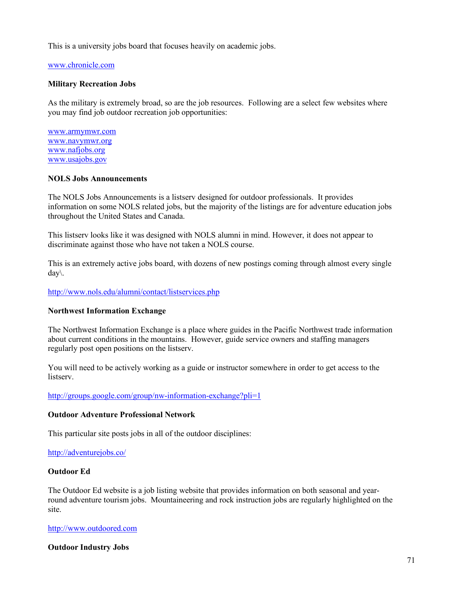This is a university jobs board that focuses heavily on academic jobs.

#### www.chronicle.com

#### **Military Recreation Jobs**

As the military is extremely broad, so are the job resources. Following are a select few websites where you may find job outdoor recreation job opportunities:

www.armymwr.com www.navymwr.org www.nafjobs.org www.usajobs.gov

### **NOLS Jobs Announcements**

The NOLS Jobs Announcements is a listserv designed for outdoor professionals. It provides information on some NOLS related jobs, but the majority of the listings are for adventure education jobs throughout the United States and Canada.

This listserv looks like it was designed with NOLS alumni in mind. However, it does not appear to discriminate against those who have not taken a NOLS course.

This is an extremely active jobs board, with dozens of new postings coming through almost every single day\.

http://www.nols.edu/alumni/contact/listservices.php

### **Northwest Information Exchange**

The Northwest Information Exchange is a place where guides in the Pacific Northwest trade information about current conditions in the mountains. However, guide service owners and staffing managers regularly post open positions on the listserv.

You will need to be actively working as a guide or instructor somewhere in order to get access to the **listserv** 

http://groups.google.com/group/nw-information-exchange?pli=1

#### **Outdoor Adventure Professional Network**

This particular site posts jobs in all of the outdoor disciplines:

### http://adventurejobs.co/

#### **Outdoor Ed**

The Outdoor Ed website is a job listing website that provides information on both seasonal and yearround adventure tourism jobs. Mountaineering and rock instruction jobs are regularly highlighted on the site.

#### http://www.outdoored.com

**Outdoor Industry Jobs**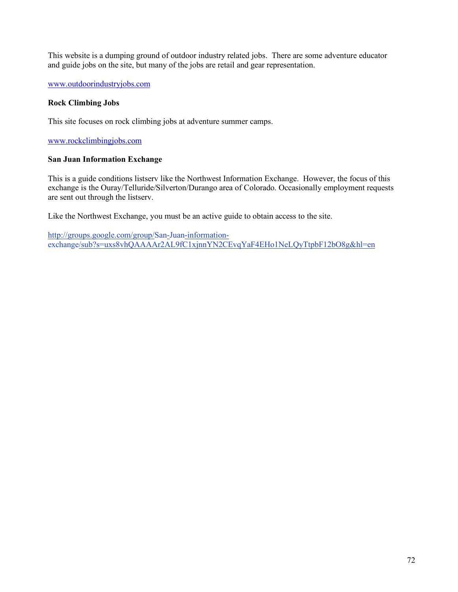This website is a dumping ground of outdoor industry related jobs. There are some adventure educator and guide jobs on the site, but many of the jobs are retail and gear representation.

www.outdoorindustryjobs.com

# **Rock Climbing Jobs**

This site focuses on rock climbing jobs at adventure summer camps.

www.rockclimbingjobs.com

### **San Juan Information Exchange**

This is a guide conditions listserv like the Northwest Information Exchange. However, the focus of this exchange is the Ouray/Telluride/Silverton/Durango area of Colorado. Occasionally employment requests are sent out through the listserv.

Like the Northwest Exchange, you must be an active guide to obtain access to the site.

http://groups.google.com/group/San-Juan-informationexchange/sub?s=uxs8vhQAAAAr2AL9fC1xjnnYN2CEvqYaF4EHo1NeLQyTtpbF12bO8g&hl=en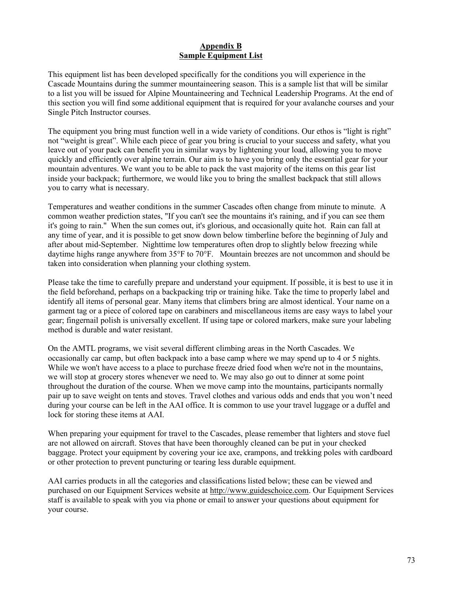## **Appendix B Sample Equipment List**

This equipment list has been developed specifically for the conditions you will experience in the Cascade Mountains during the summer mountaineering season. This is a sample list that will be similar to a list you will be issued for Alpine Mountaineering and Technical Leadership Programs. At the end of this section you will find some additional equipment that is required for your avalanche courses and your Single Pitch Instructor courses.

The equipment you bring must function well in a wide variety of conditions. Our ethos is "light is right" not "weight is great". While each piece of gear you bring is crucial to your success and safety, what you leave out of your pack can benefit you in similar ways by lightening your load, allowing you to move quickly and efficiently over alpine terrain. Our aim is to have you bring only the essential gear for your mountain adventures. We want you to be able to pack the vast majority of the items on this gear list inside your backpack; furthermore, we would like you to bring the smallest backpack that still allows you to carry what is necessary.

Temperatures and weather conditions in the summer Cascades often change from minute to minute. A common weather prediction states, "If you can't see the mountains it's raining, and if you can see them it's going to rain." When the sun comes out, it's glorious, and occasionally quite hot. Rain can fall at any time of year, and it is possible to get snow down below timberline before the beginning of July and after about mid-September. Nighttime low temperatures often drop to slightly below freezing while daytime highs range anywhere from 35°F to 70°F. Mountain breezes are not uncommon and should be taken into consideration when planning your clothing system.

Please take the time to carefully prepare and understand your equipment. If possible, it is best to use it in the field beforehand, perhaps on a backpacking trip or training hike. Take the time to properly label and identify all items of personal gear. Many items that climbers bring are almost identical. Your name on a garment tag or a piece of colored tape on carabiners and miscellaneous items are easy ways to label your gear; fingernail polish is universally excellent. If using tape or colored markers, make sure your labeling method is durable and water resistant.

On the AMTL programs, we visit several different climbing areas in the North Cascades. We occasionally car camp, but often backpack into a base camp where we may spend up to 4 or 5 nights. While we won't have access to a place to purchase freeze dried food when we're not in the mountains, we will stop at grocery stores whenever we need to. We may also go out to dinner at some point throughout the duration of the course. When we move camp into the mountains, participants normally pair up to save weight on tents and stoves. Travel clothes and various odds and ends that you won't need during your course can be left in the AAI office. It is common to use your travel luggage or a duffel and lock for storing these items at AAI.

When preparing your equipment for travel to the Cascades, please remember that lighters and stove fuel are not allowed on aircraft. Stoves that have been thoroughly cleaned can be put in your checked baggage. Protect your equipment by covering your ice axe, crampons, and trekking poles with cardboard or other protection to prevent puncturing or tearing less durable equipment.

AAI carries products in all the categories and classifications listed below; these can be viewed and purchased on our Equipment Services website at http://www.guideschoice.com. Our Equipment Services staff is available to speak with you via phone or email to answer your questions about equipment for your course.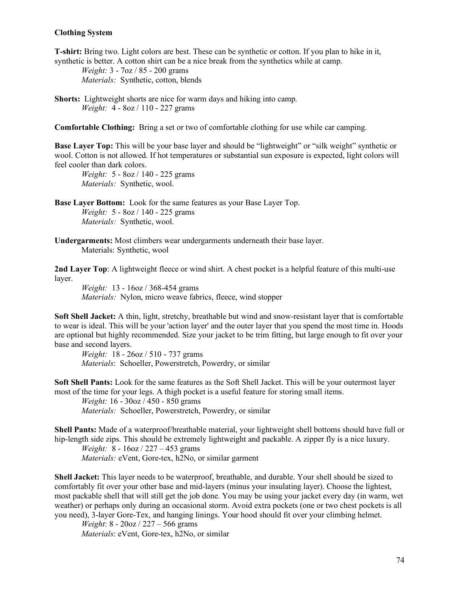### **Clothing System**

**T-shirt:** Bring two. Light colors are best. These can be synthetic or cotton. If you plan to hike in it, synthetic is better. A cotton shirt can be a nice break from the synthetics while at camp.

*Weight:* 3 - 7oz / 85 - 200 grams *Materials:* Synthetic, cotton, blends

**Shorts:** Lightweight shorts are nice for warm days and hiking into camp. *Weight:* 4 - 8oz / 110 - 227 grams

**Comfortable Clothing:** Bring a set or two of comfortable clothing for use while car camping.

**Base Layer Top:** This will be your base layer and should be "lightweight" or "silk weight" synthetic or wool. Cotton is not allowed. If hot temperatures or substantial sun exposure is expected, light colors will feel cooler than dark colors.

*Weight:* 5 - 8oz / 140 - 225 grams *Materials:* Synthetic, wool.

**Base Layer Bottom:** Look for the same features as your Base Layer Top. *Weight:* 5 - 8oz / 140 - 225 grams *Materials:* Synthetic, wool.

**Undergarments:** Most climbers wear undergarments underneath their base layer. Materials: Synthetic, wool

**2nd Layer Top**: A lightweight fleece or wind shirt. A chest pocket is a helpful feature of this multi-use layer.

*Weight:* 13 - 16oz / 368-454 grams *Materials:* Nylon, micro weave fabrics, fleece, wind stopper

**Soft Shell Jacket:** A thin, light, stretchy, breathable but wind and snow-resistant layer that is comfortable to wear is ideal. This will be your 'action layer' and the outer layer that you spend the most time in. Hoods are optional but highly recommended. Size your jacket to be trim fitting, but large enough to fit over your base and second layers.

*Weight:* 18 - 26oz / 510 - 737 grams *Materials*: Schoeller, Powerstretch, Powerdry, or similar

**Soft Shell Pants:** Look for the same features as the Soft Shell Jacket. This will be your outermost layer most of the time for your legs. A thigh pocket is a useful feature for storing small items.

*Weight:* 16 - 30oz / 450 - 850 grams *Materials:* Schoeller, Powerstretch, Powerdry, or similar

**Shell Pants:** Made of a waterproof/breathable material, your lightweight shell bottoms should have full or hip-length side zips. This should be extremely lightweight and packable. A zipper fly is a nice luxury.

*Weight:* 8 - 16oz / 227 – 453 grams *Materials:* eVent, Gore-tex, h2No, or similar garment

**Shell Jacket:** This layer needs to be waterproof, breathable, and durable. Your shell should be sized to comfortably fit over your other base and mid-layers (minus your insulating layer). Choose the lightest, most packable shell that will still get the job done. You may be using your jacket every day (in warm, wet weather) or perhaps only during an occasional storm. Avoid extra pockets (one or two chest pockets is all you need), 3-layer Gore-Tex, and hanging linings. Your hood should fit over your climbing helmet.

*Weight*: 8 - 20oz / 227 – 566 grams

*Materials*: eVent, Gore-tex, h2No, or similar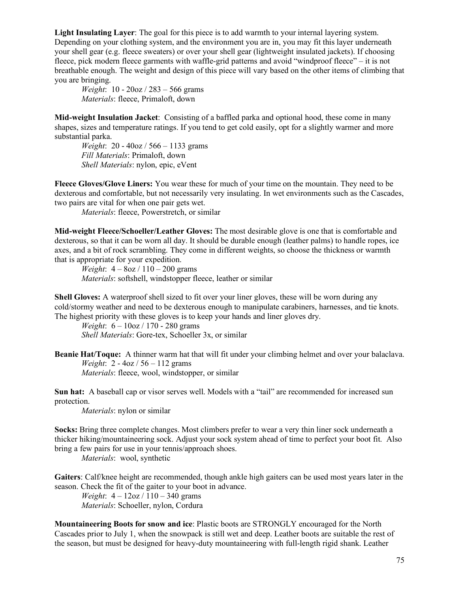**Light Insulating Layer**: The goal for this piece is to add warmth to your internal layering system. Depending on your clothing system, and the environment you are in, you may fit this layer underneath your shell gear (e.g. fleece sweaters) or over your shell gear (lightweight insulated jackets). If choosing fleece, pick modern fleece garments with waffle-grid patterns and avoid "windproof fleece" – it is not breathable enough. The weight and design of this piece will vary based on the other items of climbing that you are bringing.

*Weight*: 10 - 20oz / 283 – 566 grams *Materials*: fleece, Primaloft, down

**Mid-weight Insulation Jacket**: Consisting of a baffled parka and optional hood, these come in many shapes, sizes and temperature ratings. If you tend to get cold easily, opt for a slightly warmer and more substantial parka.

*Weight*: 20 - 40oz / 566 – 1133 grams *Fill Materials*: Primaloft, down *Shell Materials*: nylon, epic, eVent

**Fleece Gloves/Glove Liners:** You wear these for much of your time on the mountain. They need to be dexterous and comfortable, but not necessarily very insulating. In wet environments such as the Cascades, two pairs are vital for when one pair gets wet.

*Materials*: fleece, Powerstretch, or similar

**Mid-weight Fleece/Schoeller/Leather Gloves:** The most desirable glove is one that is comfortable and dexterous, so that it can be worn all day. It should be durable enough (leather palms) to handle ropes, ice axes, and a bit of rock scrambling. They come in different weights, so choose the thickness or warmth that is appropriate for your expedition.

*Weight*:  $4 - 8oz / 110 - 200$  grams *Materials*: softshell, windstopper fleece, leather or similar

**Shell Gloves:** A waterproof shell sized to fit over your liner gloves, these will be worn during any cold/stormy weather and need to be dexterous enough to manipulate carabiners, harnesses, and tie knots. The highest priority with these gloves is to keep your hands and liner gloves dry.

*Weight*: 6 – 10oz / 170 - 280 grams *Shell Materials*: Gore-tex, Schoeller 3x, or similar

**Beanie Hat/Toque:** A thinner warm hat that will fit under your climbing helmet and over your balaclava. *Weight*: 2 - 4oz / 56 – 112 grams *Materials*: fleece, wool, windstopper, or similar

**Sun hat:** A baseball cap or visor serves well. Models with a "tail" are recommended for increased sun protection.

*Materials*: nylon or similar

**Socks:** Bring three complete changes. Most climbers prefer to wear a very thin liner sock underneath a thicker hiking/mountaineering sock. Adjust your sock system ahead of time to perfect your boot fit. Also bring a few pairs for use in your tennis/approach shoes.

*Materials*: wool, synthetic

**Gaiters**: Calf/knee height are recommended, though ankle high gaiters can be used most years later in the season. Check the fit of the gaiter to your boot in advance.

*Weight*: 4 – 12oz / 110 – 340 grams *Materials*: Schoeller, nylon, Cordura

**Mountaineering Boots for snow and ice**: Plastic boots are STRONGLY encouraged for the North Cascades prior to July 1, when the snowpack is still wet and deep. Leather boots are suitable the rest of the season, but must be designed for heavy-duty mountaineering with full-length rigid shank. Leather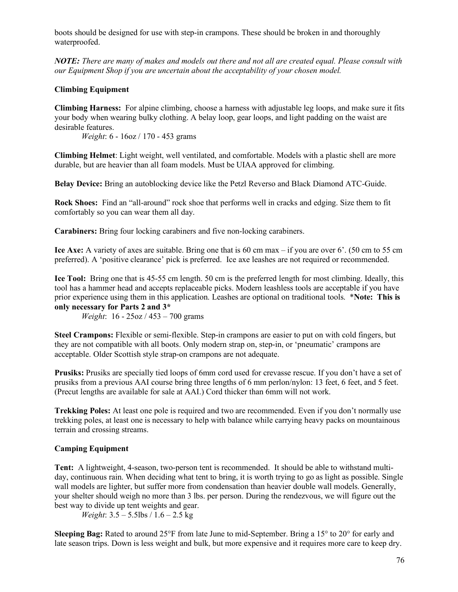boots should be designed for use with step-in crampons. These should be broken in and thoroughly waterproofed.

*NOTE: There are many of makes and models out there and not all are created equal. Please consult with our Equipment Shop if you are uncertain about the acceptability of your chosen model.*

#### **Climbing Equipment**

**Climbing Harness:** For alpine climbing, choose a harness with adjustable leg loops, and make sure it fits your body when wearing bulky clothing. A belay loop, gear loops, and light padding on the waist are desirable features.

*Weight*: 6 - 16oz / 170 - 453 grams

**Climbing Helmet**: Light weight, well ventilated, and comfortable. Models with a plastic shell are more durable, but are heavier than all foam models. Must be UIAA approved for climbing.

**Belay Device:** Bring an autoblocking device like the Petzl Reverso and Black Diamond ATC-Guide.

**Rock Shoes:** Find an "all-around" rock shoe that performs well in cracks and edging. Size them to fit comfortably so you can wear them all day.

**Carabiners:** Bring four locking carabiners and five non-locking carabiners.

**Ice Axe:** A variety of axes are suitable. Bring one that is 60 cm max – if you are over 6'. (50 cm to 55 cm preferred). A 'positive clearance' pick is preferred. Ice axe leashes are not required or recommended.

**Ice Tool:** Bring one that is 45-55 cm length. 50 cm is the preferred length for most climbing. Ideally, this tool has a hammer head and accepts replaceable picks. Modern leashless tools are acceptable if you have prior experience using them in this application. Leashes are optional on traditional tools. \***Note: This is only necessary for Parts 2 and 3\***

*Weight*: 16 - 25oz / 453 – 700 grams

**Steel Crampons:** Flexible or semi-flexible. Step-in crampons are easier to put on with cold fingers, but they are not compatible with all boots. Only modern strap on, step-in, or 'pneumatic' crampons are acceptable. Older Scottish style strap-on crampons are not adequate.

**Prusiks:** Prusiks are specially tied loops of 6mm cord used for crevasse rescue. If you don't have a set of prusiks from a previous AAI course bring three lengths of 6 mm perlon/nylon: 13 feet, 6 feet, and 5 feet. (Precut lengths are available for sale at AAI.) Cord thicker than 6mm will not work.

**Trekking Poles:** At least one pole is required and two are recommended. Even if you don't normally use trekking poles, at least one is necessary to help with balance while carrying heavy packs on mountainous terrain and crossing streams.

### **Camping Equipment**

**Tent:** A lightweight, 4-season, two-person tent is recommended. It should be able to withstand multiday, continuous rain. When deciding what tent to bring, it is worth trying to go as light as possible. Single wall models are lighter, but suffer more from condensation than heavier double wall models. Generally, your shelter should weigh no more than 3 lbs. per person. During the rendezvous, we will figure out the best way to divide up tent weights and gear.

*Weight*: 3.5 – 5.5lbs / 1.6 – 2.5 kg

**Sleeping Bag:** Rated to around 25°F from late June to mid-September. Bring a 15° to 20° for early and late season trips. Down is less weight and bulk, but more expensive and it requires more care to keep dry.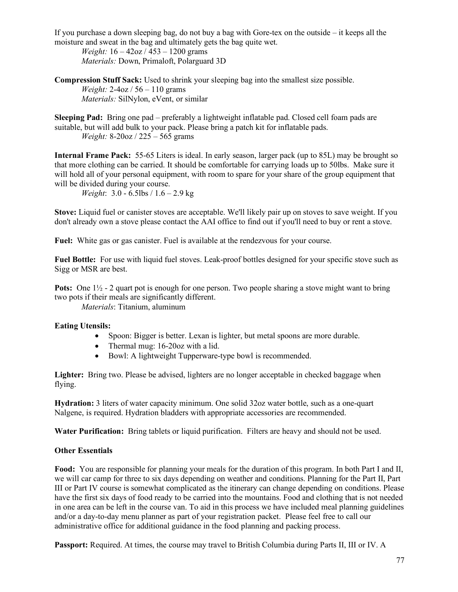If you purchase a down sleeping bag, do not buy a bag with Gore-tex on the outside – it keeps all the moisture and sweat in the bag and ultimately gets the bag quite wet.

*Weight:* 16 – 42oz / 453 – 1200 grams *Materials:* Down, Primaloft, Polarguard 3D

**Compression Stuff Sack:** Used to shrink your sleeping bag into the smallest size possible. *Weight:* 2-4oz / 56 – 110 grams *Materials:* SilNylon, eVent, or similar

**Sleeping Pad:** Bring one pad – preferably a lightweight inflatable pad. Closed cell foam pads are suitable, but will add bulk to your pack. Please bring a patch kit for inflatable pads. *Weight:* 8-20oz / 225 – 565 grams

**Internal Frame Pack:** 55-65 Liters is ideal. In early season, larger pack (up to 85L) may be brought so that more clothing can be carried. It should be comfortable for carrying loads up to 50lbs.Make sure it will hold all of your personal equipment, with room to spare for your share of the group equipment that will be divided during your course.

*Weight*: 3.0 - 6.5lbs / 1.6 – 2.9 kg

**Stove:** Liquid fuel or canister stoves are acceptable. We'll likely pair up on stoves to save weight. If you don't already own a stove please contact the AAI office to find out if you'll need to buy or rent a stove.

**Fuel:** White gas or gas canister. Fuel is available at the rendezvous for your course.

**Fuel Bottle:** For use with liquid fuel stoves. Leak-proof bottles designed for your specific stove such as Sigg or MSR are best.

**Pots:** One  $1\frac{1}{2}$  - 2 quart pot is enough for one person. Two people sharing a stove might want to bring two pots if their meals are significantly different.

*Materials*: Titanium, aluminum

### **Eating Utensils:**

- Spoon: Bigger is better. Lexan is lighter, but metal spoons are more durable.
- Thermal mug: 16-20oz with a lid.
- Bowl: A lightweight Tupperware-type bowl is recommended.

**Lighter:** Bring two. Please be advised, lighters are no longer acceptable in checked baggage when flying.

**Hydration:** 3 liters of water capacity minimum. One solid 32oz water bottle, such as a one-quart Nalgene, is required. Hydration bladders with appropriate accessories are recommended.

**Water Purification:** Bring tablets or liquid purification. Filters are heavy and should not be used.

# **Other Essentials**

Food: You are responsible for planning your meals for the duration of this program. In both Part I and II, we will car camp for three to six days depending on weather and conditions. Planning for the Part II, Part III or Part IV course is somewhat complicated as the itinerary can change depending on conditions. Please have the first six days of food ready to be carried into the mountains. Food and clothing that is not needed in one area can be left in the course van. To aid in this process we have included meal planning guidelines and/or a day-to-day menu planner as part of your registration packet. Please feel free to call our administrative office for additional guidance in the food planning and packing process.

**Passport:** Required. At times, the course may travel to British Columbia during Parts II, III or IV. A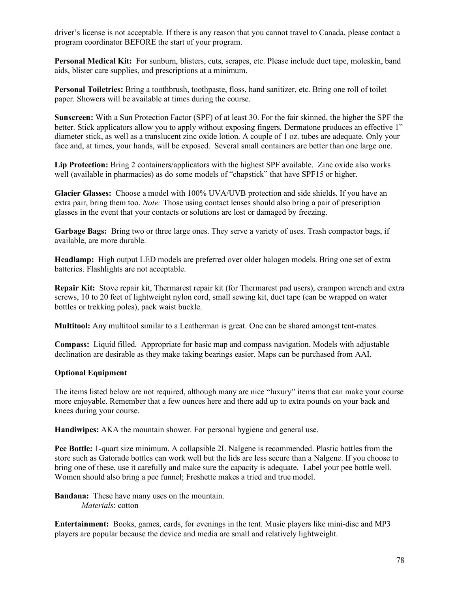driver's license is not acceptable. If there is any reason that you cannot travel to Canada, please contact a program coordinator BEFORE the start of your program.

**Personal Medical Kit:** For sunburn, blisters, cuts, scrapes, etc. Please include duct tape, moleskin, band aids, blister care supplies, and prescriptions at a minimum.

**Personal Toiletries:** Bring a toothbrush, toothpaste, floss, hand sanitizer, etc. Bring one roll of toilet paper. Showers will be available at times during the course.

**Sunscreen:** With a Sun Protection Factor (SPF) of at least 30. For the fair skinned, the higher the SPF the better. Stick applicators allow you to apply without exposing fingers. Dermatone produces an effective 1" diameter stick, as well as a translucent zinc oxide lotion. A couple of 1 oz. tubes are adequate. Only your face and, at times, your hands, will be exposed. Several small containers are better than one large one.

**Lip Protection:** Bring 2 containers/applicators with the highest SPF available. Zinc oxide also works well (available in pharmacies) as do some models of "chapstick" that have SPF15 or higher.

**Glacier Glasses:** Choose a model with 100% UVA/UVB protection and side shields. If you have an extra pair, bring them too. *Note:* Those using contact lenses should also bring a pair of prescription glasses in the event that your contacts or solutions are lost or damaged by freezing.

**Garbage Bags:** Bring two or three large ones. They serve a variety of uses. Trash compactor bags, if available, are more durable.

**Headlamp:** High output LED models are preferred over older halogen models. Bring one set of extra batteries. Flashlights are not acceptable.

**Repair Kit:** Stove repair kit, Thermarest repair kit (for Thermarest pad users), crampon wrench and extra screws, 10 to 20 feet of lightweight nylon cord, small sewing kit, duct tape (can be wrapped on water bottles or trekking poles), pack waist buckle.

**Multitool:** Any multitool similar to a Leatherman is great. One can be shared amongst tent-mates.

**Compass:** Liquid filled. Appropriate for basic map and compass navigation. Models with adjustable declination are desirable as they make taking bearings easier. Maps can be purchased from AAI.

#### **Optional Equipment**

The items listed below are not required, although many are nice "luxury" items that can make your course more enjoyable. Remember that a few ounces here and there add up to extra pounds on your back and knees during your course.

**Handiwipes:** AKA the mountain shower. For personal hygiene and general use.

**Pee Bottle:** 1-quart size minimum. A collapsible 2L Nalgene is recommended. Plastic bottles from the store such as Gatorade bottles can work well but the lids are less secure than a Nalgene. If you choose to bring one of these, use it carefully and make sure the capacity is adequate. Label your pee bottle well. Women should also bring a pee funnel; Freshette makes a tried and true model.

**Bandana:** These have many uses on the mountain. *Materials*: cotton

**Entertainment:** Books, games, cards, for evenings in the tent. Music players like mini-disc and MP3 players are popular because the device and media are small and relatively lightweight.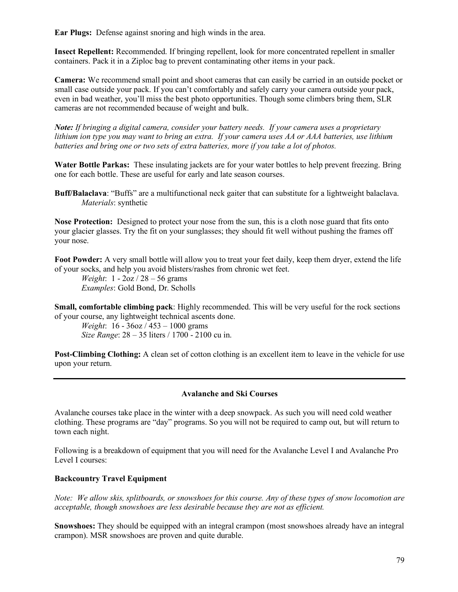**Ear Plugs:** Defense against snoring and high winds in the area.

**Insect Repellent:** Recommended. If bringing repellent, look for more concentrated repellent in smaller containers. Pack it in a Ziploc bag to prevent contaminating other items in your pack.

**Camera:** We recommend small point and shoot cameras that can easily be carried in an outside pocket or small case outside your pack. If you can't comfortably and safely carry your camera outside your pack, even in bad weather, you'll miss the best photo opportunities. Though some climbers bring them, SLR cameras are not recommended because of weight and bulk.

*Note: If bringing a digital camera, consider your battery needs. If your camera uses a proprietary lithium ion type you may want to bring an extra. If your camera uses AA or AAA batteries, use lithium batteries and bring one or two sets of extra batteries, more if you take a lot of photos.*

**Water Bottle Parkas:** These insulating jackets are for your water bottles to help prevent freezing. Bring one for each bottle. These are useful for early and late season courses.

**Buff/Balaclava**: "Buffs" are a multifunctional neck gaiter that can substitute for a lightweight balaclava. *Materials*: synthetic

**Nose Protection:** Designed to protect your nose from the sun, this is a cloth nose guard that fits onto your glacier glasses. Try the fit on your sunglasses; they should fit well without pushing the frames off your nose.

**Foot Powder:** A very small bottle will allow you to treat your feet daily, keep them dryer, extend the life of your socks, and help you avoid blisters/rashes from chronic wet feet.

*Weight*: 1 - 2oz / 28 – 56 grams *Examples*: Gold Bond, Dr. Scholls

**Small, comfortable climbing pack**: Highly recommended. This will be very useful for the rock sections of your course, any lightweight technical ascents done.

*Weight*: 16 - 36oz / 453 – 1000 grams *Size Range*: 28 – 35 liters / 1700 - 2100 cu in.

**Post-Climbing Clothing:** A clean set of cotton clothing is an excellent item to leave in the vehicle for use upon your return.

### **Avalanche and Ski Courses**

Avalanche courses take place in the winter with a deep snowpack. As such you will need cold weather clothing. These programs are "day" programs. So you will not be required to camp out, but will return to town each night.

Following is a breakdown of equipment that you will need for the Avalanche Level I and Avalanche Pro Level I courses:

### **Backcountry Travel Equipment**

*Note: We allow skis, splitboards, or snowshoes for this course. Any of these types of snow locomotion are acceptable, though snowshoes are less desirable because they are not as efficient.*

**Snowshoes:** They should be equipped with an integral crampon (most snowshoes already have an integral crampon). MSR snowshoes are proven and quite durable.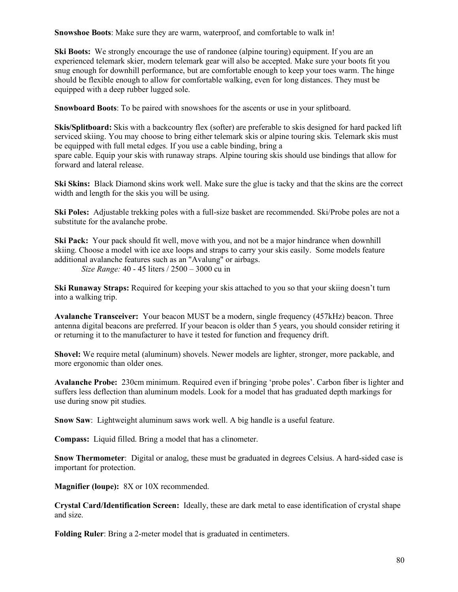**Snowshoe Boots**: Make sure they are warm, waterproof, and comfortable to walk in!

**Ski Boots:** We strongly encourage the use of randonee (alpine touring) equipment. If you are an experienced telemark skier, modern telemark gear will also be accepted. Make sure your boots fit you snug enough for downhill performance, but are comfortable enough to keep your toes warm. The hinge should be flexible enough to allow for comfortable walking, even for long distances. They must be equipped with a deep rubber lugged sole.

**Snowboard Boots**: To be paired with snowshoes for the ascents or use in your splitboard.

**Skis/Splitboard:** Skis with a backcountry flex (softer) are preferable to skis designed for hard packed lift serviced skiing. You may choose to bring either telemark skis or alpine touring skis. Telemark skis must be equipped with full metal edges. If you use a cable binding, bring a spare cable. Equip your skis with runaway straps. Alpine touring skis should use bindings that allow for forward and lateral release.

**Ski Skins:** Black Diamond skins work well. Make sure the glue is tacky and that the skins are the correct width and length for the skis you will be using.

**Ski Poles:** Adjustable trekking poles with a full-size basket are recommended. Ski/Probe poles are not a substitute for the avalanche probe.

**Ski Pack:** Your pack should fit well, move with you, and not be a major hindrance when downhill skiing. Choose a model with ice axe loops and straps to carry your skis easily. Some models feature additional avalanche features such as an "Avalung" or airbags.

*Size Range:* 40 - 45 liters / 2500 – 3000 cu in

**Ski Runaway Straps:** Required for keeping your skis attached to you so that your skiing doesn't turn into a walking trip.

**Avalanche Transceiver:** Your beacon MUST be a modern, single frequency (457kHz) beacon. Three antenna digital beacons are preferred. If your beacon is older than 5 years, you should consider retiring it or returning it to the manufacturer to have it tested for function and frequency drift.

**Shovel:** We require metal (aluminum) shovels. Newer models are lighter, stronger, more packable, and more ergonomic than older ones.

**Avalanche Probe:** 230cm minimum. Required even if bringing 'probe poles'. Carbon fiber is lighter and suffers less deflection than aluminum models. Look for a model that has graduated depth markings for use during snow pit studies.

**Snow Saw**: Lightweight aluminum saws work well. A big handle is a useful feature.

**Compass:** Liquid filled. Bring a model that has a clinometer.

**Snow Thermometer**: Digital or analog, these must be graduated in degrees Celsius. A hard-sided case is important for protection.

**Magnifier (loupe):** 8X or 10X recommended.

**Crystal Card/Identification Screen:** Ideally, these are dark metal to ease identification of crystal shape and size.

**Folding Ruler**: Bring a 2-meter model that is graduated in centimeters.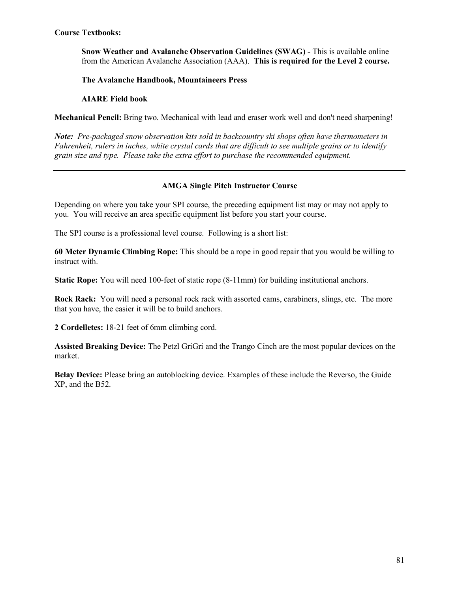## **Course Textbooks:**

**Snow Weather and Avalanche Observation Guidelines (SWAG) -** This is available online from the American Avalanche Association (AAA). **This is required for the Level 2 course.**

## **The Avalanche Handbook, Mountaineers Press**

## **AIARE Field book**

**Mechanical Pencil:** Bring two. Mechanical with lead and eraser work well and don't need sharpening!

*Note: Pre-packaged snow observation kits sold in backcountry ski shops often have thermometers in Fahrenheit, rulers in inches, white crystal cards that are difficult to see multiple grains or to identify grain size and type. Please take the extra effort to purchase the recommended equipment.*

## **AMGA Single Pitch Instructor Course**

Depending on where you take your SPI course, the preceding equipment list may or may not apply to you. You will receive an area specific equipment list before you start your course.

The SPI course is a professional level course. Following is a short list:

**60 Meter Dynamic Climbing Rope:** This should be a rope in good repair that you would be willing to instruct with.

**Static Rope:** You will need 100-feet of static rope  $(8-11 \text{ mm})$  for building institutional anchors.

**Rock Rack:** You will need a personal rock rack with assorted cams, carabiners, slings, etc. The more that you have, the easier it will be to build anchors.

**2 Cordelletes:** 18-21 feet of 6mm climbing cord.

**Assisted Breaking Device:** The Petzl GriGri and the Trango Cinch are the most popular devices on the market.

**Belay Device:** Please bring an autoblocking device. Examples of these include the Reverso, the Guide XP, and the B52.